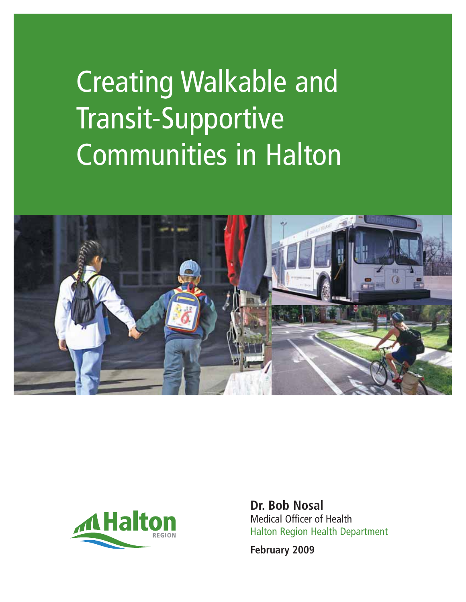# Creating Walkable and Transit-Supportive Communities in Halton





**Dr. Bob Nosal** Medical Officer of Health Halton Region Health Department

**February 2009**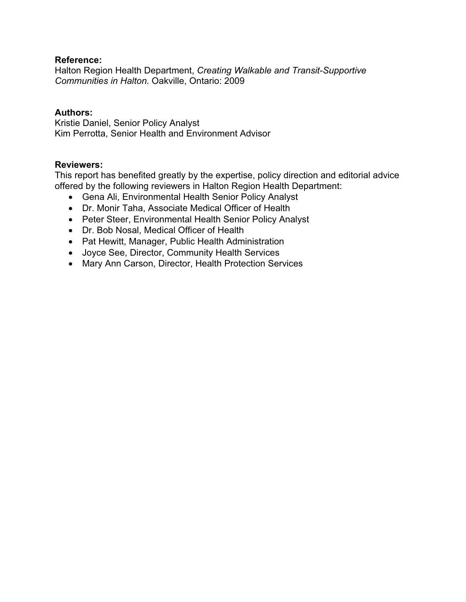#### **Reference:**

Halton Region Health Department, *Creating Walkable and Transit-Supportive Communities in Halton.* Oakville, Ontario: 2009

#### **Authors:**

Kristie Daniel, Senior Policy Analyst Kim Perrotta, Senior Health and Environment Advisor

#### **Reviewers:**

This report has benefited greatly by the expertise, policy direction and editorial advice offered by the following reviewers in Halton Region Health Department:

- Gena Ali, Environmental Health Senior Policy Analyst
- Dr. Monir Taha, Associate Medical Officer of Health
- Peter Steer, Environmental Health Senior Policy Analyst
- Dr. Bob Nosal, Medical Officer of Health
- Pat Hewitt, Manager, Public Health Administration
- Joyce See, Director, Community Health Services
- Mary Ann Carson, Director, Health Protection Services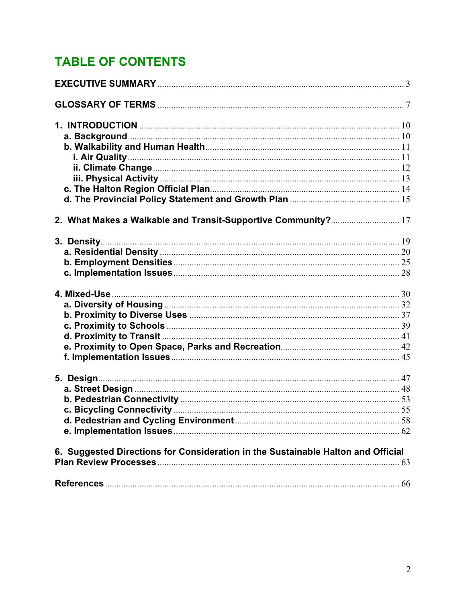# **TABLE OF CONTENTS**

| 2. What Makes a Walkable and Transit-Supportive Community? 17                    |  |
|----------------------------------------------------------------------------------|--|
|                                                                                  |  |
|                                                                                  |  |
|                                                                                  |  |
|                                                                                  |  |
|                                                                                  |  |
|                                                                                  |  |
|                                                                                  |  |
|                                                                                  |  |
|                                                                                  |  |
|                                                                                  |  |
|                                                                                  |  |
|                                                                                  |  |
|                                                                                  |  |
|                                                                                  |  |
|                                                                                  |  |
|                                                                                  |  |
|                                                                                  |  |
| 6. Suggested Directions for Consideration in the Sustainable Halton and Official |  |
|                                                                                  |  |
|                                                                                  |  |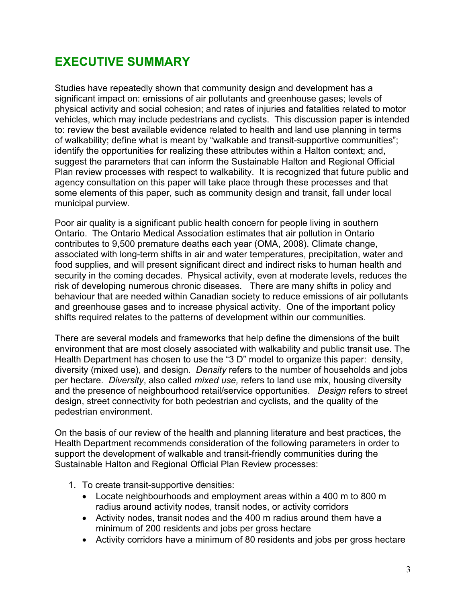# **EXECUTIVE SUMMARY**

Studies have repeatedly shown that community design and development has a significant impact on: emissions of air pollutants and greenhouse gases; levels of physical activity and social cohesion; and rates of injuries and fatalities related to motor vehicles, which may include pedestrians and cyclists. This discussion paper is intended to: review the best available evidence related to health and land use planning in terms of walkability; define what is meant by "walkable and transit-supportive communities"; identify the opportunities for realizing these attributes within a Halton context; and, suggest the parameters that can inform the Sustainable Halton and Regional Official Plan review processes with respect to walkability. It is recognized that future public and agency consultation on this paper will take place through these processes and that some elements of this paper, such as community design and transit, fall under local municipal purview.

Poor air quality is a significant public health concern for people living in southern Ontario. The Ontario Medical Association estimates that air pollution in Ontario contributes to 9,500 premature deaths each year (OMA, 2008). Climate change, associated with long-term shifts in air and water temperatures, precipitation, water and food supplies, and will present significant direct and indirect risks to human health and security in the coming decades. Physical activity, even at moderate levels, reduces the risk of developing numerous chronic diseases. There are many shifts in policy and behaviour that are needed within Canadian society to reduce emissions of air pollutants and greenhouse gases and to increase physical activity. One of the important policy shifts required relates to the patterns of development within our communities.

There are several models and frameworks that help define the dimensions of the built environment that are most closely associated with walkability and public transit use. The Health Department has chosen to use the "3 D" model to organize this paper: density, diversity (mixed use), and design. *Density* refers to the number of households and jobs per hectare. *Diversity*, also called *mixed use,* refers to land use mix, housing diversity and the presence of neighbourhood retail/service opportunities. *Design* refers to street design, street connectivity for both pedestrian and cyclists, and the quality of the pedestrian environment.

On the basis of our review of the health and planning literature and best practices, the Health Department recommends consideration of the following parameters in order to support the development of walkable and transit-friendly communities during the Sustainable Halton and Regional Official Plan Review processes:

- 1. To create transit-supportive densities:
	- Locate neighbourhoods and employment areas within a 400 m to 800 m radius around activity nodes, transit nodes, or activity corridors
	- Activity nodes, transit nodes and the 400 m radius around them have a minimum of 200 residents and jobs per gross hectare
	- Activity corridors have a minimum of 80 residents and jobs per gross hectare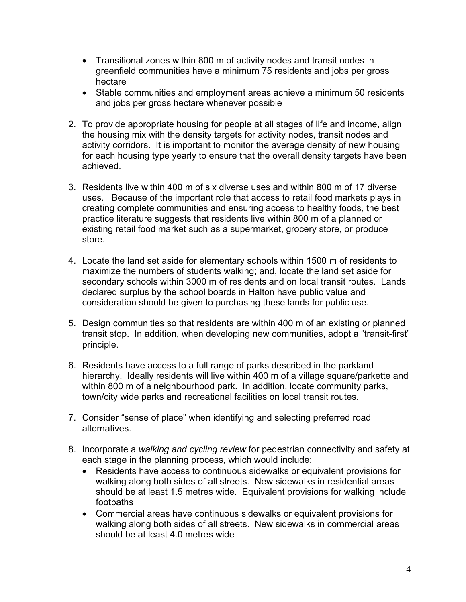- Transitional zones within 800 m of activity nodes and transit nodes in greenfield communities have a minimum 75 residents and jobs per gross hectare
- Stable communities and employment areas achieve a minimum 50 residents and jobs per gross hectare whenever possible
- 2. To provide appropriate housing for people at all stages of life and income, align the housing mix with the density targets for activity nodes, transit nodes and activity corridors. It is important to monitor the average density of new housing for each housing type yearly to ensure that the overall density targets have been achieved.
- 3. Residents live within 400 m of six diverse uses and within 800 m of 17 diverse uses. Because of the important role that access to retail food markets plays in creating complete communities and ensuring access to healthy foods, the best practice literature suggests that residents live within 800 m of a planned or existing retail food market such as a supermarket, grocery store, or produce store.
- 4. Locate the land set aside for elementary schools within 1500 m of residents to maximize the numbers of students walking; and, locate the land set aside for secondary schools within 3000 m of residents and on local transit routes. Lands declared surplus by the school boards in Halton have public value and consideration should be given to purchasing these lands for public use.
- 5. Design communities so that residents are within 400 m of an existing or planned transit stop. In addition, when developing new communities, adopt a "transit-first" principle.
- 6. Residents have access to a full range of parks described in the parkland hierarchy. Ideally residents will live within 400 m of a village square/parkette and within 800 m of a neighbourhood park. In addition, locate community parks, town/city wide parks and recreational facilities on local transit routes.
- 7. Consider "sense of place" when identifying and selecting preferred road alternatives.
- 8. Incorporate a *walking and cycling review* for pedestrian connectivity and safety at each stage in the planning process, which would include:
	- Residents have access to continuous sidewalks or equivalent provisions for walking along both sides of all streets. New sidewalks in residential areas should be at least 1.5 metres wide. Equivalent provisions for walking include footpaths
	- Commercial areas have continuous sidewalks or equivalent provisions for walking along both sides of all streets. New sidewalks in commercial areas should be at least 4.0 metres wide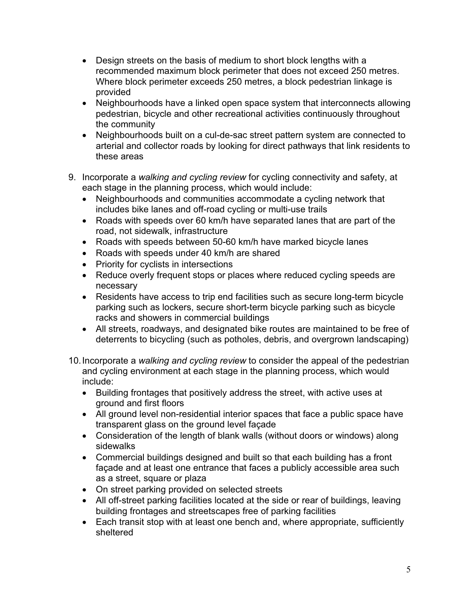- $\bullet$  Design streets on the basis of medium to short block lengths with a recommended maximum block perimeter that does not exceed 250 metres. Where block perimeter exceeds 250 metres, a block pedestrian linkage is provided
- Neighbourhoods have a linked open space system that interconnects allowing pedestrian, bicycle and other recreational activities continuously throughout the community
- Neighbourhoods built on a cul-de-sac street pattern system are connected to arterial and collector roads by looking for direct pathways that link residents to these areas
- 9. Incorporate a *walking and cycling review* for cycling connectivity and safety, at each stage in the planning process, which would include:
	- Neighbourhoods and communities accommodate a cycling network that includes bike lanes and off-road cycling or multi-use trails
	- Roads with speeds over 60 km/h have separated lanes that are part of the road, not sidewalk, infrastructure
	- Roads with speeds between 50-60 km/h have marked bicycle lanes
	- Roads with speeds under 40 km/h are shared
	- Priority for cyclists in intersections
	- Reduce overly frequent stops or places where reduced cycling speeds are necessary
	- Residents have access to trip end facilities such as secure long-term bicycle parking such as lockers, secure short-term bicycle parking such as bicycle racks and showers in commercial buildings
	- All streets, roadways, and designated bike routes are maintained to be free of deterrents to bicycling (such as potholes, debris, and overgrown landscaping)
- 10. Incorporate a *walking and cycling review* to consider the appeal of the pedestrian and cycling environment at each stage in the planning process, which would include:
	- Building frontages that positively address the street, with active uses at ground and first floors
	- All ground level non-residential interior spaces that face a public space have transparent glass on the ground level façade
	- Consideration of the length of blank walls (without doors or windows) along sidewalks
	- Commercial buildings designed and built so that each building has a front façade and at least one entrance that faces a publicly accessible area such as a street, square or plaza
	- On street parking provided on selected streets
	- All off-street parking facilities located at the side or rear of buildings, leaving building frontages and streetscapes free of parking facilities
	- Each transit stop with at least one bench and, where appropriate, sufficiently sheltered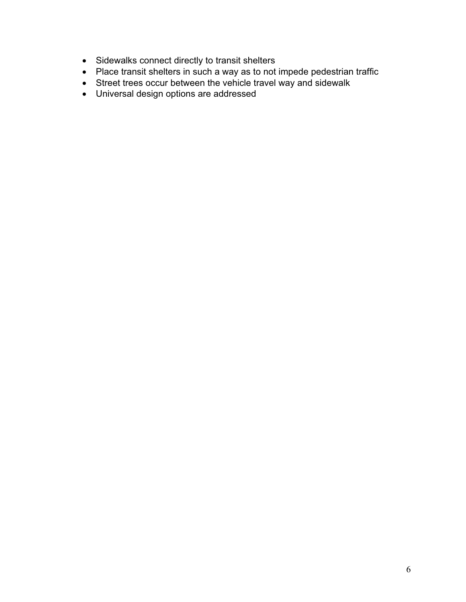- Sidewalks connect directly to transit shelters
- Place transit shelters in such a way as to not impede pedestrian traffic
- Street trees occur between the vehicle travel way and sidewalk
- Universal design options are addressed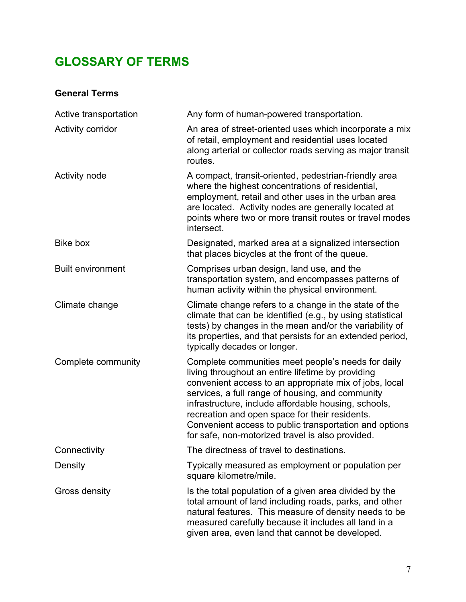# **GLOSSARY OF TERMS**

# **General Terms**

| Active transportation    | Any form of human-powered transportation.                                                                                                                                                                                                                                                                                                                                                                                                     |
|--------------------------|-----------------------------------------------------------------------------------------------------------------------------------------------------------------------------------------------------------------------------------------------------------------------------------------------------------------------------------------------------------------------------------------------------------------------------------------------|
| Activity corridor        | An area of street-oriented uses which incorporate a mix<br>of retail, employment and residential uses located<br>along arterial or collector roads serving as major transit<br>routes.                                                                                                                                                                                                                                                        |
| Activity node            | A compact, transit-oriented, pedestrian-friendly area<br>where the highest concentrations of residential,<br>employment, retail and other uses in the urban area<br>are located. Activity nodes are generally located at<br>points where two or more transit routes or travel modes<br>intersect.                                                                                                                                             |
| Bike box                 | Designated, marked area at a signalized intersection<br>that places bicycles at the front of the queue.                                                                                                                                                                                                                                                                                                                                       |
| <b>Built environment</b> | Comprises urban design, land use, and the<br>transportation system, and encompasses patterns of<br>human activity within the physical environment.                                                                                                                                                                                                                                                                                            |
| Climate change           | Climate change refers to a change in the state of the<br>climate that can be identified (e.g., by using statistical<br>tests) by changes in the mean and/or the variability of<br>its properties, and that persists for an extended period,<br>typically decades or longer.                                                                                                                                                                   |
| Complete community       | Complete communities meet people's needs for daily<br>living throughout an entire lifetime by providing<br>convenient access to an appropriate mix of jobs, local<br>services, a full range of housing, and community<br>infrastructure, include affordable housing, schools,<br>recreation and open space for their residents.<br>Convenient access to public transportation and options<br>for safe, non-motorized travel is also provided. |
| Connectivity             | The directness of travel to destinations.                                                                                                                                                                                                                                                                                                                                                                                                     |
| Density                  | Typically measured as employment or population per<br>square kilometre/mile.                                                                                                                                                                                                                                                                                                                                                                  |
| Gross density            | Is the total population of a given area divided by the<br>total amount of land including roads, parks, and other<br>natural features. This measure of density needs to be<br>measured carefully because it includes all land in a<br>given area, even land that cannot be developed.                                                                                                                                                          |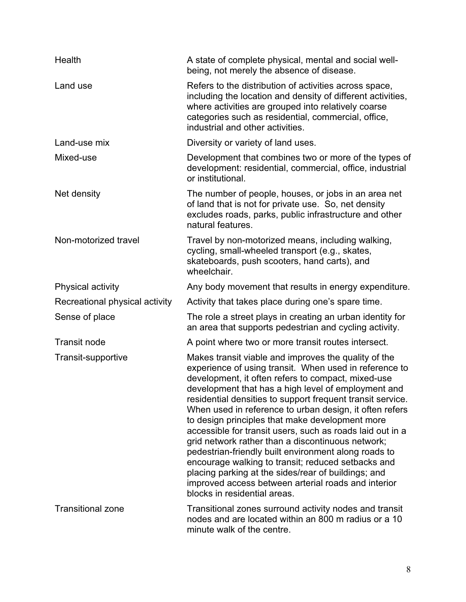| Health                         | A state of complete physical, mental and social well-<br>being, not merely the absence of disease.                                                                                                                                                                                                                                                                                                                                                                                                                                                                                                                                                                                                                                                                                    |
|--------------------------------|---------------------------------------------------------------------------------------------------------------------------------------------------------------------------------------------------------------------------------------------------------------------------------------------------------------------------------------------------------------------------------------------------------------------------------------------------------------------------------------------------------------------------------------------------------------------------------------------------------------------------------------------------------------------------------------------------------------------------------------------------------------------------------------|
| Land use                       | Refers to the distribution of activities across space,<br>including the location and density of different activities,<br>where activities are grouped into relatively coarse<br>categories such as residential, commercial, office,<br>industrial and other activities.                                                                                                                                                                                                                                                                                                                                                                                                                                                                                                               |
| Land-use mix                   | Diversity or variety of land uses.                                                                                                                                                                                                                                                                                                                                                                                                                                                                                                                                                                                                                                                                                                                                                    |
| Mixed-use                      | Development that combines two or more of the types of<br>development: residential, commercial, office, industrial<br>or institutional.                                                                                                                                                                                                                                                                                                                                                                                                                                                                                                                                                                                                                                                |
| Net density                    | The number of people, houses, or jobs in an area net<br>of land that is not for private use. So, net density<br>excludes roads, parks, public infrastructure and other<br>natural features.                                                                                                                                                                                                                                                                                                                                                                                                                                                                                                                                                                                           |
| Non-motorized travel           | Travel by non-motorized means, including walking,<br>cycling, small-wheeled transport (e.g., skates,<br>skateboards, push scooters, hand carts), and<br>wheelchair.                                                                                                                                                                                                                                                                                                                                                                                                                                                                                                                                                                                                                   |
| Physical activity              | Any body movement that results in energy expenditure.                                                                                                                                                                                                                                                                                                                                                                                                                                                                                                                                                                                                                                                                                                                                 |
| Recreational physical activity | Activity that takes place during one's spare time.                                                                                                                                                                                                                                                                                                                                                                                                                                                                                                                                                                                                                                                                                                                                    |
| Sense of place                 | The role a street plays in creating an urban identity for<br>an area that supports pedestrian and cycling activity.                                                                                                                                                                                                                                                                                                                                                                                                                                                                                                                                                                                                                                                                   |
| <b>Transit node</b>            | A point where two or more transit routes intersect.                                                                                                                                                                                                                                                                                                                                                                                                                                                                                                                                                                                                                                                                                                                                   |
| Transit-supportive             | Makes transit viable and improves the quality of the<br>experience of using transit. When used in reference to<br>development, it often refers to compact, mixed-use<br>development that has a high level of employment and<br>residential densities to support frequent transit service.<br>When used in reference to urban design, it often refers<br>to design principles that make development more<br>accessible for transit users, such as roads laid out in a<br>grid network rather than a discontinuous network;<br>pedestrian-friendly built environment along roads to<br>encourage walking to transit; reduced setbacks and<br>placing parking at the sides/rear of buildings; and<br>improved access between arterial roads and interior<br>blocks in residential areas. |
| <b>Transitional zone</b>       | Transitional zones surround activity nodes and transit<br>nodes and are located within an 800 m radius or a 10<br>minute walk of the centre.                                                                                                                                                                                                                                                                                                                                                                                                                                                                                                                                                                                                                                          |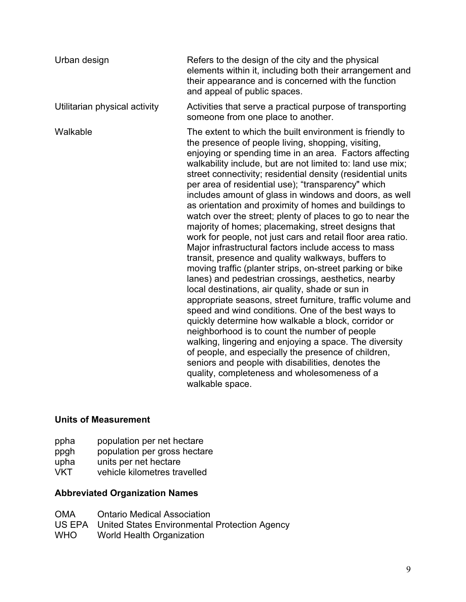| Urban design                  | Refers to the design of the city and the physical<br>elements within it, including both their arrangement and<br>their appearance and is concerned with the function<br>and appeal of public spaces.                                                                                                                                                                                                                                                                                                                                                                                                                                                                                                                                                                                                                                                                                                                                                                                                                                                                                                                                                                                                                                                                                                                                                                                                                          |
|-------------------------------|-------------------------------------------------------------------------------------------------------------------------------------------------------------------------------------------------------------------------------------------------------------------------------------------------------------------------------------------------------------------------------------------------------------------------------------------------------------------------------------------------------------------------------------------------------------------------------------------------------------------------------------------------------------------------------------------------------------------------------------------------------------------------------------------------------------------------------------------------------------------------------------------------------------------------------------------------------------------------------------------------------------------------------------------------------------------------------------------------------------------------------------------------------------------------------------------------------------------------------------------------------------------------------------------------------------------------------------------------------------------------------------------------------------------------------|
| Utilitarian physical activity | Activities that serve a practical purpose of transporting<br>someone from one place to another.                                                                                                                                                                                                                                                                                                                                                                                                                                                                                                                                                                                                                                                                                                                                                                                                                                                                                                                                                                                                                                                                                                                                                                                                                                                                                                                               |
| Walkable                      | The extent to which the built environment is friendly to<br>the presence of people living, shopping, visiting,<br>enjoying or spending time in an area. Factors affecting<br>walkability include, but are not limited to: land use mix;<br>street connectivity; residential density (residential units<br>per area of residential use); "transparency" which<br>includes amount of glass in windows and doors, as well<br>as orientation and proximity of homes and buildings to<br>watch over the street; plenty of places to go to near the<br>majority of homes; placemaking, street designs that<br>work for people, not just cars and retail floor area ratio.<br>Major infrastructural factors include access to mass<br>transit, presence and quality walkways, buffers to<br>moving traffic (planter strips, on-street parking or bike<br>lanes) and pedestrian crossings, aesthetics, nearby<br>local destinations, air quality, shade or sun in<br>appropriate seasons, street furniture, traffic volume and<br>speed and wind conditions. One of the best ways to<br>quickly determine how walkable a block, corridor or<br>neighborhood is to count the number of people<br>walking, lingering and enjoying a space. The diversity<br>of people, and especially the presence of children,<br>seniors and people with disabilities, denotes the<br>quality, completeness and wholesomeness of a<br>walkable space. |

# **Units of Measurement**

- ppha population per net hectare<br>ppgh population per gross hectar
- ppgh population per gross hectare<br>upha units per net hectare
- upha units per net hectare<br>VKT vehicle kilometres tra
- vehicle kilometres travelled

## **Abbreviated Organization Names**

- OMA Ontario Medical Association
- US EPA United States Environmental Protection Agency
- WHO World Health Organization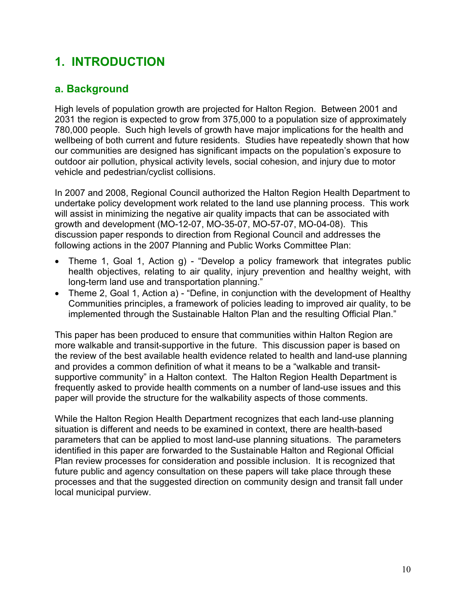# **1. INTRODUCTION**

# **a. Background**

High levels of population growth are projected for Halton Region. Between 2001 and 2031 the region is expected to grow from 375,000 to a population size of approximately 780,000 people. Such high levels of growth have major implications for the health and wellbeing of both current and future residents. Studies have repeatedly shown that how our communities are designed has significant impacts on the population's exposure to outdoor air pollution, physical activity levels, social cohesion, and injury due to motor vehicle and pedestrian/cyclist collisions.

In 2007 and 2008, Regional Council authorized the Halton Region Health Department to undertake policy development work related to the land use planning process. This work will assist in minimizing the negative air quality impacts that can be associated with growth and development (MO-12-07, MO-35-07, MO-57-07, MO-04-08). This discussion paper responds to direction from Regional Council and addresses the following actions in the 2007 Planning and Public Works Committee Plan:

- Theme 1, Goal 1, Action g) "Develop a policy framework that integrates public health objectives, relating to air quality, injury prevention and healthy weight, with long-term land use and transportation planning."
- Theme 2, Goal 1, Action a) "Define, in conjunction with the development of Healthy Communities principles, a framework of policies leading to improved air quality, to be implemented through the Sustainable Halton Plan and the resulting Official Plan."

This paper has been produced to ensure that communities within Halton Region are more walkable and transit-supportive in the future. This discussion paper is based on the review of the best available health evidence related to health and land-use planning and provides a common definition of what it means to be a "walkable and transitsupportive community" in a Halton context. The Halton Region Health Department is frequently asked to provide health comments on a number of land-use issues and this paper will provide the structure for the walkability aspects of those comments.

While the Halton Region Health Department recognizes that each land-use planning situation is different and needs to be examined in context, there are health-based parameters that can be applied to most land-use planning situations. The parameters identified in this paper are forwarded to the Sustainable Halton and Regional Official Plan review processes for consideration and possible inclusion. It is recognized that future public and agency consultation on these papers will take place through these processes and that the suggested direction on community design and transit fall under local municipal purview.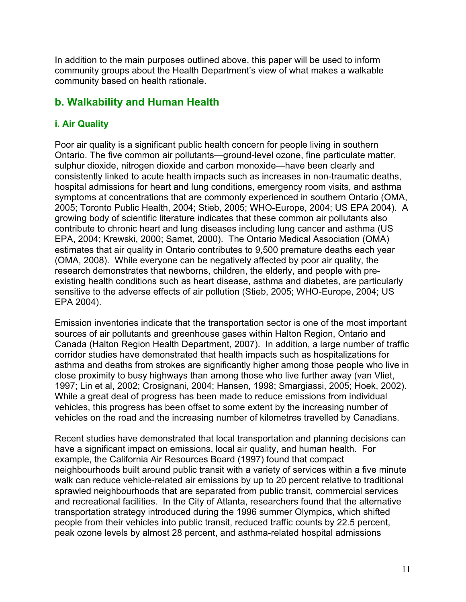In addition to the main purposes outlined above, this paper will be used to inform community groups about the Health Department's view of what makes a walkable community based on health rationale.

## **b. Walkability and Human Health**

#### **i. Air Quality**

Poor air quality is a significant public health concern for people living in southern Ontario. The five common air pollutants—ground-level ozone, fine particulate matter, sulphur dioxide, nitrogen dioxide and carbon monoxide—have been clearly and consistently linked to acute health impacts such as increases in non-traumatic deaths, hospital admissions for heart and lung conditions, emergency room visits, and asthma symptoms at concentrations that are commonly experienced in southern Ontario (OMA, 2005; Toronto Public Health, 2004; Stieb, 2005; WHO-Europe, 2004; US EPA 2004). A growing body of scientific literature indicates that these common air pollutants also contribute to chronic heart and lung diseases including lung cancer and asthma (US EPA, 2004; Krewski, 2000; Samet, 2000). The Ontario Medical Association (OMA) estimates that air quality in Ontario contributes to 9,500 premature deaths each year (OMA, 2008). While everyone can be negatively affected by poor air quality, the research demonstrates that newborns, children, the elderly, and people with preexisting health conditions such as heart disease, asthma and diabetes, are particularly sensitive to the adverse effects of air pollution (Stieb, 2005; WHO-Europe, 2004; US EPA 2004).

Emission inventories indicate that the transportation sector is one of the most important sources of air pollutants and greenhouse gases within Halton Region, Ontario and Canada (Halton Region Health Department, 2007). In addition, a large number of traffic corridor studies have demonstrated that health impacts such as hospitalizations for asthma and deaths from strokes are significantly higher among those people who live in close proximity to busy highways than among those who live further away (van Vliet, 1997; Lin et al, 2002; Crosignani, 2004; Hansen, 1998; Smargiassi, 2005; Hoek, 2002). While a great deal of progress has been made to reduce emissions from individual vehicles, this progress has been offset to some extent by the increasing number of vehicles on the road and the increasing number of kilometres travelled by Canadians.

Recent studies have demonstrated that local transportation and planning decisions can have a significant impact on emissions, local air quality, and human health. For example, the California Air Resources Board (1997) found that compact neighbourhoods built around public transit with a variety of services within a five minute walk can reduce vehicle-related air emissions by up to 20 percent relative to traditional sprawled neighbourhoods that are separated from public transit, commercial services and recreational facilities. In the City of Atlanta, researchers found that the alternative transportation strategy introduced during the 1996 summer Olympics, which shifted people from their vehicles into public transit, reduced traffic counts by 22.5 percent, peak ozone levels by almost 28 percent, and asthma-related hospital admissions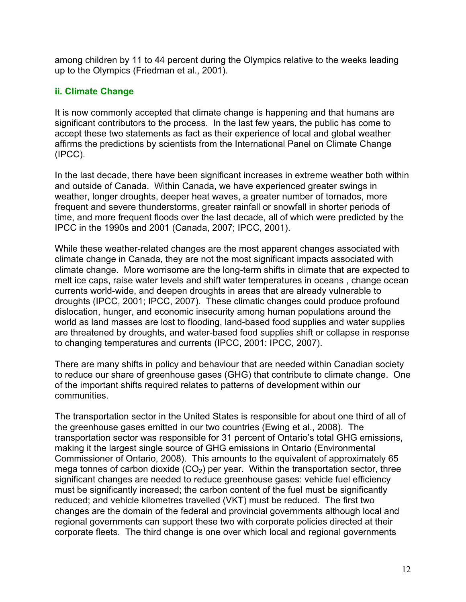among children by 11 to 44 percent during the Olympics relative to the weeks leading up to the Olympics (Friedman et al., 2001).

#### **ii. Climate Change**

It is now commonly accepted that climate change is happening and that humans are significant contributors to the process. In the last few years, the public has come to accept these two statements as fact as their experience of local and global weather affirms the predictions by scientists from the International Panel on Climate Change (IPCC).

In the last decade, there have been significant increases in extreme weather both within and outside of Canada. Within Canada, we have experienced greater swings in weather, longer droughts, deeper heat waves, a greater number of tornados, more frequent and severe thunderstorms, greater rainfall or snowfall in shorter periods of time, and more frequent floods over the last decade, all of which were predicted by the IPCC in the 1990s and 2001 (Canada, 2007; IPCC, 2001).

While these weather-related changes are the most apparent changes associated with climate change in Canada, they are not the most significant impacts associated with climate change. More worrisome are the long-term shifts in climate that are expected to melt ice caps, raise water levels and shift water temperatures in oceans , change ocean currents world-wide, and deepen droughts in areas that are already vulnerable to droughts (IPCC, 2001; IPCC, 2007). These climatic changes could produce profound dislocation, hunger, and economic insecurity among human populations around the world as land masses are lost to flooding, land-based food supplies and water supplies are threatened by droughts, and water-based food supplies shift or collapse in response to changing temperatures and currents (IPCC, 2001: IPCC, 2007).

There are many shifts in policy and behaviour that are needed within Canadian society to reduce our share of greenhouse gases (GHG) that contribute to climate change. One of the important shifts required relates to patterns of development within our communities.

The transportation sector in the United States is responsible for about one third of all of the greenhouse gases emitted in our two countries (Ewing et al., 2008). The transportation sector was responsible for 31 percent of Ontario's total GHG emissions, making it the largest single source of GHG emissions in Ontario (Environmental Commissioner of Ontario, 2008). This amounts to the equivalent of approximately 65 mega tonnes of carbon dioxide  $(CO<sub>2</sub>)$  per year. Within the transportation sector, three significant changes are needed to reduce greenhouse gases: vehicle fuel efficiency must be significantly increased; the carbon content of the fuel must be significantly reduced; and vehicle kilometres travelled (VKT) must be reduced. The first two changes are the domain of the federal and provincial governments although local and regional governments can support these two with corporate policies directed at their corporate fleets. The third change is one over which local and regional governments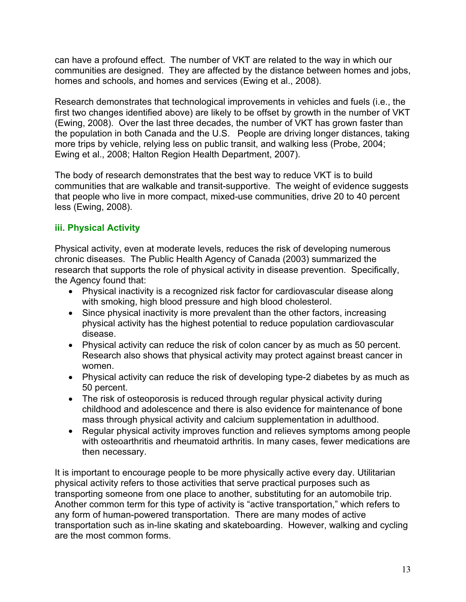can have a profound effect. The number of VKT are related to the way in which our communities are designed. They are affected by the distance between homes and jobs, homes and schools, and homes and services (Ewing et al., 2008).

Research demonstrates that technological improvements in vehicles and fuels (i.e., the first two changes identified above) are likely to be offset by growth in the number of VKT (Ewing, 2008). Over the last three decades, the number of VKT has grown faster than the population in both Canada and the U.S. People are driving longer distances, taking more trips by vehicle, relying less on public transit, and walking less (Probe, 2004; Ewing et al., 2008; Halton Region Health Department, 2007).

The body of research demonstrates that the best way to reduce VKT is to build communities that are walkable and transit-supportive. The weight of evidence suggests that people who live in more compact, mixed-use communities, drive 20 to 40 percent less (Ewing, 2008).

## **iii. Physical Activity**

Physical activity, even at moderate levels, reduces the risk of developing numerous chronic diseases. The Public Health Agency of Canada (2003) summarized the research that supports the role of physical activity in disease prevention. Specifically, the Agency found that:

- Physical inactivity is a recognized risk factor for cardiovascular disease along with smoking, high blood pressure and high blood cholesterol.
- Since physical inactivity is more prevalent than the other factors, increasing physical activity has the highest potential to reduce population cardiovascular disease.
- Physical activity can reduce the risk of colon cancer by as much as 50 percent. Research also shows that physical activity may protect against breast cancer in women.
- Physical activity can reduce the risk of developing type-2 diabetes by as much as 50 percent.
- The risk of osteoporosis is reduced through regular physical activity during childhood and adolescence and there is also evidence for maintenance of bone mass through physical activity and calcium supplementation in adulthood.
- Regular physical activity improves function and relieves symptoms among people with osteoarthritis and rheumatoid arthritis. In many cases, fewer medications are then necessary.

It is important to encourage people to be more physically active every day. Utilitarian physical activity refers to those activities that serve practical purposes such as transporting someone from one place to another, substituting for an automobile trip. Another common term for this type of activity is "active transportation," which refers to any form of human-powered transportation. There are many modes of active transportation such as in-line skating and skateboarding. However, walking and cycling are the most common forms.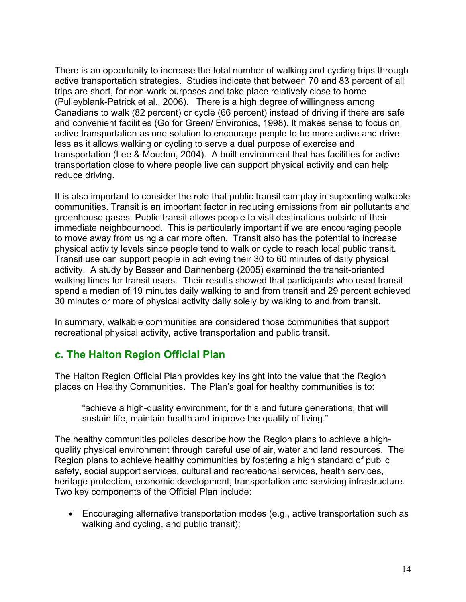There is an opportunity to increase the total number of walking and cycling trips through active transportation strategies. Studies indicate that between 70 and 83 percent of all trips are short, for non-work purposes and take place relatively close to home (Pulleyblank-Patrick et al., 2006). There is a high degree of willingness among Canadians to walk (82 percent) or cycle (66 percent) instead of driving if there are safe and convenient facilities (Go for Green/ Environics, 1998). It makes sense to focus on active transportation as one solution to encourage people to be more active and drive less as it allows walking or cycling to serve a dual purpose of exercise and transportation (Lee & Moudon, 2004). A built environment that has facilities for active transportation close to where people live can support physical activity and can help reduce driving.

It is also important to consider the role that public transit can play in supporting walkable communities. Transit is an important factor in reducing emissions from air pollutants and greenhouse gases. Public transit allows people to visit destinations outside of their immediate neighbourhood. This is particularly important if we are encouraging people to move away from using a car more often. Transit also has the potential to increase physical activity levels since people tend to walk or cycle to reach local public transit. Transit use can support people in achieving their 30 to 60 minutes of daily physical activity. A study by Besser and Dannenberg (2005) examined the transit-oriented walking times for transit users. Their results showed that participants who used transit spend a median of 19 minutes daily walking to and from transit and 29 percent achieved 30 minutes or more of physical activity daily solely by walking to and from transit.

In summary, walkable communities are considered those communities that support recreational physical activity, active transportation and public transit.

# **c. The Halton Region Official Plan**

The Halton Region Official Plan provides key insight into the value that the Region places on Healthy Communities. The Plan's goal for healthy communities is to:

"achieve a high-quality environment, for this and future generations, that will sustain life, maintain health and improve the quality of living."

The healthy communities policies describe how the Region plans to achieve a highquality physical environment through careful use of air, water and land resources. The Region plans to achieve healthy communities by fostering a high standard of public safety, social support services, cultural and recreational services, health services, heritage protection, economic development, transportation and servicing infrastructure. Two key components of the Official Plan include:

• Encouraging alternative transportation modes (e.g., active transportation such as walking and cycling, and public transit);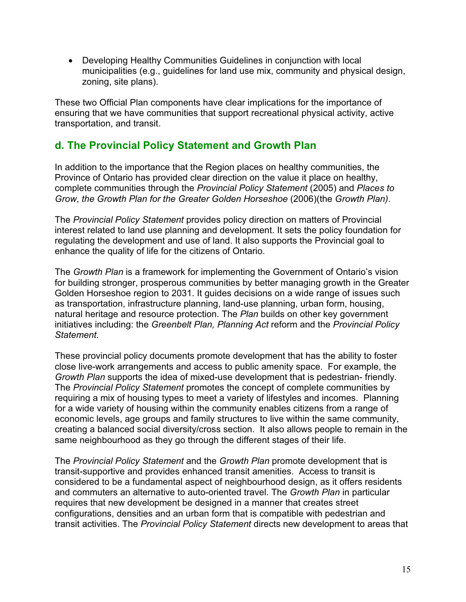• Developing Healthy Communities Guidelines in conjunction with local municipalities (e.g., guidelines for land use mix, community and physical design, zoning, site plans).

These two Official Plan components have clear implications for the importance of ensuring that we have communities that support recreational physical activity, active transportation, and transit.

# **d. The Provincial Policy Statement and Growth Plan**

In addition to the importance that the Region places on healthy communities, the Province of Ontario has provided clear direction on the value it place on healthy, complete communities through the *Provincial Policy Statement* (2005) and *Places to Grow*, *the Growth Plan for the Greater Golden Horseshoe* (2006)(the *Growth Plan)*.

The *Provincial Policy Statement* provides policy direction on matters of Provincial interest related to land use planning and development. It sets the policy foundation for regulating the development and use of land. It also supports the Provincial goal to enhance the quality of life for the citizens of Ontario.

The *Growth Plan* is a framework for implementing the Government of Ontario's vision for building stronger, prosperous communities by better managing growth in the Greater Golden Horseshoe region to 2031. It guides decisions on a wide range of issues such as transportation, infrastructure planning, land-use planning, urban form, housing, natural heritage and resource protection. The *Plan* builds on other key government initiatives including: the *Greenbelt Plan, Planning Act* reform and the *Provincial Policy Statement.*

These provincial policy documents promote development that has the ability to foster close live-work arrangements and access to public amenity space. For example, the *Growth Plan* supports the idea of mixed-use development that is pedestrian- friendly. The *Provincial Policy Statement* promotes the concept of complete communities by requiring a mix of housing types to meet a variety of lifestyles and incomes. Planning for a wide variety of housing within the community enables citizens from a range of economic levels, age groups and family structures to live within the same community, creating a balanced social diversity/cross section. It also allows people to remain in the same neighbourhood as they go through the different stages of their life.

The *Provincial Policy Statement* and the *Growth Plan* promote development that is transit-supportive and provides enhanced transit amenities. Access to transit is considered to be a fundamental aspect of neighbourhood design, as it offers residents and commuters an alternative to auto-oriented travel. The *Growth Plan* in particular requires that new development be designed in a manner that creates street configurations, densities and an urban form that is compatible with pedestrian and transit activities. The *Provincial Policy Statement* directs new development to areas that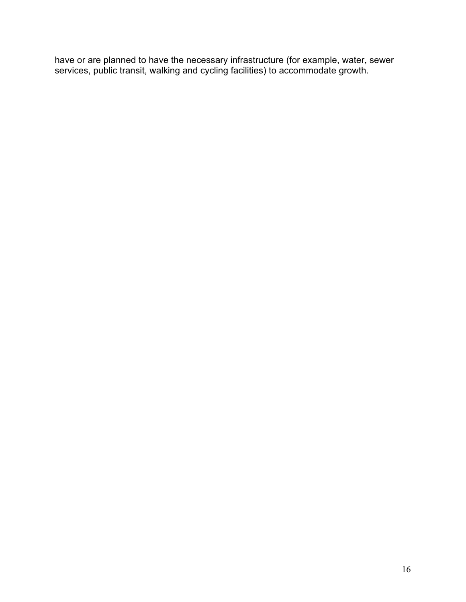have or are planned to have the necessary infrastructure (for example, water, sewer services, public transit, walking and cycling facilities) to accommodate growth.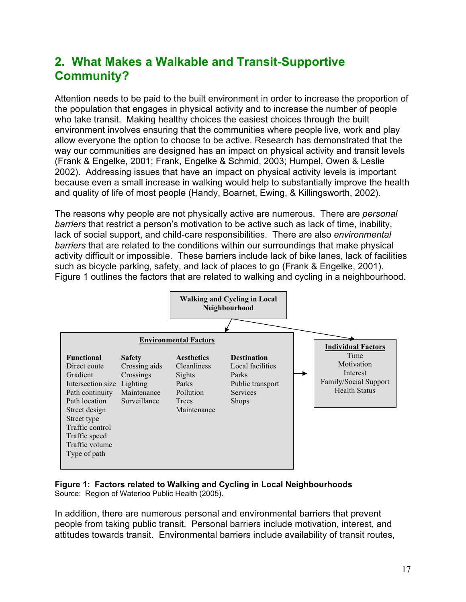# **2. What Makes a Walkable and Transit-Supportive Community?**

Attention needs to be paid to the built environment in order to increase the proportion of the population that engages in physical activity and to increase the number of people who take transit. Making healthy choices the easiest choices through the built environment involves ensuring that the communities where people live, work and play allow everyone the option to choose to be active. Research has demonstrated that the way our communities are designed has an impact on physical activity and transit levels (Frank & Engelke, 2001; Frank, Engelke & Schmid, 2003; Humpel, Owen & Leslie 2002). Addressing issues that have an impact on physical activity levels is important because even a small increase in walking would help to substantially improve the health and quality of life of most people (Handy, Boarnet, Ewing, & Killingsworth, 2002).

The reasons why people are not physically active are numerous. There are *personal barriers* that restrict a person's motivation to be active such as lack of time, inability, lack of social support, and child-care responsibilities. There are also *environmental barriers* that are related to the conditions within our surroundings that make physical activity difficult or impossible. These barriers include lack of bike lanes, lack of facilities such as bicycle parking, safety, and lack of places to go (Frank & Engelke, 2001). Figure 1 outlines the factors that are related to walking and cycling in a neighbourhood.



#### **Figure 1: Factors related to Walking and Cycling in Local Neighbourhoods** Source: Region of Waterloo Public Health (2005).

In addition, there are numerous personal and environmental barriers that prevent people from taking public transit. Personal barriers include motivation, interest, and attitudes towards transit. Environmental barriers include availability of transit routes,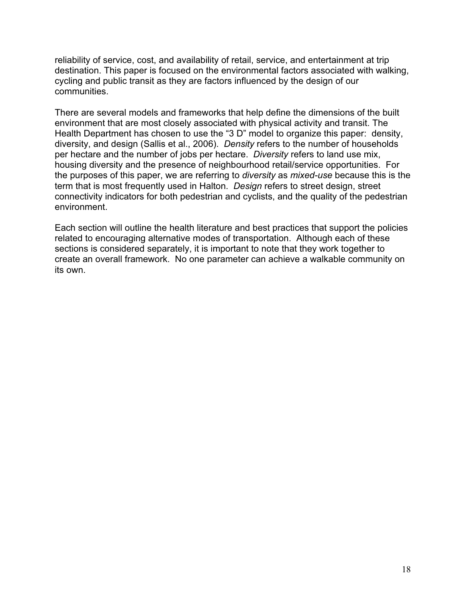reliability of service, cost, and availability of retail, service, and entertainment at trip destination. This paper is focused on the environmental factors associated with walking, cycling and public transit as they are factors influenced by the design of our communities.

There are several models and frameworks that help define the dimensions of the built environment that are most closely associated with physical activity and transit. The Health Department has chosen to use the "3 D" model to organize this paper: density, diversity, and design (Sallis et al., 2006). *Density* refers to the number of households per hectare and the number of jobs per hectare. *Diversity* refers to land use mix, housing diversity and the presence of neighbourhood retail/service opportunities. For the purposes of this paper, we are referring to *diversity* as *mixed-use* because this is the term that is most frequently used in Halton. *Design* refers to street design, street connectivity indicators for both pedestrian and cyclists, and the quality of the pedestrian environment.

Each section will outline the health literature and best practices that support the policies related to encouraging alternative modes of transportation. Although each of these sections is considered separately, it is important to note that they work together to create an overall framework. No one parameter can achieve a walkable community on its own.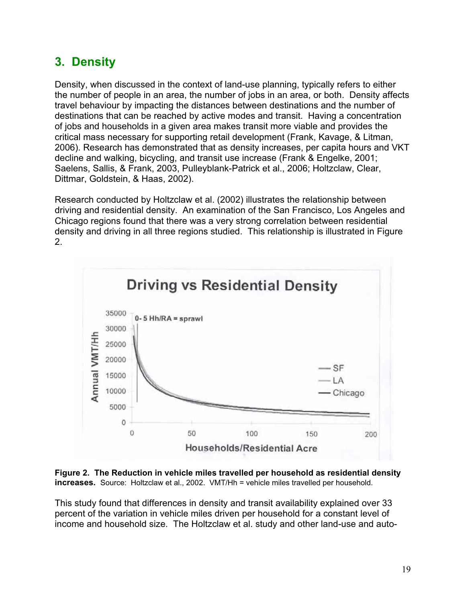# **3. Density**

Density, when discussed in the context of land-use planning, typically refers to either the number of people in an area, the number of jobs in an area, or both. Density affects travel behaviour by impacting the distances between destinations and the number of destinations that can be reached by active modes and transit. Having a concentration of jobs and households in a given area makes transit more viable and provides the critical mass necessary for supporting retail development (Frank, Kavage, & Litman, 2006). Research has demonstrated that as density increases, per capita hours and VKT decline and walking, bicycling, and transit use increase (Frank & Engelke, 2001; Saelens, Sallis, & Frank, 2003, Pulleyblank-Patrick et al., 2006; Holtzclaw, Clear, Dittmar, Goldstein, & Haas, 2002).

Research conducted by Holtzclaw et al. (2002) illustrates the relationship between driving and residential density. An examination of the San Francisco, Los Angeles and Chicago regions found that there was a very strong correlation between residential density and driving in all three regions studied. This relationship is illustrated in Figure 2.



**Figure 2. The Reduction in vehicle miles travelled per household as residential density increases.** Source: Holtzclaw et al., 2002. VMT/Hh = vehicle miles travelled per household.

This study found that differences in density and transit availability explained over 33 percent of the variation in vehicle miles driven per household for a constant level of income and household size. The Holtzclaw et al. study and other land-use and auto-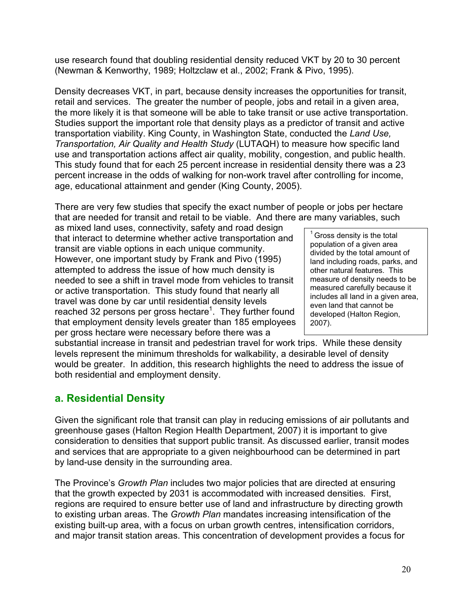use research found that doubling residential density reduced VKT by 20 to 30 percent (Newman & Kenworthy, 1989; Holtzclaw et al., 2002; Frank & Pivo, 1995).

Density decreases VKT, in part, because density increases the opportunities for transit, retail and services. The greater the number of people, jobs and retail in a given area, the more likely it is that someone will be able to take transit or use active transportation. Studies support the important role that density plays as a predictor of transit and active transportation viability. King County, in Washington State, conducted the *Land Use, Transportation, Air Quality and Health Study* (LUTAQH) to measure how specific land use and transportation actions affect air quality, mobility, congestion, and public health. This study found that for each 25 percent increase in residential density there was a 23 percent increase in the odds of walking for non-work travel after controlling for income, age, educational attainment and gender (King County, 2005).

There are very few studies that specify the exact number of people or jobs per hectare that are needed for transit and retail to be viable. And there are many variables, such

as mixed land uses, connectivity, safety and road design that interact to determine whether active transportation and transit are viable options in each unique community. However, one important study by Frank and Pivo (1995) attempted to address the issue of how much density is needed to see a shift in travel mode from vehicles to transit or active transportation. This study found that nearly all travel was done by car until residential density levels reached 32 persons per gross hectare<sup>1</sup>. They further found that employment density levels greater than 185 employees per gross hectare were necessary before there was a

 $1$  Gross density is the total population of a given area divided by the total amount of land including roads, parks, and other natural features. This measure of density needs to be measured carefully because it includes all land in a given area, even land that cannot be developed (Halton Region, 2007).

substantial increase in transit and pedestrian travel for work trips. While these density levels represent the minimum thresholds for walkability, a desirable level of density would be greater. In addition, this research highlights the need to address the issue of both residential and employment density.

# **a. Residential Density**

Given the significant role that transit can play in reducing emissions of air pollutants and greenhouse gases (Halton Region Health Department, 2007) it is important to give consideration to densities that support public transit. As discussed earlier, transit modes and services that are appropriate to a given neighbourhood can be determined in part by land-use density in the surrounding area.

The Province's *Growth Plan* includes two major policies that are directed at ensuring that the growth expected by 2031 is accommodated with increased densities*.* First, regions are required to ensure better use of land and infrastructure by directing growth to existing urban areas. The *Growth Plan* mandates increasing intensification of the existing built-up area, with a focus on urban growth centres, intensification corridors, and major transit station areas. This concentration of development provides a focus for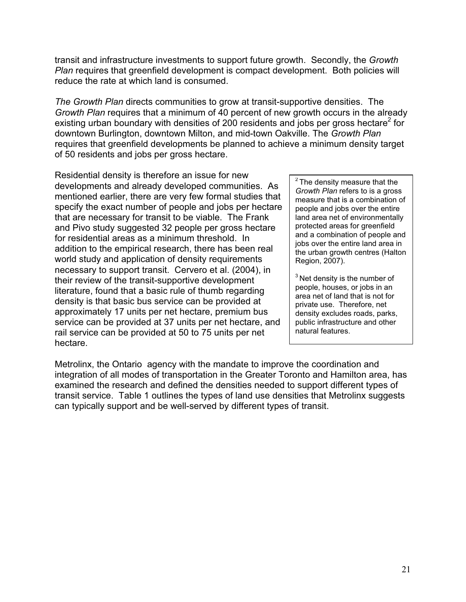transit and infrastructure investments to support future growth. Secondly, the *Growth Plan* requires that greenfield development is compact development. Both policies will reduce the rate at which land is consumed.

*The Growth Plan* directs communities to grow at transit-supportive densities. The *Growth Plan* requires that a minimum of 40 percent of new growth occurs in the already existing urban boundary with densities of 200 residents and jobs per gross hectare<sup>2</sup> for downtown Burlington, downtown Milton, and mid-town Oakville. The *Growth Plan* requires that greenfield developments be planned to achieve a minimum density target of 50 residents and jobs per gross hectare.

Residential density is therefore an issue for new developments and already developed communities. As mentioned earlier, there are very few formal studies that specify the exact number of people and jobs per hectare that are necessary for transit to be viable. The Frank and Pivo study suggested 32 people per gross hectare for residential areas as a minimum threshold. In addition to the empirical research, there has been real world study and application of density requirements necessary to support transit. Cervero et al. (2004), in their review of the transit-supportive development literature, found that a basic rule of thumb regarding density is that basic bus service can be provided at approximately 17 units per net hectare, premium bus service can be provided at 37 units per net hectare, and rail service can be provided at 50 to 75 units per net hectare.

 $2$  The density measure that the *Growth Plan* refers to is a gross measure that is a combination of people and jobs over the entire land area net of environmentally protected areas for greenfield and a combination of people and jobs over the entire land area in the urban growth centres (Halton Region, 2007).

 $3$  Net density is the number of people, houses, or jobs in an area net of land that is not for private use. Therefore, net density excludes roads, parks, public infrastructure and other natural features.

Metrolinx, the Ontario agency with the mandate to improve the coordination and integration of all modes of transportation in the Greater Toronto and Hamilton area, has examined the research and defined the densities needed to support different types of transit service. Table 1 outlines the types of land use densities that Metrolinx suggests can typically support and be well-served by different types of transit.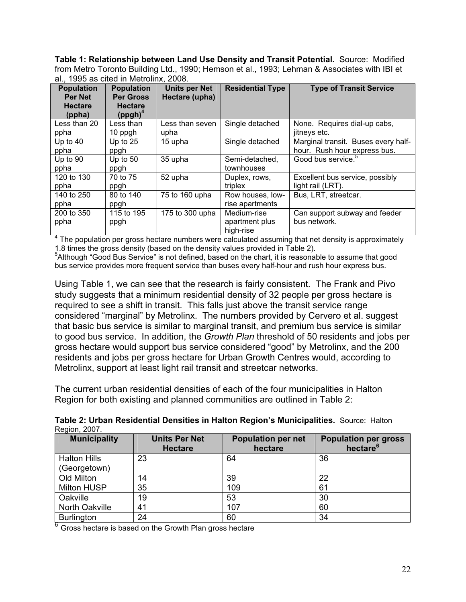**Table 1: Relationship between Land Use Density and Transit Potential.** Source: Modified from Metro Toronto Building Ltd., 1990; Hemson et al., 1993; Lehman & Associates with IBI et al., 1995 as cited in Metrolinx, 2008.

| <b>Population</b><br><b>Per Net</b> | <b>Population</b><br><b>Per Gross</b> | <b>Units per Net</b><br>Hectare (upha) | <b>Residential Type</b> | <b>Type of Transit Service</b>      |
|-------------------------------------|---------------------------------------|----------------------------------------|-------------------------|-------------------------------------|
| <b>Hectare</b><br>(ppha)            | <b>Hectare</b><br>$(ppgh)^4$          |                                        |                         |                                     |
| Less than 20                        | Less than                             | Less than seven                        | Single detached         | None. Requires dial-up cabs,        |
| ppha                                | 10 ppgh                               | upha                                   |                         | jitneys etc.                        |
| Up to $40$                          | Up to $25$                            | 15 upha                                | Single detached         | Marginal transit. Buses every half- |
| ppha                                | ppgh                                  |                                        |                         | hour. Rush hour express bus.        |
| Up to 90                            | Up to $50$                            | 35 upha                                | Semi-detached,          | Good bus service. <sup>5</sup>      |
| ppha                                | ppgh                                  |                                        | townhouses              |                                     |
| 120 to 130                          | 70 to 75                              | 52 upha                                | Duplex, rows,           | Excellent bus service, possibly     |
| ppha                                | ppgh                                  |                                        | triplex                 | light rail (LRT).                   |
| 140 to 250                          | 80 to 140                             | 75 to 160 upha                         | Row houses, low-        | Bus, LRT, streetcar.                |
| ppha                                | ppgh                                  |                                        | rise apartments         |                                     |
| 200 to 350                          | 115 to 195                            | 175 to 300 upha                        | Medium-rise             | Can support subway and feeder       |
| ppha                                | ppgh                                  |                                        | apartment plus          | bus network.                        |
|                                     |                                       |                                        | high-rise               |                                     |

 $4$  The population per gross hectare numbers were calculated assuming that net density is approximately 1.8 times the gross density (based on the density values provided in Table 2).

<sup>5</sup>Although "Good Bus Service" is not defined, based on the chart, it is reasonable to assume that good bus service provides more frequent service than buses every half-hour and rush hour express bus.

Using Table 1, we can see that the research is fairly consistent. The Frank and Pivo study suggests that a minimum residential density of 32 people per gross hectare is required to see a shift in transit. This falls just above the transit service range considered "marginal" by Metrolinx. The numbers provided by Cervero et al. suggest that basic bus service is similar to marginal transit, and premium bus service is similar to good bus service. In addition, the *Growth Plan* threshold of 50 residents and jobs per gross hectare would support bus service considered "good" by Metrolinx, and the 200 residents and jobs per gross hectare for Urban Growth Centres would, according to Metrolinx, support at least light rail transit and streetcar networks.

The current urban residential densities of each of the four municipalities in Halton Region for both existing and planned communities are outlined in Table 2:

| Table 2: Urban Residential Densities in Halton Region's Municipalities. Source: Halton |  |
|----------------------------------------------------------------------------------------|--|
| Region, 2007.                                                                          |  |

| <b>Municipality</b>   | <b>Units Per Net</b><br><b>Hectare</b> | <b>Population per net</b><br>hectare | <b>Population per gross</b><br>hectare <sup>6</sup> |
|-----------------------|----------------------------------------|--------------------------------------|-----------------------------------------------------|
| <b>Halton Hills</b>   | 23                                     | 64                                   | 36                                                  |
|                       |                                        |                                      |                                                     |
| (Georgetown)          |                                        |                                      |                                                     |
| Old Milton            | 14                                     | 39                                   | 22                                                  |
| <b>Milton HUSP</b>    | 35                                     | 109                                  | 61                                                  |
| Oakville              | 19                                     | 53                                   | 30                                                  |
| <b>North Oakville</b> | 41                                     | 107                                  | 60                                                  |
| <b>Burlington</b>     | 24                                     | 60                                   | 34                                                  |

 $6$  Gross hectare is based on the Growth Plan gross hectare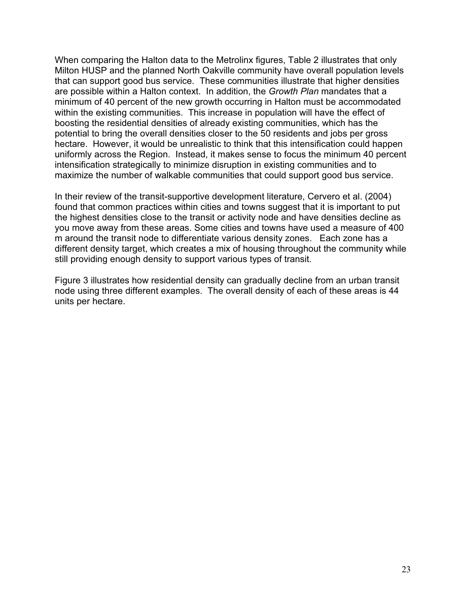When comparing the Halton data to the Metrolinx figures, Table 2 illustrates that only Milton HUSP and the planned North Oakville community have overall population levels that can support good bus service. These communities illustrate that higher densities are possible within a Halton context. In addition, the *Growth Plan* mandates that a minimum of 40 percent of the new growth occurring in Halton must be accommodated within the existing communities. This increase in population will have the effect of boosting the residential densities of already existing communities, which has the potential to bring the overall densities closer to the 50 residents and jobs per gross hectare. However, it would be unrealistic to think that this intensification could happen uniformly across the Region. Instead, it makes sense to focus the minimum 40 percent intensification strategically to minimize disruption in existing communities and to maximize the number of walkable communities that could support good bus service.

In their review of the transit-supportive development literature, Cervero et al. (2004) found that common practices within cities and towns suggest that it is important to put the highest densities close to the transit or activity node and have densities decline as you move away from these areas. Some cities and towns have used a measure of 400 m around the transit node to differentiate various density zones. Each zone has a different density target, which creates a mix of housing throughout the community while still providing enough density to support various types of transit.

Figure 3 illustrates how residential density can gradually decline from an urban transit node using three different examples. The overall density of each of these areas is 44 units per hectare.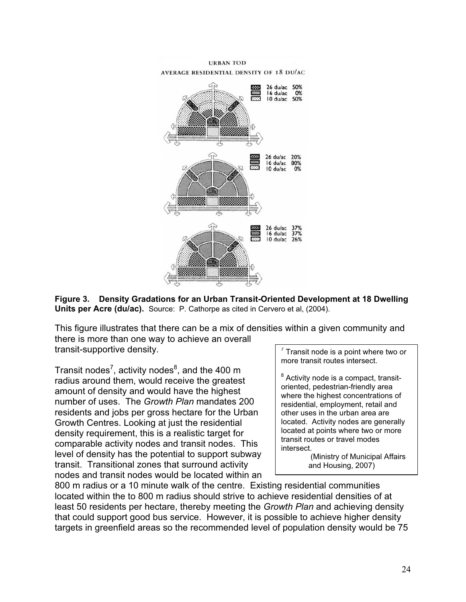



This figure illustrates that there can be a mix of densities within a given community and there is more than one way to achieve an overall transit-supportive density.

Transit nodes<sup>7</sup>, activity nodes $^8$ , and the 400 m radius around them, would receive the greatest amount of density and would have the highest number of uses. The *Growth Plan* mandates 200 residents and jobs per gross hectare for the Urban Growth Centres. Looking at just the residential density requirement, this is a realistic target for comparable activity nodes and transit nodes. This level of density has the potential to support subway transit. Transitional zones that surround activity nodes and transit nodes would be located within an

 $7$  Transit node is a point where two or more transit routes intersect.

 $^8$  Activity node is a compact, transitoriented, pedestrian-friendly area where the highest concentrations of residential, employment, retail and other uses in the urban area are located. Activity nodes are generally located at points where two or more transit routes or travel modes intersect.

 (Ministry of Municipal Affairs and Housing, 2007)

800 m radius or a 10 minute walk of the centre. Existing residential communities located within the to 800 m radius should strive to achieve residential densities of at least 50 residents per hectare, thereby meeting the *Growth Plan* and achieving density that could support good bus service. However, it is possible to achieve higher density targets in greenfield areas so the recommended level of population density would be 75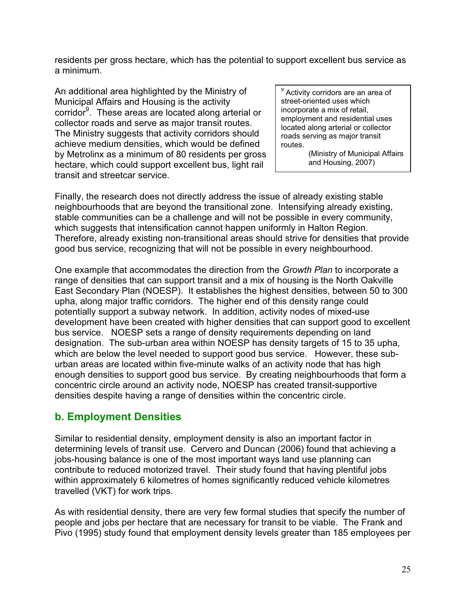residents per gross hectare, which has the potential to support excellent bus service as a minimum.

An additional area highlighted by the Ministry of Municipal Affairs and Housing is the activity corridor<sup>9</sup>. These areas are located along arterial or collector roads and serve as major transit routes. The Ministry suggests that activity corridors should achieve medium densities, which would be defined by Metrolinx as a minimum of 80 residents per gross hectare, which could support excellent bus, light rail transit and streetcar service.

<sup>9</sup> Activity corridors are an area of street-oriented uses which incorporate a mix of retail, employment and residential uses located along arterial or collector roads serving as major transit routes.

> (Ministry of Municipal Affairs and Housing, 2007)

Finally, the research does not directly address the issue of already existing stable neighbourhoods that are beyond the transitional zone. Intensifying already existing, stable communities can be a challenge and will not be possible in every community, which suggests that intensification cannot happen uniformly in Halton Region. Therefore, already existing non-transitional areas should strive for densities that provide good bus service, recognizing that will not be possible in every neighbourhood.

One example that accommodates the direction from the *Growth Plan* to incorporate a range of densities that can support transit and a mix of housing is the North Oakville East Secondary Plan (NOESP). It establishes the highest densities, between 50 to 300 upha, along major traffic corridors. The higher end of this density range could potentially support a subway network. In addition, activity nodes of mixed-use development have been created with higher densities that can support good to excellent bus service. NOESP sets a range of density requirements depending on land designation. The sub-urban area within NOESP has density targets of 15 to 35 upha, which are below the level needed to support good bus service. However, these suburban areas are located within five-minute walks of an activity node that has high enough densities to support good bus service. By creating neighbourhoods that form a concentric circle around an activity node, NOESP has created transit-supportive densities despite having a range of densities within the concentric circle.

# **b. Employment Densities**

Similar to residential density, employment density is also an important factor in determining levels of transit use. Cervero and Duncan (2006) found that achieving a jobs-housing balance is one of the most important ways land use planning can contribute to reduced motorized travel. Their study found that having plentiful jobs within approximately 6 kilometres of homes significantly reduced vehicle kilometres travelled (VKT) for work trips.

As with residential density, there are very few formal studies that specify the number of people and jobs per hectare that are necessary for transit to be viable. The Frank and Pivo (1995) study found that employment density levels greater than 185 employees per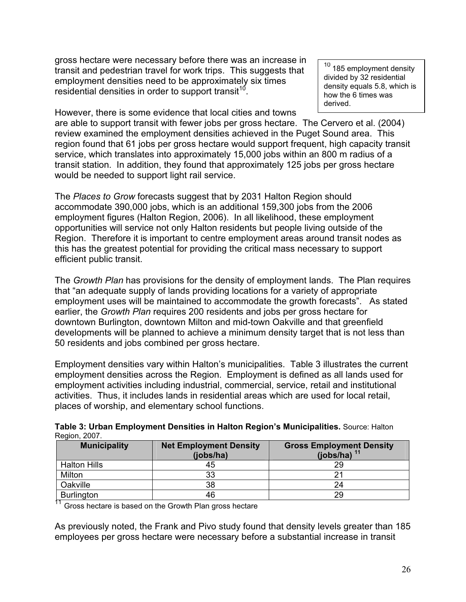gross hectare were necessary before there was an increase in transit and pedestrian travel for work trips. This suggests that employment densities need to be approximately six times residential densities in order to support transit<sup>10</sup>.

However, there is some evidence that local cities and towns

 $10$  185 employment density divided by 32 residential density equals 5.8, which is how the 6 times was derived.

are able to support transit with fewer jobs per gross hectare. The Cervero et al. (2004) review examined the employment densities achieved in the Puget Sound area. This region found that 61 jobs per gross hectare would support frequent, high capacity transit service, which translates into approximately 15,000 jobs within an 800 m radius of a transit station. In addition, they found that approximately 125 jobs per gross hectare would be needed to support light rail service.

The *Places to Grow* forecasts suggest that by 2031 Halton Region should accommodate 390,000 jobs, which is an additional 159,300 jobs from the 2006 employment figures (Halton Region, 2006). In all likelihood, these employment opportunities will service not only Halton residents but people living outside of the Region. Therefore it is important to centre employment areas around transit nodes as this has the greatest potential for providing the critical mass necessary to support efficient public transit.

The *Growth Plan* has provisions for the density of employment lands. The Plan requires that "an adequate supply of lands providing locations for a variety of appropriate employment uses will be maintained to accommodate the growth forecasts". As stated earlier, the *Growth Plan* requires 200 residents and jobs per gross hectare for downtown Burlington, downtown Milton and mid-town Oakville and that greenfield developments will be planned to achieve a minimum density target that is not less than 50 residents and jobs combined per gross hectare.

Employment densities vary within Halton's municipalities. Table 3 illustrates the current employment densities across the Region. Employment is defined as all lands used for employment activities including industrial, commercial, service, retail and institutional activities. Thus, it includes lands in residential areas which are used for local retail, places of worship, and elementary school functions.

| <b>Municipality</b> | <b>Net Employment Density</b><br>(ibbs/ha) | <b>Gross Employment Density</b><br>(jobs/ha) $11$ |
|---------------------|--------------------------------------------|---------------------------------------------------|
| <b>Halton Hills</b> | 45                                         | 29                                                |
| Milton              | 33                                         |                                                   |
| Oakville            | 38                                         | 24                                                |
| Burlington          | 46                                         | 29                                                |

**Table 3: Urban Employment Densities in Halton Region's Municipalities.** Source: Halton Region, 2007.

<sup>11</sup> Gross hectare is based on the Growth Plan gross hectare

As previously noted, the Frank and Pivo study found that density levels greater than 185 employees per gross hectare were necessary before a substantial increase in transit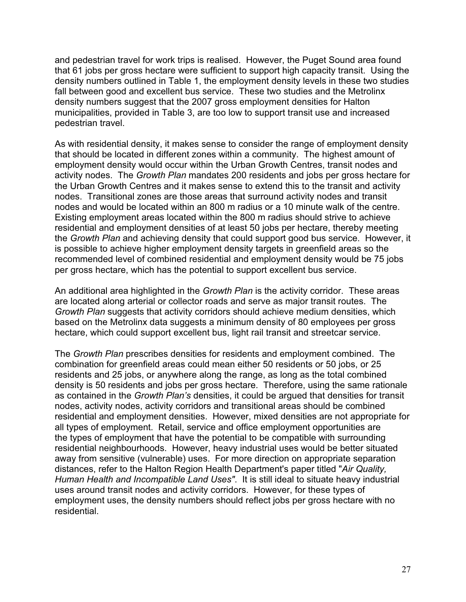and pedestrian travel for work trips is realised. However, the Puget Sound area found that 61 jobs per gross hectare were sufficient to support high capacity transit. Using the density numbers outlined in Table 1, the employment density levels in these two studies fall between good and excellent bus service. These two studies and the Metrolinx density numbers suggest that the 2007 gross employment densities for Halton municipalities, provided in Table 3, are too low to support transit use and increased pedestrian travel.

As with residential density, it makes sense to consider the range of employment density that should be located in different zones within a community. The highest amount of employment density would occur within the Urban Growth Centres, transit nodes and activity nodes. The *Growth Plan* mandates 200 residents and jobs per gross hectare for the Urban Growth Centres and it makes sense to extend this to the transit and activity nodes. Transitional zones are those areas that surround activity nodes and transit nodes and would be located within an 800 m radius or a 10 minute walk of the centre. Existing employment areas located within the 800 m radius should strive to achieve residential and employment densities of at least 50 jobs per hectare, thereby meeting the *Growth Plan* and achieving density that could support good bus service. However, it is possible to achieve higher employment density targets in greenfield areas so the recommended level of combined residential and employment density would be 75 jobs per gross hectare, which has the potential to support excellent bus service.

An additional area highlighted in the *Growth Plan* is the activity corridor. These areas are located along arterial or collector roads and serve as major transit routes. The *Growth Plan* suggests that activity corridors should achieve medium densities, which based on the Metrolinx data suggests a minimum density of 80 employees per gross hectare, which could support excellent bus, light rail transit and streetcar service.

The *Growth Plan* prescribes densities for residents and employment combined. The combination for greenfield areas could mean either 50 residents or 50 jobs, or 25 residents and 25 jobs, or anywhere along the range, as long as the total combined density is 50 residents and jobs per gross hectare. Therefore, using the same rationale as contained in the *Growth Plan's* densities, it could be argued that densities for transit nodes, activity nodes, activity corridors and transitional areas should be combined residential and employment densities. However, mixed densities are not appropriate for all types of employment. Retail, service and office employment opportunities are the types of employment that have the potential to be compatible with surrounding residential neighbourhoods. However, heavy industrial uses would be better situated away from sensitive (vulnerable) uses. For more direction on appropriate separation distances, refer to the Halton Region Health Department's paper titled "*Air Quality, Human Health and Incompatible Land Uses"*. It is still ideal to situate heavy industrial uses around transit nodes and activity corridors. However, for these types of employment uses, the density numbers should reflect jobs per gross hectare with no residential.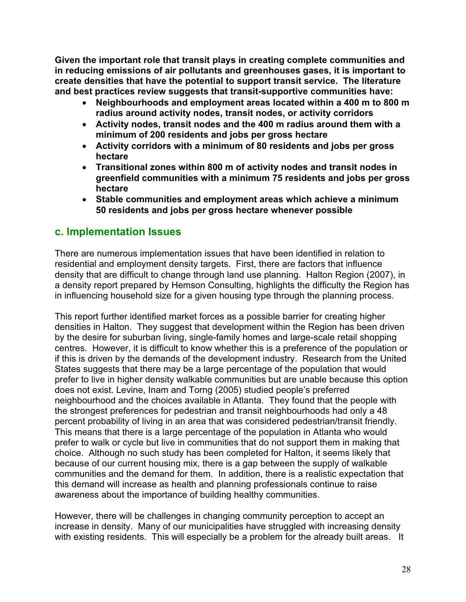**Given the important role that transit plays in creating complete communities and in reducing emissions of air pollutants and greenhouses gases, it is important to create densities that have the potential to support transit service. The literature and best practices review suggests that transit-supportive communities have:** 

- x **Neighbourhoods and employment areas located within a 400 m to 800 m radius around activity nodes, transit nodes, or activity corridors**
- x **Activity nodes, transit nodes and the 400 m radius around them with a minimum of 200 residents and jobs per gross hectare**
- x **Activity corridors with a minimum of 80 residents and jobs per gross hectare**
- **Transitional zones within 800 m of activity nodes and transit nodes in greenfield communities with a minimum 75 residents and jobs per gross hectare**
- x **Stable communities and employment areas which achieve a minimum 50 residents and jobs per gross hectare whenever possible**

# **c. Implementation Issues**

There are numerous implementation issues that have been identified in relation to residential and employment density targets. First, there are factors that influence density that are difficult to change through land use planning. Halton Region (2007), in a density report prepared by Hemson Consulting, highlights the difficulty the Region has in influencing household size for a given housing type through the planning process.

This report further identified market forces as a possible barrier for creating higher densities in Halton. They suggest that development within the Region has been driven by the desire for suburban living, single-family homes and large-scale retail shopping centres. However, it is difficult to know whether this is a preference of the population or if this is driven by the demands of the development industry. Research from the United States suggests that there may be a large percentage of the population that would prefer to live in higher density walkable communities but are unable because this option does not exist. Levine, Inam and Torng (2005) studied people's preferred neighbourhood and the choices available in Atlanta. They found that the people with the strongest preferences for pedestrian and transit neighbourhoods had only a 48 percent probability of living in an area that was considered pedestrian/transit friendly. This means that there is a large percentage of the population in Atlanta who would prefer to walk or cycle but live in communities that do not support them in making that choice. Although no such study has been completed for Halton, it seems likely that because of our current housing mix, there is a gap between the supply of walkable communities and the demand for them. In addition, there is a realistic expectation that this demand will increase as health and planning professionals continue to raise awareness about the importance of building healthy communities.

However, there will be challenges in changing community perception to accept an increase in density. Many of our municipalities have struggled with increasing density with existing residents. This will especially be a problem for the already built areas. It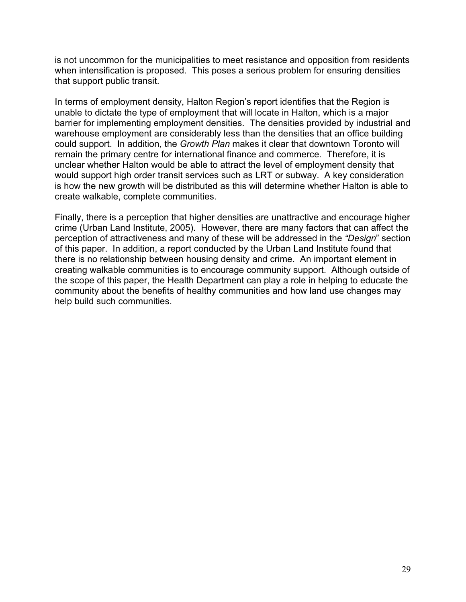is not uncommon for the municipalities to meet resistance and opposition from residents when intensification is proposed. This poses a serious problem for ensuring densities that support public transit.

In terms of employment density, Halton Region's report identifies that the Region is unable to dictate the type of employment that will locate in Halton, which is a major barrier for implementing employment densities. The densities provided by industrial and warehouse employment are considerably less than the densities that an office building could support. In addition, the *Growth Plan* makes it clear that downtown Toronto will remain the primary centre for international finance and commerce. Therefore, it is unclear whether Halton would be able to attract the level of employment density that would support high order transit services such as LRT or subway. A key consideration is how the new growth will be distributed as this will determine whether Halton is able to create walkable, complete communities.

Finally, there is a perception that higher densities are unattractive and encourage higher crime (Urban Land Institute, 2005). However, there are many factors that can affect the perception of attractiveness and many of these will be addressed in the *"Design*" section of this paper. In addition, a report conducted by the Urban Land Institute found that there is no relationship between housing density and crime. An important element in creating walkable communities is to encourage community support. Although outside of the scope of this paper, the Health Department can play a role in helping to educate the community about the benefits of healthy communities and how land use changes may help build such communities.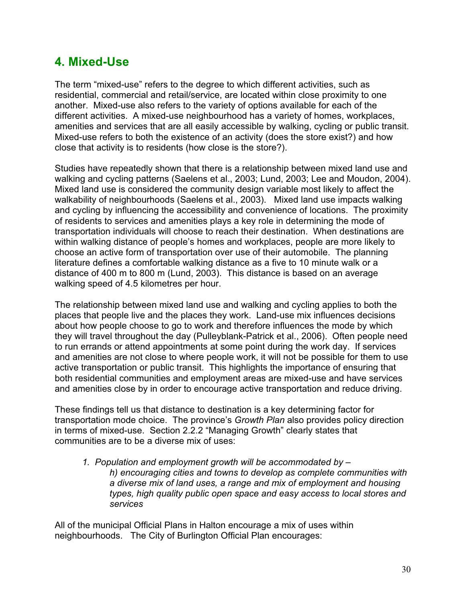# **4. Mixed-Use**

The term "mixed-use" refers to the degree to which different activities, such as residential, commercial and retail/service, are located within close proximity to one another. Mixed-use also refers to the variety of options available for each of the different activities. A mixed-use neighbourhood has a variety of homes, workplaces, amenities and services that are all easily accessible by walking, cycling or public transit. Mixed-use refers to both the existence of an activity (does the store exist?) and how close that activity is to residents (how close is the store?).

Studies have repeatedly shown that there is a relationship between mixed land use and walking and cycling patterns (Saelens et al., 2003; Lund, 2003; Lee and Moudon, 2004). Mixed land use is considered the community design variable most likely to affect the walkability of neighbourhoods (Saelens et al., 2003). Mixed land use impacts walking and cycling by influencing the accessibility and convenience of locations. The proximity of residents to services and amenities plays a key role in determining the mode of transportation individuals will choose to reach their destination. When destinations are within walking distance of people's homes and workplaces, people are more likely to choose an active form of transportation over use of their automobile. The planning literature defines a comfortable walking distance as a five to 10 minute walk or a distance of 400 m to 800 m (Lund, 2003). This distance is based on an average walking speed of 4.5 kilometres per hour.

The relationship between mixed land use and walking and cycling applies to both the places that people live and the places they work. Land-use mix influences decisions about how people choose to go to work and therefore influences the mode by which they will travel throughout the day (Pulleyblank-Patrick et al., 2006). Often people need to run errands or attend appointments at some point during the work day. If services and amenities are not close to where people work, it will not be possible for them to use active transportation or public transit. This highlights the importance of ensuring that both residential communities and employment areas are mixed-use and have services and amenities close by in order to encourage active transportation and reduce driving.

These findings tell us that distance to destination is a key determining factor for transportation mode choice. The province's *Growth Plan* also provides policy direction in terms of mixed-use. Section 2.2.2 "Managing Growth" clearly states that communities are to be a diverse mix of uses:

*1. Population and employment growth will be accommodated by – h) encouraging cities and towns to develop as complete communities with a diverse mix of land uses, a range and mix of employment and housing types, high quality public open space and easy access to local stores and services*

All of the municipal Official Plans in Halton encourage a mix of uses within neighbourhoods. The City of Burlington Official Plan encourages: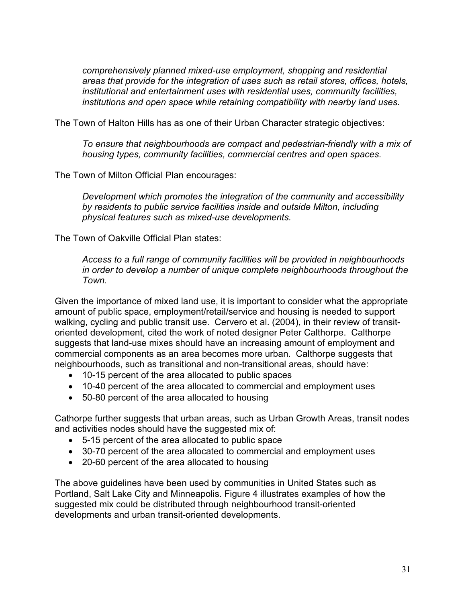*comprehensively planned mixed-use employment, shopping and residential areas that provide for the integration of uses such as retail stores, offices, hotels, institutional and entertainment uses with residential uses, community facilities, institutions and open space while retaining compatibility with nearby land uses.* 

The Town of Halton Hills has as one of their Urban Character strategic objectives:

*To ensure that neighbourhoods are compact and pedestrian-friendly with a mix of housing types, community facilities, commercial centres and open spaces.* 

The Town of Milton Official Plan encourages:

*Development which promotes the integration of the community and accessibility by residents to public service facilities inside and outside Milton, including physical features such as mixed-use developments.* 

The Town of Oakville Official Plan states:

*Access to a full range of community facilities will be provided in neighbourhoods in order to develop a number of unique complete neighbourhoods throughout the Town.*

Given the importance of mixed land use, it is important to consider what the appropriate amount of public space, employment/retail/service and housing is needed to support walking, cycling and public transit use. Cervero et al. (2004), in their review of transitoriented development, cited the work of noted designer Peter Calthorpe. Calthorpe suggests that land-use mixes should have an increasing amount of employment and commercial components as an area becomes more urban. Calthorpe suggests that neighbourhoods, such as transitional and non-transitional areas, should have:

- 10-15 percent of the area allocated to public spaces
- 10-40 percent of the area allocated to commercial and employment uses
- $\bullet$  50-80 percent of the area allocated to housing

Cathorpe further suggests that urban areas, such as Urban Growth Areas, transit nodes and activities nodes should have the suggested mix of:

- $\bullet$  5-15 percent of the area allocated to public space
- 30-70 percent of the area allocated to commercial and employment uses
- $\bullet$  20-60 percent of the area allocated to housing

The above guidelines have been used by communities in United States such as Portland, Salt Lake City and Minneapolis. Figure 4 illustrates examples of how the suggested mix could be distributed through neighbourhood transit-oriented developments and urban transit-oriented developments.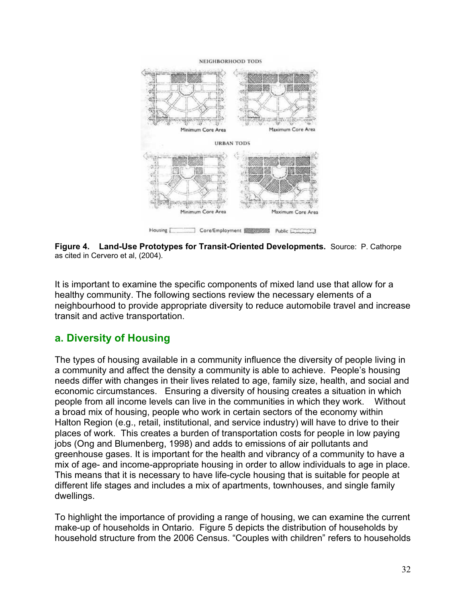

**Figure 4. Land-Use Prototypes for Transit-Oriented Developments.** Source: P. Cathorpe as cited in Cervero et al, (2004).

It is important to examine the specific components of mixed land use that allow for a healthy community. The following sections review the necessary elements of a neighbourhood to provide appropriate diversity to reduce automobile travel and increase transit and active transportation.

# **a. Diversity of Housing**

The types of housing available in a community influence the diversity of people living in a community and affect the density a community is able to achieve. People's housing needs differ with changes in their lives related to age, family size, health, and social and economic circumstances. Ensuring a diversity of housing creates a situation in which people from all income levels can live in the communities in which they work. Without a broad mix of housing, people who work in certain sectors of the economy within Halton Region (e.g., retail, institutional, and service industry) will have to drive to their places of work. This creates a burden of transportation costs for people in low paying jobs (Ong and Blumenberg, 1998) and adds to emissions of air pollutants and greenhouse gases. It is important for the health and vibrancy of a community to have a mix of age- and income-appropriate housing in order to allow individuals to age in place. This means that it is necessary to have life-cycle housing that is suitable for people at different life stages and includes a mix of apartments, townhouses, and single family dwellings.

To highlight the importance of providing a range of housing, we can examine the current make-up of households in Ontario. Figure 5 depicts the distribution of households by household structure from the 2006 Census. "Couples with children" refers to households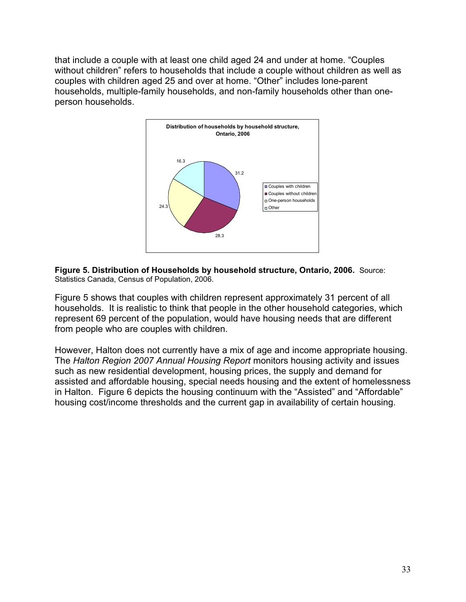that include a couple with at least one child aged 24 and under at home. "Couples without children" refers to households that include a couple without children as well as couples with children aged 25 and over at home. "Other" includes lone-parent households, multiple-family households, and non-family households other than oneperson households.



**Figure 5. Distribution of Households by household structure, Ontario, 2006.** Source: Statistics Canada, Census of Population, 2006.

Figure 5 shows that couples with children represent approximately 31 percent of all households. It is realistic to think that people in the other household categories, which represent 69 percent of the population, would have housing needs that are different from people who are couples with children.

However, Halton does not currently have a mix of age and income appropriate housing. The *Halton Region 2007 Annual Housing Report* monitors housing activity and issues such as new residential development, housing prices, the supply and demand for assisted and affordable housing, special needs housing and the extent of homelessness in Halton. Figure 6 depicts the housing continuum with the "Assisted" and "Affordable" housing cost/income thresholds and the current gap in availability of certain housing.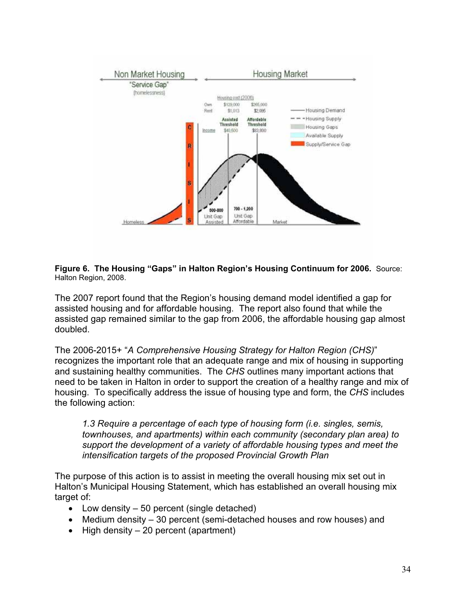

**Figure 6. The Housing "Gaps" in Halton Region's Housing Continuum for 2006.** Source: Halton Region, 2008.

The 2007 report found that the Region's housing demand model identified a gap for assisted housing and for affordable housing. The report also found that while the assisted gap remained similar to the gap from 2006, the affordable housing gap almost doubled.

The 2006-2015+ "*A Comprehensive Housing Strategy for Halton Region (CHS)*" recognizes the important role that an adequate range and mix of housing in supporting and sustaining healthy communities. The *CHS* outlines many important actions that need to be taken in Halton in order to support the creation of a healthy range and mix of housing. To specifically address the issue of housing type and form, the *CHS* includes the following action:

*1.3 Require a percentage of each type of housing form (i.e. singles, semis, townhouses, and apartments) within each community (secondary plan area) to support the development of a variety of affordable housing types and meet the intensification targets of the proposed Provincial Growth Plan* 

The purpose of this action is to assist in meeting the overall housing mix set out in Halton's Municipal Housing Statement, which has established an overall housing mix target of:

- Low density  $-50$  percent (single detached)
- $\bullet$  Medium density 30 percent (semi-detached houses and row houses) and
- $\bullet$  High density 20 percent (apartment)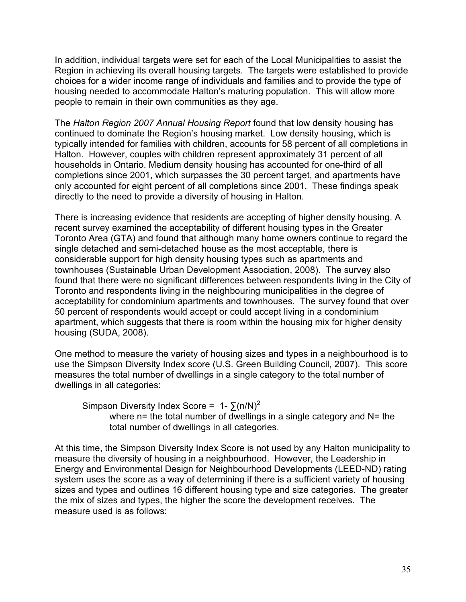In addition, individual targets were set for each of the Local Municipalities to assist the Region in achieving its overall housing targets. The targets were established to provide choices for a wider income range of individuals and families and to provide the type of housing needed to accommodate Halton's maturing population. This will allow more people to remain in their own communities as they age.

The *Halton Region 2007 Annual Housing Report* found that low density housing has continued to dominate the Region's housing market. Low density housing, which is typically intended for families with children, accounts for 58 percent of all completions in Halton. However, couples with children represent approximately 31 percent of all households in Ontario. Medium density housing has accounted for one-third of all completions since 2001, which surpasses the 30 percent target, and apartments have only accounted for eight percent of all completions since 2001. These findings speak directly to the need to provide a diversity of housing in Halton.

There is increasing evidence that residents are accepting of higher density housing. A recent survey examined the acceptability of different housing types in the Greater Toronto Area (GTA) and found that although many home owners continue to regard the single detached and semi-detached house as the most acceptable, there is considerable support for high density housing types such as apartments and townhouses (Sustainable Urban Development Association, 2008). The survey also found that there were no significant differences between respondents living in the City of Toronto and respondents living in the neighbouring municipalities in the degree of acceptability for condominium apartments and townhouses. The survey found that over 50 percent of respondents would accept or could accept living in a condominium apartment, which suggests that there is room within the housing mix for higher density housing (SUDA, 2008).

One method to measure the variety of housing sizes and types in a neighbourhood is to use the Simpson Diversity Index score (U.S. Green Building Council, 2007). This score measures the total number of dwellings in a single category to the total number of dwellings in all categories:

Simpson Diversity Index Score =  $1 - \sum (n/N)^2$ where  $n=$  the total number of dwellings in a single category and  $N=$  the total number of dwellings in all categories.

At this time, the Simpson Diversity Index Score is not used by any Halton municipality to measure the diversity of housing in a neighbourhood. However, the Leadership in Energy and Environmental Design for Neighbourhood Developments (LEED-ND) rating system uses the score as a way of determining if there is a sufficient variety of housing sizes and types and outlines 16 different housing type and size categories. The greater the mix of sizes and types, the higher the score the development receives. The measure used is as follows: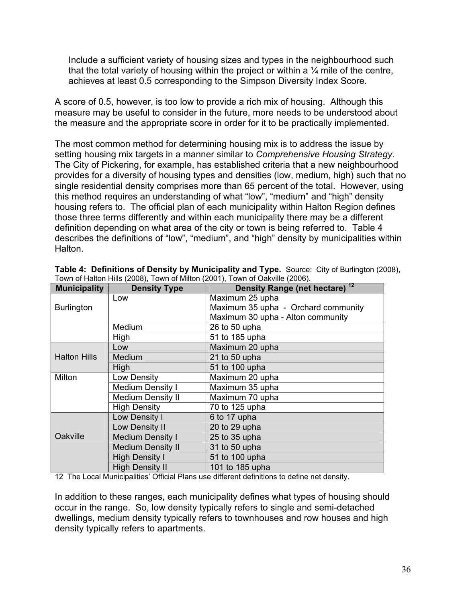Include a sufficient variety of housing sizes and types in the neighbourhood such that the total variety of housing within the project or within a  $\frac{1}{4}$  mile of the centre, achieves at least 0.5 corresponding to the Simpson Diversity Index Score.

A score of 0.5, however, is too low to provide a rich mix of housing. Although this measure may be useful to consider in the future, more needs to be understood about the measure and the appropriate score in order for it to be practically implemented.

The most common method for determining housing mix is to address the issue by setting housing mix targets in a manner similar to *Comprehensive Housing Strategy*. The City of Pickering, for example, has established criteria that a new neighbourhood provides for a diversity of housing types and densities (low, medium, high) such that no single residential density comprises more than 65 percent of the total. However, using this method requires an understanding of what "low", "medium" and "high" density housing refers to. The official plan of each municipality within Halton Region defines those three terms differently and within each municipality there may be a different definition depending on what area of the city or town is being referred to. Table 4 describes the definitions of "low", "medium", and "high" density by municipalities within Halton.

| <b>Municipality</b> | <b>Density Type</b>      | Density Range (net hectare) <sup>12</sup> |
|---------------------|--------------------------|-------------------------------------------|
| <b>Burlington</b>   | Low                      | Maximum 25 upha                           |
|                     |                          | Maximum 35 upha - Orchard community       |
|                     |                          | Maximum 30 upha - Alton community         |
|                     | Medium                   | 26 to 50 upha                             |
|                     | High                     | 51 to 185 upha                            |
|                     | Low                      | Maximum 20 upha                           |
| <b>Halton Hills</b> | Medium                   | 21 to $50$ upha                           |
|                     | High                     | 51 to 100 upha                            |
| Milton              | Low Density              | Maximum 20 upha                           |
|                     | <b>Medium Density I</b>  | Maximum 35 upha                           |
|                     | <b>Medium Density II</b> | Maximum 70 upha                           |
|                     | <b>High Density</b>      | 70 to 125 upha                            |
| Oakville            | Low Density I            | 6 to 17 upha                              |
|                     | Low Density II           | 20 to 29 upha                             |
|                     | <b>Medium Density I</b>  | 25 to 35 upha                             |
|                     | <b>Medium Density II</b> | 31 to 50 upha                             |
|                     | <b>High Density I</b>    | 51 to 100 upha                            |
|                     | <b>High Density II</b>   | 101 to 185 upha                           |

**Table 4: Definitions of Density by Municipality and Type.** Source: City of Burlington (2008), Town of Halton Hills (2008), Town of Milton (2001), Town of Oakville (2006).

12 The Local Municipalities' Official Plans use different definitions to define net density.

In addition to these ranges, each municipality defines what types of housing should occur in the range. So, low density typically refers to single and semi-detached dwellings, medium density typically refers to townhouses and row houses and high density typically refers to apartments.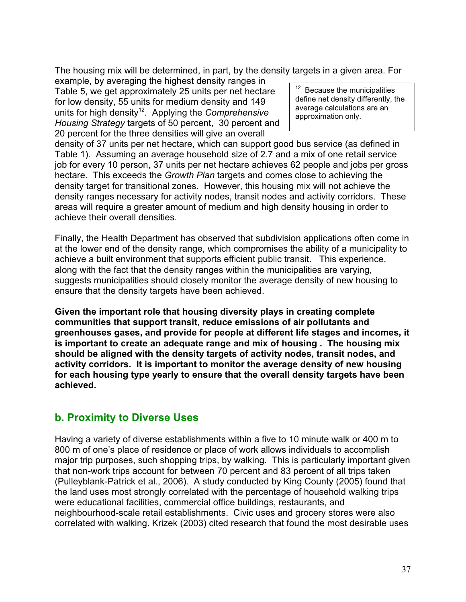The housing mix will be determined, in part, by the density targets in a given area. For

example, by averaging the highest density ranges in Table 5, we get approximately 25 units per net hectare for low density, 55 units for medium density and 149 units for high density<sup>12</sup>. Applying the *Comprehensive Housing Strategy* targets of 50 percent, 30 percent and 20 percent for the three densities will give an overall

 $12$  Because the municipalities define net density differently, the average calculations are an approximation only.

density of 37 units per net hectare, which can support good bus service (as defined in Table 1). Assuming an average household size of 2.7 and a mix of one retail service job for every 10 person, 37 units per net hectare achieves 62 people and jobs per gross hectare. This exceeds the *Growth Plan* targets and comes close to achieving the density target for transitional zones. However, this housing mix will not achieve the density ranges necessary for activity nodes, transit nodes and activity corridors. These areas will require a greater amount of medium and high density housing in order to achieve their overall densities.

Finally, the Health Department has observed that subdivision applications often come in at the lower end of the density range, which compromises the ability of a municipality to achieve a built environment that supports efficient public transit. This experience, along with the fact that the density ranges within the municipalities are varying, suggests municipalities should closely monitor the average density of new housing to ensure that the density targets have been achieved.

**Given the important role that housing diversity plays in creating complete communities that support transit, reduce emissions of air pollutants and greenhouses gases, and provide for people at different life stages and incomes, it is important to create an adequate range and mix of housing . The housing mix should be aligned with the density targets of activity nodes, transit nodes, and activity corridors. It is important to monitor the average density of new housing for each housing type yearly to ensure that the overall density targets have been achieved.**

# **b. Proximity to Diverse Uses**

Having a variety of diverse establishments within a five to 10 minute walk or 400 m to 800 m of one's place of residence or place of work allows individuals to accomplish major trip purposes, such shopping trips, by walking. This is particularly important given that non-work trips account for between 70 percent and 83 percent of all trips taken (Pulleyblank-Patrick et al., 2006). A study conducted by King County (2005) found that the land uses most strongly correlated with the percentage of household walking trips were educational facilities, commercial office buildings, restaurants, and neighbourhood-scale retail establishments. Civic uses and grocery stores were also correlated with walking. Krizek (2003) cited research that found the most desirable uses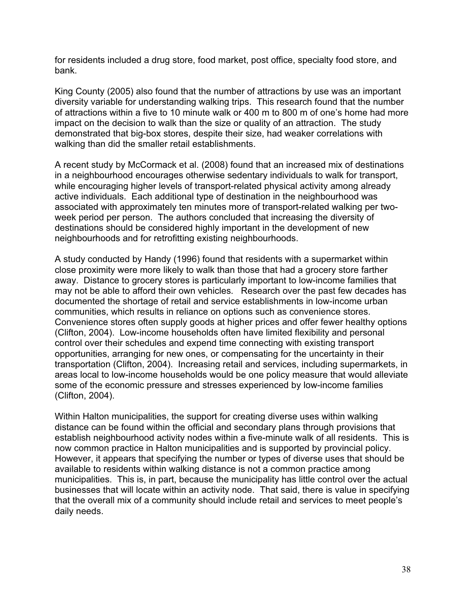for residents included a drug store, food market, post office, specialty food store, and bank.

King County (2005) also found that the number of attractions by use was an important diversity variable for understanding walking trips. This research found that the number of attractions within a five to 10 minute walk or 400 m to 800 m of one's home had more impact on the decision to walk than the size or quality of an attraction. The study demonstrated that big-box stores, despite their size, had weaker correlations with walking than did the smaller retail establishments.

A recent study by McCormack et al. (2008) found that an increased mix of destinations in a neighbourhood encourages otherwise sedentary individuals to walk for transport, while encouraging higher levels of transport-related physical activity among already active individuals. Each additional type of destination in the neighbourhood was associated with approximately ten minutes more of transport-related walking per twoweek period per person. The authors concluded that increasing the diversity of destinations should be considered highly important in the development of new neighbourhoods and for retrofitting existing neighbourhoods.

A study conducted by Handy (1996) found that residents with a supermarket within close proximity were more likely to walk than those that had a grocery store farther away. Distance to grocery stores is particularly important to low-income families that may not be able to afford their own vehicles. Research over the past few decades has documented the shortage of retail and service establishments in low-income urban communities, which results in reliance on options such as convenience stores. Convenience stores often supply goods at higher prices and offer fewer healthy options (Clifton, 2004). Low-income households often have limited flexibility and personal control over their schedules and expend time connecting with existing transport opportunities, arranging for new ones, or compensating for the uncertainty in their transportation (Clifton, 2004). Increasing retail and services, including supermarkets, in areas local to low-income households would be one policy measure that would alleviate some of the economic pressure and stresses experienced by low-income families (Clifton, 2004).

Within Halton municipalities, the support for creating diverse uses within walking distance can be found within the official and secondary plans through provisions that establish neighbourhood activity nodes within a five-minute walk of all residents. This is now common practice in Halton municipalities and is supported by provincial policy. However, it appears that specifying the number or types of diverse uses that should be available to residents within walking distance is not a common practice among municipalities. This is, in part, because the municipality has little control over the actual businesses that will locate within an activity node. That said, there is value in specifying that the overall mix of a community should include retail and services to meet people's daily needs.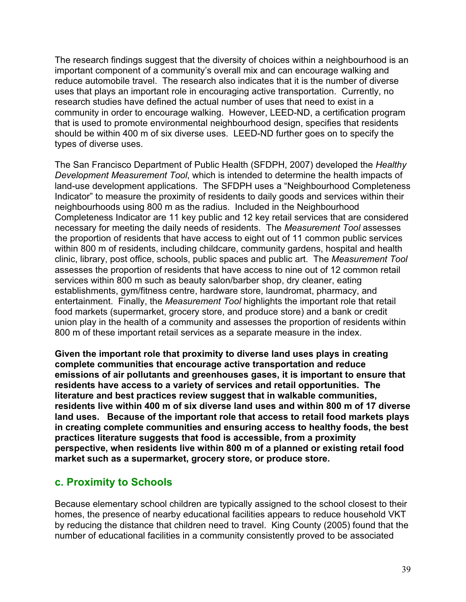The research findings suggest that the diversity of choices within a neighbourhood is an important component of a community's overall mix and can encourage walking and reduce automobile travel. The research also indicates that it is the number of diverse uses that plays an important role in encouraging active transportation. Currently, no research studies have defined the actual number of uses that need to exist in a community in order to encourage walking. However, LEED-ND, a certification program that is used to promote environmental neighbourhood design, specifies that residents should be within 400 m of six diverse uses. LEED-ND further goes on to specify the types of diverse uses.

The San Francisco Department of Public Health (SFDPH, 2007) developed the *Healthy Development Measurement Tool*, which is intended to determine the health impacts of land-use development applications. The SFDPH uses a "Neighbourhood Completeness Indicator" to measure the proximity of residents to daily goods and services within their neighbourhoods using 800 m as the radius. Included in the Neighbourhood Completeness Indicator are 11 key public and 12 key retail services that are considered necessary for meeting the daily needs of residents. The *Measurement Tool* assesses the proportion of residents that have access to eight out of 11 common public services within 800 m of residents, including childcare, community gardens, hospital and health clinic, library, post office, schools, public spaces and public art. The *Measurement Tool* assesses the proportion of residents that have access to nine out of 12 common retail services within 800 m such as beauty salon/barber shop, dry cleaner, eating establishments, gym/fitness centre, hardware store, laundromat, pharmacy, and entertainment. Finally, the *Measurement Tool* highlights the important role that retail food markets (supermarket, grocery store, and produce store) and a bank or credit union play in the health of a community and assesses the proportion of residents within 800 m of these important retail services as a separate measure in the index.

**Given the important role that proximity to diverse land uses plays in creating complete communities that encourage active transportation and reduce emissions of air pollutants and greenhouses gases, it is important to ensure that residents have access to a variety of services and retail opportunities. The literature and best practices review suggest that in walkable communities, residents live within 400 m of six diverse land uses and within 800 m of 17 diverse land uses. Because of the important role that access to retail food markets plays in creating complete communities and ensuring access to healthy foods, the best practices literature suggests that food is accessible, from a proximity perspective, when residents live within 800 m of a planned or existing retail food market such as a supermarket, grocery store, or produce store.** 

## **c. Proximity to Schools**

Because elementary school children are typically assigned to the school closest to their homes, the presence of nearby educational facilities appears to reduce household VKT by reducing the distance that children need to travel. King County (2005) found that the number of educational facilities in a community consistently proved to be associated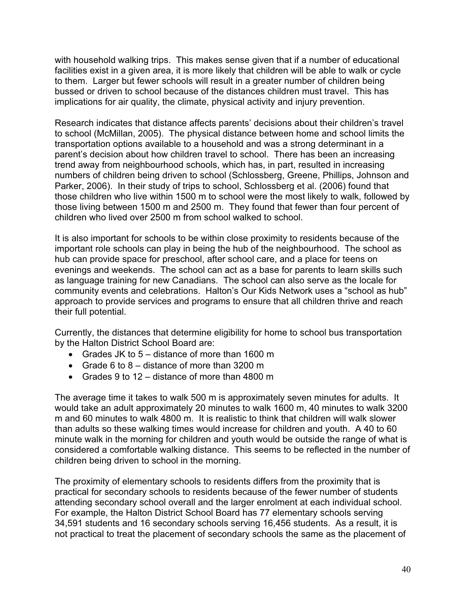with household walking trips. This makes sense given that if a number of educational facilities exist in a given area, it is more likely that children will be able to walk or cycle to them. Larger but fewer schools will result in a greater number of children being bussed or driven to school because of the distances children must travel. This has implications for air quality, the climate, physical activity and injury prevention.

Research indicates that distance affects parents' decisions about their children's travel to school (McMillan, 2005). The physical distance between home and school limits the transportation options available to a household and was a strong determinant in a parent's decision about how children travel to school. There has been an increasing trend away from neighbourhood schools, which has, in part, resulted in increasing numbers of children being driven to school (Schlossberg, Greene, Phillips, Johnson and Parker, 2006). In their study of trips to school, Schlossberg et al. (2006) found that those children who live within 1500 m to school were the most likely to walk, followed by those living between 1500 m and 2500 m. They found that fewer than four percent of children who lived over 2500 m from school walked to school.

It is also important for schools to be within close proximity to residents because of the important role schools can play in being the hub of the neighbourhood. The school as hub can provide space for preschool, after school care, and a place for teens on evenings and weekends. The school can act as a base for parents to learn skills such as language training for new Canadians. The school can also serve as the locale for community events and celebrations. Halton's Our Kids Network uses a "school as hub" approach to provide services and programs to ensure that all children thrive and reach their full potential.

Currently, the distances that determine eligibility for home to school bus transportation by the Halton District School Board are:

- Grades JK to  $5 -$  distance of more than 1600 m
- Grade 6 to  $8 -$  distance of more than 3200 m
- Grades 9 to 12 distance of more than 4800 m

The average time it takes to walk 500 m is approximately seven minutes for adults. It would take an adult approximately 20 minutes to walk 1600 m, 40 minutes to walk 3200 m and 60 minutes to walk 4800 m. It is realistic to think that children will walk slower than adults so these walking times would increase for children and youth. A 40 to 60 minute walk in the morning for children and youth would be outside the range of what is considered a comfortable walking distance. This seems to be reflected in the number of children being driven to school in the morning.

The proximity of elementary schools to residents differs from the proximity that is practical for secondary schools to residents because of the fewer number of students attending secondary school overall and the larger enrolment at each individual school. For example, the Halton District School Board has 77 elementary schools serving 34,591 students and 16 secondary schools serving 16,456 students. As a result, it is not practical to treat the placement of secondary schools the same as the placement of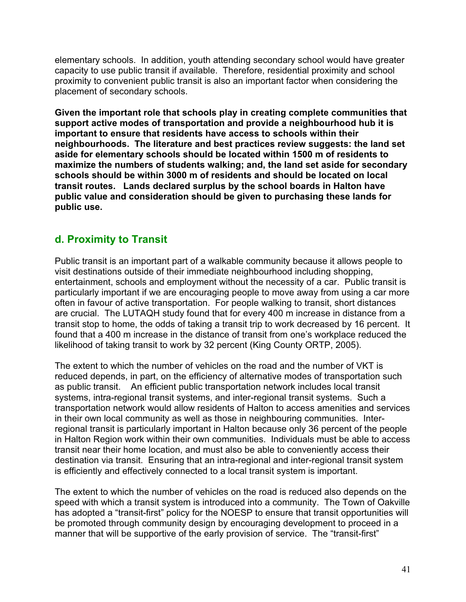elementary schools. In addition, youth attending secondary school would have greater capacity to use public transit if available. Therefore, residential proximity and school proximity to convenient public transit is also an important factor when considering the placement of secondary schools.

**Given the important role that schools play in creating complete communities that support active modes of transportation and provide a neighbourhood hub it is important to ensure that residents have access to schools within their neighbourhoods. The literature and best practices review suggests: the land set aside for elementary schools should be located within 1500 m of residents to maximize the numbers of students walking; and, the land set aside for secondary schools should be within 3000 m of residents and should be located on local transit routes. Lands declared surplus by the school boards in Halton have public value and consideration should be given to purchasing these lands for public use.** 

# **d. Proximity to Transit**

Public transit is an important part of a walkable community because it allows people to visit destinations outside of their immediate neighbourhood including shopping, entertainment, schools and employment without the necessity of a car. Public transit is particularly important if we are encouraging people to move away from using a car more often in favour of active transportation. For people walking to transit, short distances are crucial. The LUTAQH study found that for every 400 m increase in distance from a transit stop to home, the odds of taking a transit trip to work decreased by 16 percent. It found that a 400 m increase in the distance of transit from one's workplace reduced the likelihood of taking transit to work by 32 percent (King County ORTP, 2005).

The extent to which the number of vehicles on the road and the number of VKT is reduced depends, in part, on the efficiency of alternative modes of transportation such as public transit. An efficient public transportation network includes local transit systems, intra-regional transit systems, and inter-regional transit systems. Such a transportation network would allow residents of Halton to access amenities and services in their own local community as well as those in neighbouring communities. Interregional transit is particularly important in Halton because only 36 percent of the people in Halton Region work within their own communities. Individuals must be able to access transit near their home location, and must also be able to conveniently access their destination via transit. Ensuring that an intra-regional and inter-regional transit system is efficiently and effectively connected to a local transit system is important.

The extent to which the number of vehicles on the road is reduced also depends on the speed with which a transit system is introduced into a community. The Town of Oakville has adopted a "transit-first" policy for the NOESP to ensure that transit opportunities will be promoted through community design by encouraging development to proceed in a manner that will be supportive of the early provision of service. The "transit-first"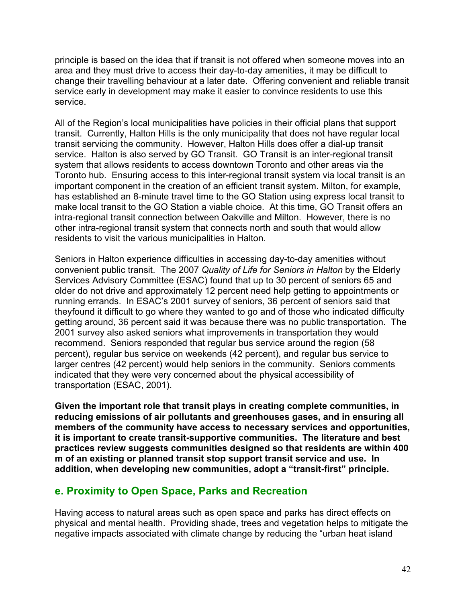principle is based on the idea that if transit is not offered when someone moves into an area and they must drive to access their day-to-day amenities, it may be difficult to change their travelling behaviour at a later date. Offering convenient and reliable transit service early in development may make it easier to convince residents to use this service.

All of the Region's local municipalities have policies in their official plans that support transit. Currently, Halton Hills is the only municipality that does not have regular local transit servicing the community. However, Halton Hills does offer a dial-up transit service. Halton is also served by GO Transit. GO Transit is an inter-regional transit system that allows residents to access downtown Toronto and other areas via the Toronto hub. Ensuring access to this inter-regional transit system via local transit is an important component in the creation of an efficient transit system. Milton, for example, has established an 8-minute travel time to the GO Station using express local transit to make local transit to the GO Station a viable choice. At this time, GO Transit offers an intra-regional transit connection between Oakville and Milton. However, there is no other intra-regional transit system that connects north and south that would allow residents to visit the various municipalities in Halton.

Seniors in Halton experience difficulties in accessing day-to-day amenities without convenient public transit. The 2007 *Quality of Life for Seniors in Halton* by the Elderly Services Advisory Committee (ESAC) found that up to 30 percent of seniors 65 and older do not drive and approximately 12 percent need help getting to appointments or running errands. In ESAC's 2001 survey of seniors, 36 percent of seniors said that theyfound it difficult to go where they wanted to go and of those who indicated difficulty getting around, 36 percent said it was because there was no public transportation. The 2001 survey also asked seniors what improvements in transportation they would recommend. Seniors responded that regular bus service around the region (58 percent), regular bus service on weekends (42 percent), and regular bus service to larger centres (42 percent) would help seniors in the community. Seniors comments indicated that they were very concerned about the physical accessibility of transportation (ESAC, 2001).

**Given the important role that transit plays in creating complete communities, in reducing emissions of air pollutants and greenhouses gases, and in ensuring all members of the community have access to necessary services and opportunities, it is important to create transit-supportive communities. The literature and best practices review suggests communities designed so that residents are within 400 m of an existing or planned transit stop support transit service and use. In addition, when developing new communities, adopt a "transit-first" principle.** 

## **e. Proximity to Open Space, Parks and Recreation**

Having access to natural areas such as open space and parks has direct effects on physical and mental health. Providing shade, trees and vegetation helps to mitigate the negative impacts associated with climate change by reducing the "urban heat island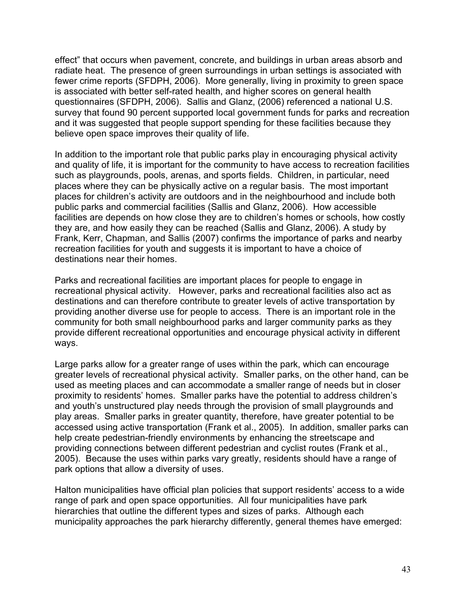effect" that occurs when pavement, concrete, and buildings in urban areas absorb and radiate heat. The presence of green surroundings in urban settings is associated with fewer crime reports (SFDPH, 2006). More generally, living in proximity to green space is associated with better self-rated health, and higher scores on general health questionnaires (SFDPH, 2006). Sallis and Glanz, (2006) referenced a national U.S. survey that found 90 percent supported local government funds for parks and recreation and it was suggested that people support spending for these facilities because they believe open space improves their quality of life.

In addition to the important role that public parks play in encouraging physical activity and quality of life, it is important for the community to have access to recreation facilities such as playgrounds, pools, arenas, and sports fields. Children, in particular, need places where they can be physically active on a regular basis. The most important places for children's activity are outdoors and in the neighbourhood and include both public parks and commercial facilities (Sallis and Glanz, 2006). How accessible facilities are depends on how close they are to children's homes or schools, how costly they are, and how easily they can be reached (Sallis and Glanz, 2006). A study by Frank, Kerr, Chapman, and Sallis (2007) confirms the importance of parks and nearby recreation facilities for youth and suggests it is important to have a choice of destinations near their homes.

Parks and recreational facilities are important places for people to engage in recreational physical activity. However, parks and recreational facilities also act as destinations and can therefore contribute to greater levels of active transportation by providing another diverse use for people to access. There is an important role in the community for both small neighbourhood parks and larger community parks as they provide different recreational opportunities and encourage physical activity in different ways.

Large parks allow for a greater range of uses within the park, which can encourage greater levels of recreational physical activity. Smaller parks, on the other hand, can be used as meeting places and can accommodate a smaller range of needs but in closer proximity to residents' homes. Smaller parks have the potential to address children's and youth's unstructured play needs through the provision of small playgrounds and play areas. Smaller parks in greater quantity, therefore, have greater potential to be accessed using active transportation (Frank et al., 2005). In addition, smaller parks can help create pedestrian-friendly environments by enhancing the streetscape and providing connections between different pedestrian and cyclist routes (Frank et al., 2005). Because the uses within parks vary greatly, residents should have a range of park options that allow a diversity of uses.

Halton municipalities have official plan policies that support residents' access to a wide range of park and open space opportunities. All four municipalities have park hierarchies that outline the different types and sizes of parks. Although each municipality approaches the park hierarchy differently, general themes have emerged: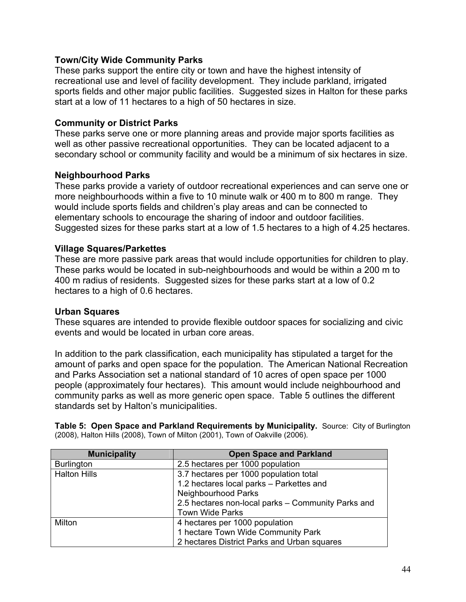### **Town/City Wide Community Parks**

These parks support the entire city or town and have the highest intensity of recreational use and level of facility development. They include parkland, irrigated sports fields and other major public facilities. Suggested sizes in Halton for these parks start at a low of 11 hectares to a high of 50 hectares in size.

### **Community or District Parks**

These parks serve one or more planning areas and provide major sports facilities as well as other passive recreational opportunities. They can be located adjacent to a secondary school or community facility and would be a minimum of six hectares in size.

### **Neighbourhood Parks**

These parks provide a variety of outdoor recreational experiences and can serve one or more neighbourhoods within a five to 10 minute walk or 400 m to 800 m range. They would include sports fields and children's play areas and can be connected to elementary schools to encourage the sharing of indoor and outdoor facilities. Suggested sizes for these parks start at a low of 1.5 hectares to a high of 4.25 hectares.

### **Village Squares/Parkettes**

These are more passive park areas that would include opportunities for children to play. These parks would be located in sub-neighbourhoods and would be within a 200 m to 400 m radius of residents. Suggested sizes for these parks start at a low of 0.2 hectares to a high of 0.6 hectares.

### **Urban Squares**

These squares are intended to provide flexible outdoor spaces for socializing and civic events and would be located in urban core areas.

In addition to the park classification, each municipality has stipulated a target for the amount of parks and open space for the population. The American National Recreation and Parks Association set a national standard of 10 acres of open space per 1000 people (approximately four hectares). This amount would include neighbourhood and community parks as well as more generic open space. Table 5 outlines the different standards set by Halton's municipalities.

**Table 5: Open Space and Parkland Requirements by Municipality.** Source: City of Burlington (2008), Halton Hills (2008), Town of Milton (2001), Town of Oakville (2006).

| <b>Municipality</b> | <b>Open Space and Parkland</b>                     |
|---------------------|----------------------------------------------------|
| <b>Burlington</b>   | 2.5 hectares per 1000 population                   |
| <b>Halton Hills</b> | 3.7 hectares per 1000 population total             |
|                     | 1.2 hectares local parks - Parkettes and           |
|                     | <b>Neighbourhood Parks</b>                         |
|                     | 2.5 hectares non-local parks - Community Parks and |
|                     | <b>Town Wide Parks</b>                             |
| Milton              | 4 hectares per 1000 population                     |
|                     | 1 hectare Town Wide Community Park                 |
|                     | 2 hectares District Parks and Urban squares        |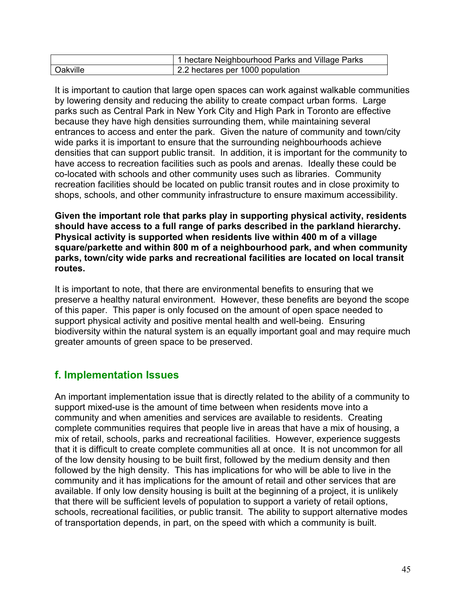|          | 1 hectare Neighbourhood Parks and Village Parks |
|----------|-------------------------------------------------|
| Oakville | 2.2 hectares per 1000 population                |

It is important to caution that large open spaces can work against walkable communities by lowering density and reducing the ability to create compact urban forms. Large parks such as Central Park in New York City and High Park in Toronto are effective because they have high densities surrounding them, while maintaining several entrances to access and enter the park. Given the nature of community and town/city wide parks it is important to ensure that the surrounding neighbourhoods achieve densities that can support public transit. In addition, it is important for the community to have access to recreation facilities such as pools and arenas. Ideally these could be co-located with schools and other community uses such as libraries. Community recreation facilities should be located on public transit routes and in close proximity to shops, schools, and other community infrastructure to ensure maximum accessibility.

**Given the important role that parks play in supporting physical activity, residents should have access to a full range of parks described in the parkland hierarchy. Physical activity is supported when residents live within 400 m of a village square/parkette and within 800 m of a neighbourhood park, and when community parks, town/city wide parks and recreational facilities are located on local transit routes.**

It is important to note, that there are environmental benefits to ensuring that we preserve a healthy natural environment. However, these benefits are beyond the scope of this paper. This paper is only focused on the amount of open space needed to support physical activity and positive mental health and well-being. Ensuring biodiversity within the natural system is an equally important goal and may require much greater amounts of green space to be preserved.

# **f. Implementation Issues**

An important implementation issue that is directly related to the ability of a community to support mixed-use is the amount of time between when residents move into a community and when amenities and services are available to residents. Creating complete communities requires that people live in areas that have a mix of housing, a mix of retail, schools, parks and recreational facilities. However, experience suggests that it is difficult to create complete communities all at once. It is not uncommon for all of the low density housing to be built first, followed by the medium density and then followed by the high density. This has implications for who will be able to live in the community and it has implications for the amount of retail and other services that are available. If only low density housing is built at the beginning of a project, it is unlikely that there will be sufficient levels of population to support a variety of retail options, schools, recreational facilities, or public transit. The ability to support alternative modes of transportation depends, in part, on the speed with which a community is built.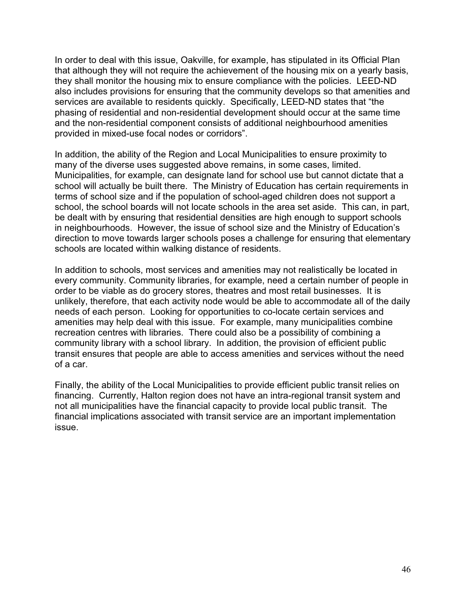In order to deal with this issue, Oakville, for example, has stipulated in its Official Plan that although they will not require the achievement of the housing mix on a yearly basis, they shall monitor the housing mix to ensure compliance with the policies. LEED-ND also includes provisions for ensuring that the community develops so that amenities and services are available to residents quickly. Specifically, LEED-ND states that "the phasing of residential and non-residential development should occur at the same time and the non-residential component consists of additional neighbourhood amenities provided in mixed-use focal nodes or corridors".

In addition, the ability of the Region and Local Municipalities to ensure proximity to many of the diverse uses suggested above remains, in some cases, limited. Municipalities, for example, can designate land for school use but cannot dictate that a school will actually be built there. The Ministry of Education has certain requirements in terms of school size and if the population of school-aged children does not support a school, the school boards will not locate schools in the area set aside. This can, in part, be dealt with by ensuring that residential densities are high enough to support schools in neighbourhoods. However, the issue of school size and the Ministry of Education's direction to move towards larger schools poses a challenge for ensuring that elementary schools are located within walking distance of residents.

In addition to schools, most services and amenities may not realistically be located in every community. Community libraries, for example, need a certain number of people in order to be viable as do grocery stores, theatres and most retail businesses. It is unlikely, therefore, that each activity node would be able to accommodate all of the daily needs of each person. Looking for opportunities to co-locate certain services and amenities may help deal with this issue. For example, many municipalities combine recreation centres with libraries. There could also be a possibility of combining a community library with a school library. In addition, the provision of efficient public transit ensures that people are able to access amenities and services without the need of a car.

Finally, the ability of the Local Municipalities to provide efficient public transit relies on financing. Currently, Halton region does not have an intra-regional transit system and not all municipalities have the financial capacity to provide local public transit. The financial implications associated with transit service are an important implementation issue.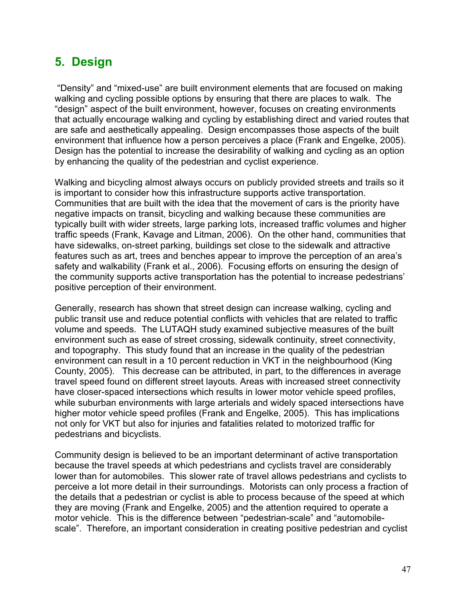# **5. Design**

 "Density" and "mixed-use" are built environment elements that are focused on making walking and cycling possible options by ensuring that there are places to walk. The "design" aspect of the built environment, however, focuses on creating environments that actually encourage walking and cycling by establishing direct and varied routes that are safe and aesthetically appealing. Design encompasses those aspects of the built environment that influence how a person perceives a place (Frank and Engelke, 2005). Design has the potential to increase the desirability of walking and cycling as an option by enhancing the quality of the pedestrian and cyclist experience.

Walking and bicycling almost always occurs on publicly provided streets and trails so it is important to consider how this infrastructure supports active transportation. Communities that are built with the idea that the movement of cars is the priority have negative impacts on transit, bicycling and walking because these communities are typically built with wider streets, large parking lots, increased traffic volumes and higher traffic speeds (Frank, Kavage and Litman, 2006). On the other hand, communities that have sidewalks, on-street parking, buildings set close to the sidewalk and attractive features such as art, trees and benches appear to improve the perception of an area's safety and walkability (Frank et al., 2006). Focusing efforts on ensuring the design of the community supports active transportation has the potential to increase pedestrians' positive perception of their environment.

Generally, research has shown that street design can increase walking, cycling and public transit use and reduce potential conflicts with vehicles that are related to traffic volume and speeds. The LUTAQH study examined subjective measures of the built environment such as ease of street crossing, sidewalk continuity, street connectivity, and topography. This study found that an increase in the quality of the pedestrian environment can result in a 10 percent reduction in VKT in the neighbourhood (King County, 2005). This decrease can be attributed, in part, to the differences in average travel speed found on different street layouts. Areas with increased street connectivity have closer-spaced intersections which results in lower motor vehicle speed profiles, while suburban environments with large arterials and widely spaced intersections have higher motor vehicle speed profiles (Frank and Engelke, 2005). This has implications not only for VKT but also for injuries and fatalities related to motorized traffic for pedestrians and bicyclists.

Community design is believed to be an important determinant of active transportation because the travel speeds at which pedestrians and cyclists travel are considerably lower than for automobiles. This slower rate of travel allows pedestrians and cyclists to perceive a lot more detail in their surroundings. Motorists can only process a fraction of the details that a pedestrian or cyclist is able to process because of the speed at which they are moving (Frank and Engelke, 2005) and the attention required to operate a motor vehicle. This is the difference between "pedestrian-scale" and "automobilescale". Therefore, an important consideration in creating positive pedestrian and cyclist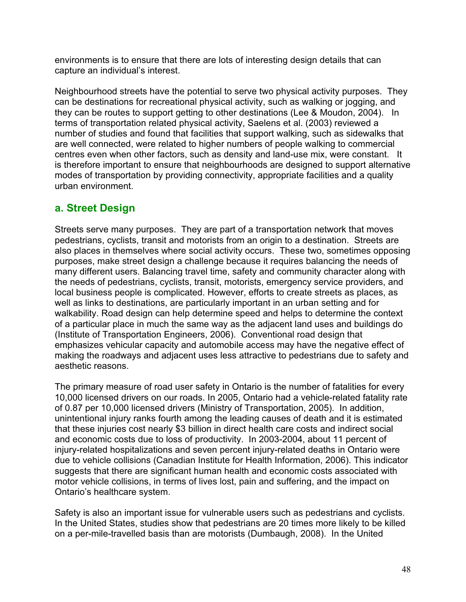environments is to ensure that there are lots of interesting design details that can capture an individual's interest.

Neighbourhood streets have the potential to serve two physical activity purposes. They can be destinations for recreational physical activity, such as walking or jogging, and they can be routes to support getting to other destinations (Lee & Moudon, 2004). In terms of transportation related physical activity, Saelens et al. (2003) reviewed a number of studies and found that facilities that support walking, such as sidewalks that are well connected, were related to higher numbers of people walking to commercial centres even when other factors, such as density and land-use mix, were constant. It is therefore important to ensure that neighbourhoods are designed to support alternative modes of transportation by providing connectivity, appropriate facilities and a quality urban environment.

# **a. Street Design**

Streets serve many purposes. They are part of a transportation network that moves pedestrians, cyclists, transit and motorists from an origin to a destination. Streets are also places in themselves where social activity occurs. These two, sometimes opposing purposes, make street design a challenge because it requires balancing the needs of many different users. Balancing travel time, safety and community character along with the needs of pedestrians, cyclists, transit, motorists, emergency service providers, and local business people is complicated. However, efforts to create streets as places, as well as links to destinations, are particularly important in an urban setting and for walkability. Road design can help determine speed and helps to determine the context of a particular place in much the same way as the adjacent land uses and buildings do (Institute of Transportation Engineers, 2006). Conventional road design that emphasizes vehicular capacity and automobile access may have the negative effect of making the roadways and adjacent uses less attractive to pedestrians due to safety and aesthetic reasons.

The primary measure of road user safety in Ontario is the number of fatalities for every 10,000 licensed drivers on our roads. In 2005, Ontario had a vehicle-related fatality rate of 0.87 per 10,000 licensed drivers (Ministry of Transportation, 2005). In addition, unintentional injury ranks fourth among the leading causes of death and it is estimated that these injuries cost nearly \$3 billion in direct health care costs and indirect social and economic costs due to loss of productivity. In 2003-2004, about 11 percent of injury-related hospitalizations and seven percent injury-related deaths in Ontario were due to vehicle collisions (Canadian Institute for Health Information, 2006). This indicator suggests that there are significant human health and economic costs associated with motor vehicle collisions, in terms of lives lost, pain and suffering, and the impact on Ontario's healthcare system.

Safety is also an important issue for vulnerable users such as pedestrians and cyclists. In the United States, studies show that pedestrians are 20 times more likely to be killed on a per-mile-travelled basis than are motorists (Dumbaugh, 2008). In the United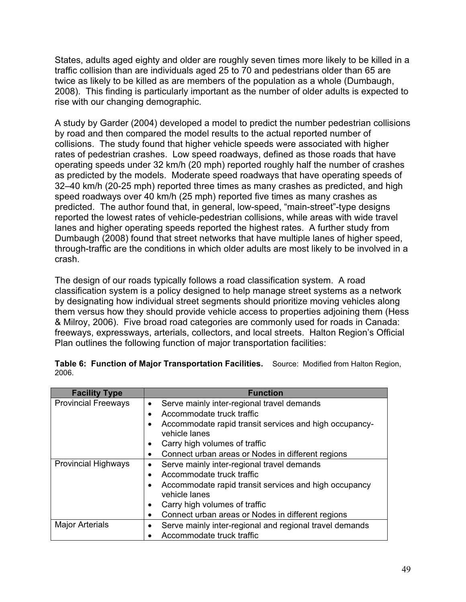States, adults aged eighty and older are roughly seven times more likely to be killed in a traffic collision than are individuals aged 25 to 70 and pedestrians older than 65 are twice as likely to be killed as are members of the population as a whole (Dumbaugh, 2008). This finding is particularly important as the number of older adults is expected to rise with our changing demographic.

A study by Garder (2004) developed a model to predict the number pedestrian collisions by road and then compared the model results to the actual reported number of collisions. The study found that higher vehicle speeds were associated with higher rates of pedestrian crashes. Low speed roadways, defined as those roads that have operating speeds under 32 km/h (20 mph) reported roughly half the number of crashes as predicted by the models. Moderate speed roadways that have operating speeds of 32–40 km/h (20-25 mph) reported three times as many crashes as predicted, and high speed roadways over 40 km/h (25 mph) reported five times as many crashes as predicted. The author found that, in general, low-speed, "main-street"-type designs reported the lowest rates of vehicle-pedestrian collisions, while areas with wide travel lanes and higher operating speeds reported the highest rates. A further study from Dumbaugh (2008) found that street networks that have multiple lanes of higher speed, through-traffic are the conditions in which older adults are most likely to be involved in a crash.

The design of our roads typically follows a road classification system. A road classification system is a policy designed to help manage street systems as a network by designating how individual street segments should prioritize moving vehicles along them versus how they should provide vehicle access to properties adjoining them (Hess & Milroy, 2006). Five broad road categories are commonly used for roads in Canada: freeways, expressways, arterials, collectors, and local streets. Halton Region's Official Plan outlines the following function of major transportation facilities:

| <b>Facility Type</b>       | <b>Function</b>                                                         |
|----------------------------|-------------------------------------------------------------------------|
| <b>Provincial Freeways</b> | Serve mainly inter-regional travel demands                              |
|                            | Accommodate truck traffic                                               |
|                            | Accommodate rapid transit services and high occupancy-<br>vehicle lanes |
|                            | Carry high volumes of traffic                                           |
|                            | Connect urban areas or Nodes in different regions                       |
| <b>Provincial Highways</b> | Serve mainly inter-regional travel demands                              |
|                            | Accommodate truck traffic                                               |
|                            | Accommodate rapid transit services and high occupancy<br>vehicle lanes  |
|                            | Carry high volumes of traffic                                           |
|                            | Connect urban areas or Nodes in different regions                       |
| <b>Major Arterials</b>     | Serve mainly inter-regional and regional travel demands                 |
|                            | Accommodate truck traffic                                               |

**Table 6: Function of Major Transportation Facilities.** Source: Modified from Halton Region, 2006.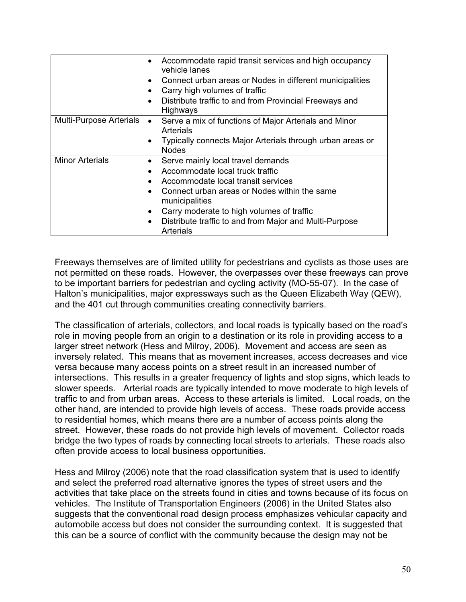|                                | Accommodate rapid transit services and high occupancy<br>vehicle lanes<br>Connect urban areas or Nodes in different municipalities<br>$\bullet$<br>Carry high volumes of traffic<br>Distribute traffic to and from Provincial Freeways and<br>$\bullet$<br>Highways                                                                                               |
|--------------------------------|-------------------------------------------------------------------------------------------------------------------------------------------------------------------------------------------------------------------------------------------------------------------------------------------------------------------------------------------------------------------|
| <b>Multi-Purpose Arterials</b> | Serve a mix of functions of Major Arterials and Minor<br>$\bullet$<br>Arterials<br>Typically connects Major Arterials through urban areas or<br>$\bullet$<br><b>Nodes</b>                                                                                                                                                                                         |
| <b>Minor Arterials</b>         | Serve mainly local travel demands<br>$\bullet$<br>Accommodate local truck traffic<br>$\bullet$<br>Accommodate local transit services<br>$\bullet$<br>Connect urban areas or Nodes within the same<br>municipalities<br>Carry moderate to high volumes of traffic<br>$\bullet$<br>Distribute traffic to and from Major and Multi-Purpose<br>$\bullet$<br>Arterials |

Freeways themselves are of limited utility for pedestrians and cyclists as those uses are not permitted on these roads. However, the overpasses over these freeways can prove to be important barriers for pedestrian and cycling activity (MO-55-07). In the case of Halton's municipalities, major expressways such as the Queen Elizabeth Way (QEW), and the 401 cut through communities creating connectivity barriers.

The classification of arterials, collectors, and local roads is typically based on the road's role in moving people from an origin to a destination or its role in providing access to a larger street network (Hess and Milroy, 2006). Movement and access are seen as inversely related. This means that as movement increases, access decreases and vice versa because many access points on a street result in an increased number of intersections. This results in a greater frequency of lights and stop signs, which leads to slower speeds. Arterial roads are typically intended to move moderate to high levels of traffic to and from urban areas. Access to these arterials is limited. Local roads, on the other hand, are intended to provide high levels of access. These roads provide access to residential homes, which means there are a number of access points along the street. However, these roads do not provide high levels of movement. Collector roads bridge the two types of roads by connecting local streets to arterials. These roads also often provide access to local business opportunities.

Hess and Milroy (2006) note that the road classification system that is used to identify and select the preferred road alternative ignores the types of street users and the activities that take place on the streets found in cities and towns because of its focus on vehicles. The Institute of Transportation Engineers (2006) in the United States also suggests that the conventional road design process emphasizes vehicular capacity and automobile access but does not consider the surrounding context. It is suggested that this can be a source of conflict with the community because the design may not be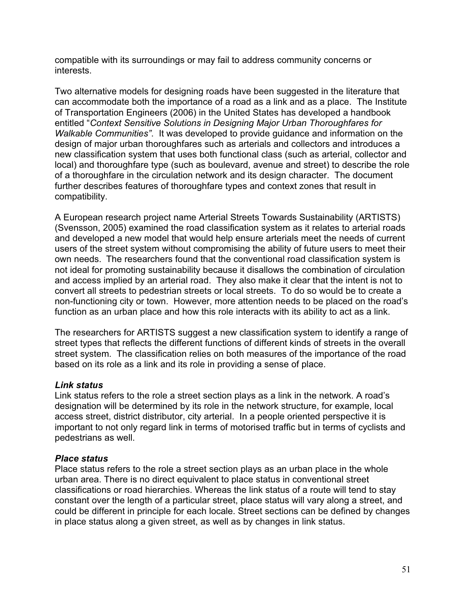compatible with its surroundings or may fail to address community concerns or interests.

Two alternative models for designing roads have been suggested in the literature that can accommodate both the importance of a road as a link and as a place. The Institute of Transportation Engineers (2006) in the United States has developed a handbook entitled "*Context Sensitive Solutions in Designing Major Urban Thoroughfares for Walkable Communities"*. It was developed to provide guidance and information on the design of major urban thoroughfares such as arterials and collectors and introduces a new classification system that uses both functional class (such as arterial, collector and local) and thoroughfare type (such as boulevard, avenue and street) to describe the role of a thoroughfare in the circulation network and its design character. The document further describes features of thoroughfare types and context zones that result in compatibility.

A European research project name Arterial Streets Towards Sustainability (ARTISTS) (Svensson, 2005) examined the road classification system as it relates to arterial roads and developed a new model that would help ensure arterials meet the needs of current users of the street system without compromising the ability of future users to meet their own needs. The researchers found that the conventional road classification system is not ideal for promoting sustainability because it disallows the combination of circulation and access implied by an arterial road. They also make it clear that the intent is not to convert all streets to pedestrian streets or local streets. To do so would be to create a non-functioning city or town. However, more attention needs to be placed on the road's function as an urban place and how this role interacts with its ability to act as a link.

The researchers for ARTISTS suggest a new classification system to identify a range of street types that reflects the different functions of different kinds of streets in the overall street system. The classification relies on both measures of the importance of the road based on its role as a link and its role in providing a sense of place.

### *Link status*

Link status refers to the role a street section plays as a link in the network. A road's designation will be determined by its role in the network structure, for example, local access street, district distributor, city arterial. In a people oriented perspective it is important to not only regard link in terms of motorised traffic but in terms of cyclists and pedestrians as well.

### *Place status*

Place status refers to the role a street section plays as an urban place in the whole urban area. There is no direct equivalent to place status in conventional street classifications or road hierarchies. Whereas the link status of a route will tend to stay constant over the length of a particular street, place status will vary along a street, and could be different in principle for each locale. Street sections can be defined by changes in place status along a given street, as well as by changes in link status.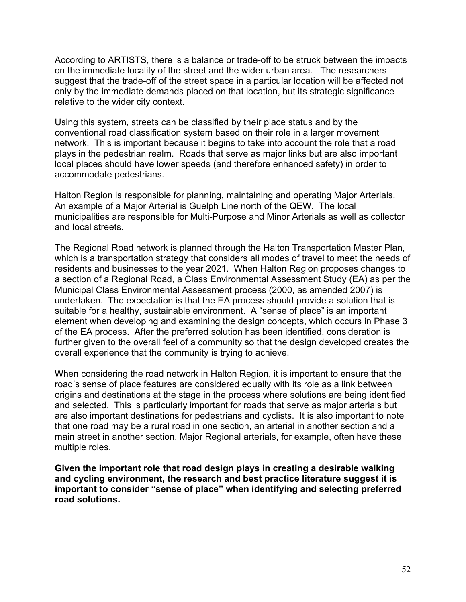According to ARTISTS, there is a balance or trade-off to be struck between the impacts on the immediate locality of the street and the wider urban area. The researchers suggest that the trade-off of the street space in a particular location will be affected not only by the immediate demands placed on that location, but its strategic significance relative to the wider city context.

Using this system, streets can be classified by their place status and by the conventional road classification system based on their role in a larger movement network. This is important because it begins to take into account the role that a road plays in the pedestrian realm. Roads that serve as major links but are also important local places should have lower speeds (and therefore enhanced safety) in order to accommodate pedestrians.

Halton Region is responsible for planning, maintaining and operating Major Arterials. An example of a Major Arterial is Guelph Line north of the QEW. The local municipalities are responsible for Multi-Purpose and Minor Arterials as well as collector and local streets.

The Regional Road network is planned through the Halton Transportation Master Plan, which is a transportation strategy that considers all modes of travel to meet the needs of residents and businesses to the year 2021. When Halton Region proposes changes to a section of a Regional Road, a Class Environmental Assessment Study (EA) as per the Municipal Class Environmental Assessment process (2000, as amended 2007) is undertaken. The expectation is that the EA process should provide a solution that is suitable for a healthy, sustainable environment. A "sense of place" is an important element when developing and examining the design concepts, which occurs in Phase 3 of the EA process. After the preferred solution has been identified, consideration is further given to the overall feel of a community so that the design developed creates the overall experience that the community is trying to achieve.

When considering the road network in Halton Region, it is important to ensure that the road's sense of place features are considered equally with its role as a link between origins and destinations at the stage in the process where solutions are being identified and selected. This is particularly important for roads that serve as major arterials but are also important destinations for pedestrians and cyclists. It is also important to note that one road may be a rural road in one section, an arterial in another section and a main street in another section. Major Regional arterials, for example, often have these multiple roles.

**Given the important role that road design plays in creating a desirable walking and cycling environment, the research and best practice literature suggest it is important to consider "sense of place" when identifying and selecting preferred road solutions.**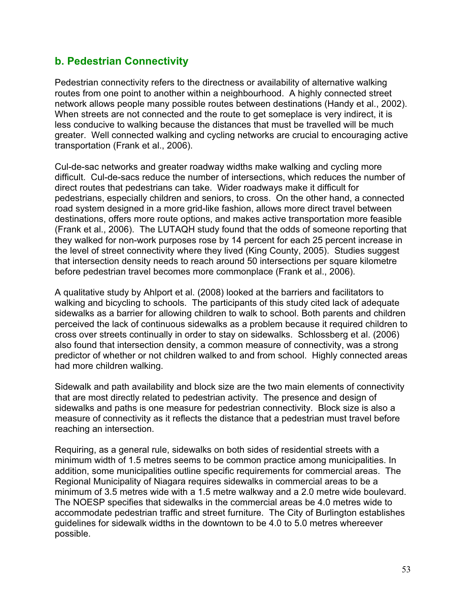# **b. Pedestrian Connectivity**

Pedestrian connectivity refers to the directness or availability of alternative walking routes from one point to another within a neighbourhood. A highly connected street network allows people many possible routes between destinations (Handy et al., 2002). When streets are not connected and the route to get someplace is very indirect, it is less conducive to walking because the distances that must be travelled will be much greater. Well connected walking and cycling networks are crucial to encouraging active transportation (Frank et al., 2006).

Cul-de-sac networks and greater roadway widths make walking and cycling more difficult. Cul-de-sacs reduce the number of intersections, which reduces the number of direct routes that pedestrians can take. Wider roadways make it difficult for pedestrians, especially children and seniors, to cross. On the other hand, a connected road system designed in a more grid-like fashion, allows more direct travel between destinations, offers more route options, and makes active transportation more feasible (Frank et al., 2006). The LUTAQH study found that the odds of someone reporting that they walked for non-work purposes rose by 14 percent for each 25 percent increase in the level of street connectivity where they lived (King County, 2005). Studies suggest that intersection density needs to reach around 50 intersections per square kilometre before pedestrian travel becomes more commonplace (Frank et al., 2006).

A qualitative study by Ahlport et al. (2008) looked at the barriers and facilitators to walking and bicycling to schools. The participants of this study cited lack of adequate sidewalks as a barrier for allowing children to walk to school. Both parents and children perceived the lack of continuous sidewalks as a problem because it required children to cross over streets continually in order to stay on sidewalks. Schlossberg et al. (2006) also found that intersection density, a common measure of connectivity, was a strong predictor of whether or not children walked to and from school. Highly connected areas had more children walking.

Sidewalk and path availability and block size are the two main elements of connectivity that are most directly related to pedestrian activity. The presence and design of sidewalks and paths is one measure for pedestrian connectivity. Block size is also a measure of connectivity as it reflects the distance that a pedestrian must travel before reaching an intersection.

Requiring, as a general rule, sidewalks on both sides of residential streets with a minimum width of 1.5 metres seems to be common practice among municipalities. In addition, some municipalities outline specific requirements for commercial areas. The Regional Municipality of Niagara requires sidewalks in commercial areas to be a minimum of 3.5 metres wide with a 1.5 metre walkway and a 2.0 metre wide boulevard. The NOESP specifies that sidewalks in the commercial areas be 4.0 metres wide to accommodate pedestrian traffic and street furniture. The City of Burlington establishes guidelines for sidewalk widths in the downtown to be 4.0 to 5.0 metres whereever possible.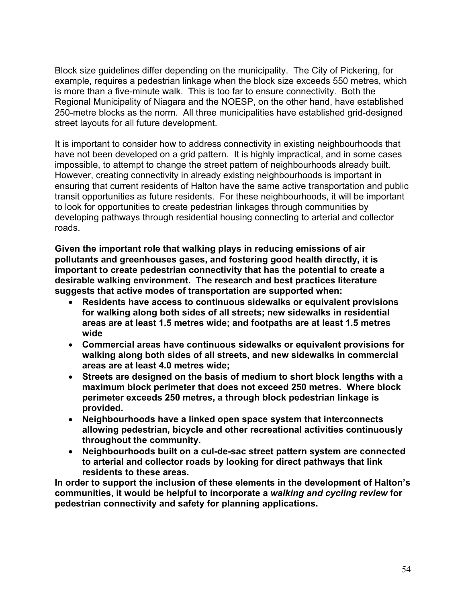Block size guidelines differ depending on the municipality. The City of Pickering, for example, requires a pedestrian linkage when the block size exceeds 550 metres, which is more than a five-minute walk. This is too far to ensure connectivity. Both the Regional Municipality of Niagara and the NOESP, on the other hand, have established 250-metre blocks as the norm. All three municipalities have established grid-designed street layouts for all future development.

It is important to consider how to address connectivity in existing neighbourhoods that have not been developed on a grid pattern. It is highly impractical, and in some cases impossible, to attempt to change the street pattern of neighbourhoods already built. However, creating connectivity in already existing neighbourhoods is important in ensuring that current residents of Halton have the same active transportation and public transit opportunities as future residents. For these neighbourhoods, it will be important to look for opportunities to create pedestrian linkages through communities by developing pathways through residential housing connecting to arterial and collector roads.

**Given the important role that walking plays in reducing emissions of air pollutants and greenhouses gases, and fostering good health directly, it is important to create pedestrian connectivity that has the potential to create a desirable walking environment. The research and best practices literature suggests that active modes of transportation are supported when:**

- x **Residents have access to continuous sidewalks or equivalent provisions for walking along both sides of all streets; new sidewalks in residential areas are at least 1.5 metres wide; and footpaths are at least 1.5 metres wide**
- x **Commercial areas have continuous sidewalks or equivalent provisions for walking along both sides of all streets, and new sidewalks in commercial areas are at least 4.0 metres wide;**
- Streets are designed on the basis of medium to short block lengths with a **maximum block perimeter that does not exceed 250 metres. Where block perimeter exceeds 250 metres, a through block pedestrian linkage is provided.**
- x **Neighbourhoods have a linked open space system that interconnects allowing pedestrian, bicycle and other recreational activities continuously throughout the community.**
- x **Neighbourhoods built on a cul-de-sac street pattern system are connected to arterial and collector roads by looking for direct pathways that link residents to these areas.**

**In order to support the inclusion of these elements in the development of Halton's communities, it would be helpful to incorporate a** *walking and cycling review* **for pedestrian connectivity and safety for planning applications.**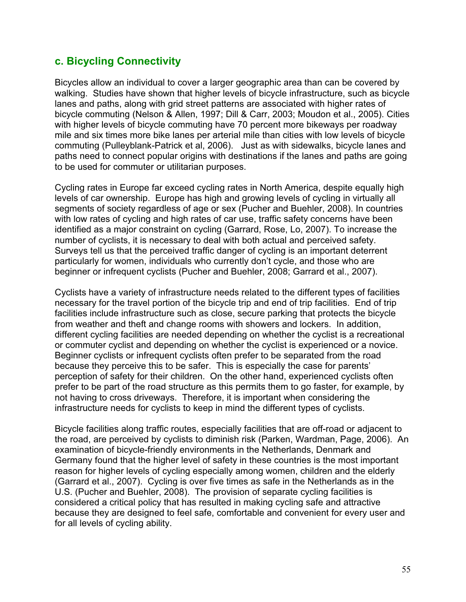## **c. Bicycling Connectivity**

Bicycles allow an individual to cover a larger geographic area than can be covered by walking. Studies have shown that higher levels of bicycle infrastructure, such as bicycle lanes and paths, along with grid street patterns are associated with higher rates of bicycle commuting (Nelson & Allen, 1997; Dill & Carr, 2003; Moudon et al., 2005). Cities with higher levels of bicycle commuting have 70 percent more bikeways per roadway mile and six times more bike lanes per arterial mile than cities with low levels of bicycle commuting (Pulleyblank-Patrick et al, 2006). Just as with sidewalks, bicycle lanes and paths need to connect popular origins with destinations if the lanes and paths are going to be used for commuter or utilitarian purposes.

Cycling rates in Europe far exceed cycling rates in North America, despite equally high levels of car ownership. Europe has high and growing levels of cycling in virtually all segments of society regardless of age or sex (Pucher and Buehler, 2008). In countries with low rates of cycling and high rates of car use, traffic safety concerns have been identified as a major constraint on cycling (Garrard, Rose, Lo, 2007). To increase the number of cyclists, it is necessary to deal with both actual and perceived safety. Surveys tell us that the perceived traffic danger of cycling is an important deterrent particularly for women, individuals who currently don't cycle, and those who are beginner or infrequent cyclists (Pucher and Buehler, 2008; Garrard et al., 2007).

Cyclists have a variety of infrastructure needs related to the different types of facilities necessary for the travel portion of the bicycle trip and end of trip facilities. End of trip facilities include infrastructure such as close, secure parking that protects the bicycle from weather and theft and change rooms with showers and lockers. In addition, different cycling facilities are needed depending on whether the cyclist is a recreational or commuter cyclist and depending on whether the cyclist is experienced or a novice. Beginner cyclists or infrequent cyclists often prefer to be separated from the road because they perceive this to be safer. This is especially the case for parents' perception of safety for their children. On the other hand, experienced cyclists often prefer to be part of the road structure as this permits them to go faster, for example, by not having to cross driveways. Therefore, it is important when considering the infrastructure needs for cyclists to keep in mind the different types of cyclists.

Bicycle facilities along traffic routes, especially facilities that are off-road or adjacent to the road, are perceived by cyclists to diminish risk (Parken, Wardman, Page, 2006). An examination of bicycle-friendly environments in the Netherlands, Denmark and Germany found that the higher level of safety in these countries is the most important reason for higher levels of cycling especially among women, children and the elderly (Garrard et al., 2007). Cycling is over five times as safe in the Netherlands as in the U.S. (Pucher and Buehler, 2008). The provision of separate cycling facilities is considered a critical policy that has resulted in making cycling safe and attractive because they are designed to feel safe, comfortable and convenient for every user and for all levels of cycling ability.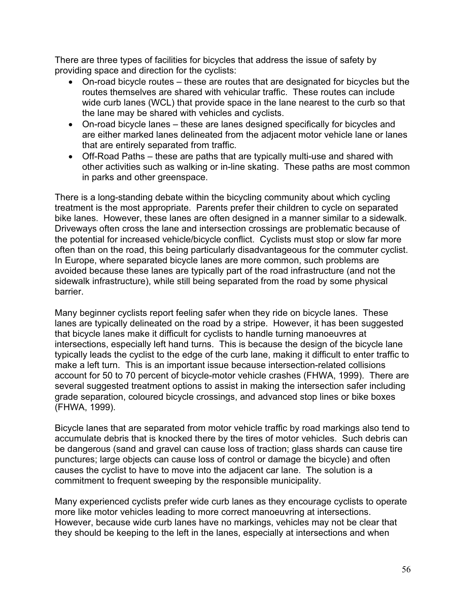There are three types of facilities for bicycles that address the issue of safety by providing space and direction for the cyclists:

- $\bullet$  On-road bicycle routes these are routes that are designated for bicycles but the routes themselves are shared with vehicular traffic. These routes can include wide curb lanes (WCL) that provide space in the lane nearest to the curb so that the lane may be shared with vehicles and cyclists.
- On-road bicycle lanes these are lanes designed specifically for bicycles and are either marked lanes delineated from the adjacent motor vehicle lane or lanes that are entirely separated from traffic.
- $\bullet$  Off-Road Paths these are paths that are typically multi-use and shared with other activities such as walking or in-line skating. These paths are most common in parks and other greenspace.

There is a long-standing debate within the bicycling community about which cycling treatment is the most appropriate. Parents prefer their children to cycle on separated bike lanes. However, these lanes are often designed in a manner similar to a sidewalk. Driveways often cross the lane and intersection crossings are problematic because of the potential for increased vehicle/bicycle conflict. Cyclists must stop or slow far more often than on the road, this being particularly disadvantageous for the commuter cyclist. In Europe, where separated bicycle lanes are more common, such problems are avoided because these lanes are typically part of the road infrastructure (and not the sidewalk infrastructure), while still being separated from the road by some physical barrier.

Many beginner cyclists report feeling safer when they ride on bicycle lanes. These lanes are typically delineated on the road by a stripe. However, it has been suggested that bicycle lanes make it difficult for cyclists to handle turning manoeuvres at intersections, especially left hand turns. This is because the design of the bicycle lane typically leads the cyclist to the edge of the curb lane, making it difficult to enter traffic to make a left turn. This is an important issue because intersection-related collisions account for 50 to 70 percent of bicycle-motor vehicle crashes (FHWA, 1999). There are several suggested treatment options to assist in making the intersection safer including grade separation, coloured bicycle crossings, and advanced stop lines or bike boxes (FHWA, 1999).

Bicycle lanes that are separated from motor vehicle traffic by road markings also tend to accumulate debris that is knocked there by the tires of motor vehicles. Such debris can be dangerous (sand and gravel can cause loss of traction; glass shards can cause tire punctures; large objects can cause loss of control or damage the bicycle) and often causes the cyclist to have to move into the adjacent car lane. The solution is a commitment to frequent sweeping by the responsible municipality.

Many experienced cyclists prefer wide curb lanes as they encourage cyclists to operate more like motor vehicles leading to more correct manoeuvring at intersections. However, because wide curb lanes have no markings, vehicles may not be clear that they should be keeping to the left in the lanes, especially at intersections and when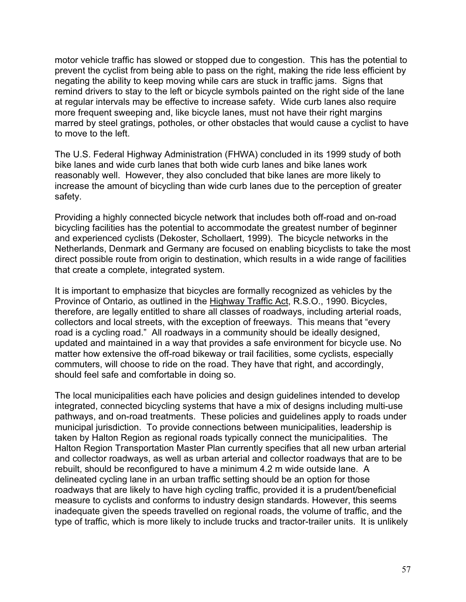motor vehicle traffic has slowed or stopped due to congestion. This has the potential to prevent the cyclist from being able to pass on the right, making the ride less efficient by negating the ability to keep moving while cars are stuck in traffic jams. Signs that remind drivers to stay to the left or bicycle symbols painted on the right side of the lane at regular intervals may be effective to increase safety. Wide curb lanes also require more frequent sweeping and, like bicycle lanes, must not have their right margins marred by steel gratings, potholes, or other obstacles that would cause a cyclist to have to move to the left.

The U.S. Federal Highway Administration (FHWA) concluded in its 1999 study of both bike lanes and wide curb lanes that both wide curb lanes and bike lanes work reasonably well. However, they also concluded that bike lanes are more likely to increase the amount of bicycling than wide curb lanes due to the perception of greater safety.

Providing a highly connected bicycle network that includes both off-road and on-road bicycling facilities has the potential to accommodate the greatest number of beginner and experienced cyclists (Dekoster, Schollaert, 1999). The bicycle networks in the Netherlands, Denmark and Germany are focused on enabling bicyclists to take the most direct possible route from origin to destination, which results in a wide range of facilities that create a complete, integrated system.

It is important to emphasize that bicycles are formally recognized as vehicles by the Province of Ontario, as outlined in the Highway Traffic Act, R.S.O., 1990. Bicycles, therefore, are legally entitled to share all classes of roadways, including arterial roads, collectors and local streets, with the exception of freeways. This means that "every road is a cycling road." All roadways in a community should be ideally designed, updated and maintained in a way that provides a safe environment for bicycle use. No matter how extensive the off-road bikeway or trail facilities, some cyclists, especially commuters, will choose to ride on the road. They have that right, and accordingly, should feel safe and comfortable in doing so.

The local municipalities each have policies and design guidelines intended to develop integrated, connected bicycling systems that have a mix of designs including multi-use pathways, and on-road treatments. These policies and guidelines apply to roads under municipal jurisdiction. To provide connections between municipalities, leadership is taken by Halton Region as regional roads typically connect the municipalities. The Halton Region Transportation Master Plan currently specifies that all new urban arterial and collector roadways, as well as urban arterial and collector roadways that are to be rebuilt, should be reconfigured to have a minimum 4.2 m wide outside lane. A delineated cycling lane in an urban traffic setting should be an option for those roadways that are likely to have high cycling traffic, provided it is a prudent/beneficial measure to cyclists and conforms to industry design standards. However, this seems inadequate given the speeds travelled on regional roads, the volume of traffic, and the type of traffic, which is more likely to include trucks and tractor-trailer units. It is unlikely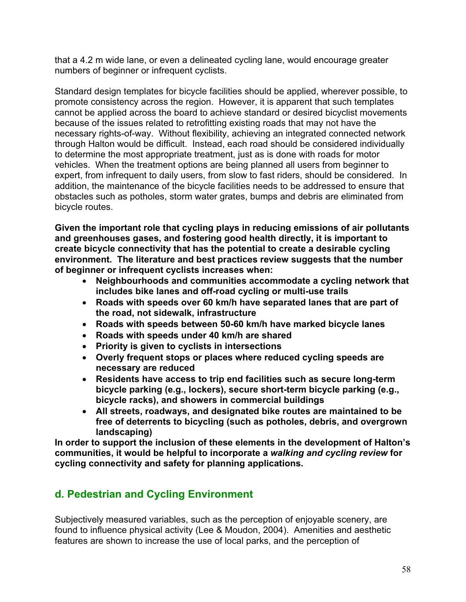that a 4.2 m wide lane, or even a delineated cycling lane, would encourage greater numbers of beginner or infrequent cyclists.

Standard design templates for bicycle facilities should be applied, wherever possible, to promote consistency across the region. However, it is apparent that such templates cannot be applied across the board to achieve standard or desired bicyclist movements because of the issues related to retrofitting existing roads that may not have the necessary rights-of-way. Without flexibility, achieving an integrated connected network through Halton would be difficult. Instead, each road should be considered individually to determine the most appropriate treatment, just as is done with roads for motor vehicles. When the treatment options are being planned all users from beginner to expert, from infrequent to daily users, from slow to fast riders, should be considered. In addition, the maintenance of the bicycle facilities needs to be addressed to ensure that obstacles such as potholes, storm water grates, bumps and debris are eliminated from bicycle routes.

**Given the important role that cycling plays in reducing emissions of air pollutants and greenhouses gases, and fostering good health directly, it is important to create bicycle connectivity that has the potential to create a desirable cycling environment. The literature and best practices review suggests that the number of beginner or infrequent cyclists increases when:** 

- **Example 2 Neighbourhoods and communities accommodate a cycling network that includes bike lanes and off-road cycling or multi-use trails**
- Roads with speeds over 60 km/h have separated lanes that are part of **the road, not sidewalk, infrastructure**
- x **Roads with speeds between 50-60 km/h have marked bicycle lanes**
- x **Roads with speeds under 40 km/h are shared**
- **•** Priority is given to cyclists in intersections
- **Overly frequent stops or places where reduced cycling speeds are necessary are reduced**
- **EXERENDER IS Residents have access to trip end facilities such as secure long-term bicycle parking (e.g., lockers), secure short-term bicycle parking (e.g., bicycle racks), and showers in commercial buildings**
- x **All streets, roadways, and designated bike routes are maintained to be free of deterrents to bicycling (such as potholes, debris, and overgrown landscaping)**

**In order to support the inclusion of these elements in the development of Halton's communities, it would be helpful to incorporate a** *walking and cycling review* **for cycling connectivity and safety for planning applications.**

# **d. Pedestrian and Cycling Environment**

Subjectively measured variables, such as the perception of enjoyable scenery, are found to influence physical activity (Lee & Moudon, 2004). Amenities and aesthetic features are shown to increase the use of local parks, and the perception of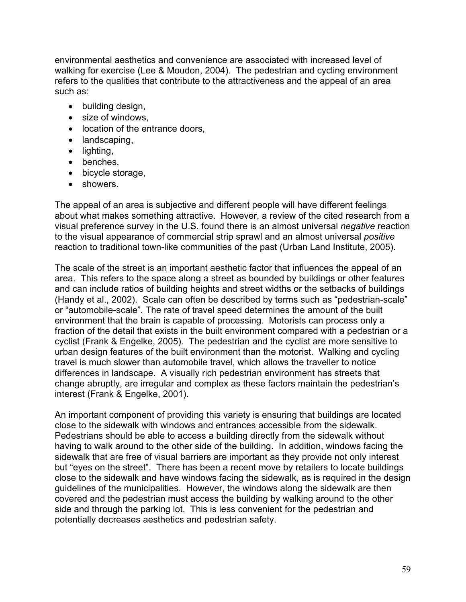environmental aesthetics and convenience are associated with increased level of walking for exercise (Lee & Moudon, 2004). The pedestrian and cycling environment refers to the qualities that contribute to the attractiveness and the appeal of an area such as:

- building design,
- size of windows,
- location of the entrance doors,
- $\bullet$  landscaping,
- $\bullet$  lighting,
- $\bullet$  benches,
- $\bullet$  bicycle storage,
- showers.

The appeal of an area is subjective and different people will have different feelings about what makes something attractive. However, a review of the cited research from a visual preference survey in the U.S. found there is an almost universal *negative* reaction to the visual appearance of commercial strip sprawl and an almost universal *positive* reaction to traditional town-like communities of the past (Urban Land Institute, 2005).

The scale of the street is an important aesthetic factor that influences the appeal of an area. This refers to the space along a street as bounded by buildings or other features and can include ratios of building heights and street widths or the setbacks of buildings (Handy et al., 2002). Scale can often be described by terms such as "pedestrian-scale" or "automobile-scale". The rate of travel speed determines the amount of the built environment that the brain is capable of processing. Motorists can process only a fraction of the detail that exists in the built environment compared with a pedestrian or a cyclist (Frank & Engelke, 2005). The pedestrian and the cyclist are more sensitive to urban design features of the built environment than the motorist. Walking and cycling travel is much slower than automobile travel, which allows the traveller to notice differences in landscape. A visually rich pedestrian environment has streets that change abruptly, are irregular and complex as these factors maintain the pedestrian's interest (Frank & Engelke, 2001).

An important component of providing this variety is ensuring that buildings are located close to the sidewalk with windows and entrances accessible from the sidewalk. Pedestrians should be able to access a building directly from the sidewalk without having to walk around to the other side of the building. In addition, windows facing the sidewalk that are free of visual barriers are important as they provide not only interest but "eyes on the street". There has been a recent move by retailers to locate buildings close to the sidewalk and have windows facing the sidewalk, as is required in the design guidelines of the municipalities. However, the windows along the sidewalk are then covered and the pedestrian must access the building by walking around to the other side and through the parking lot. This is less convenient for the pedestrian and potentially decreases aesthetics and pedestrian safety.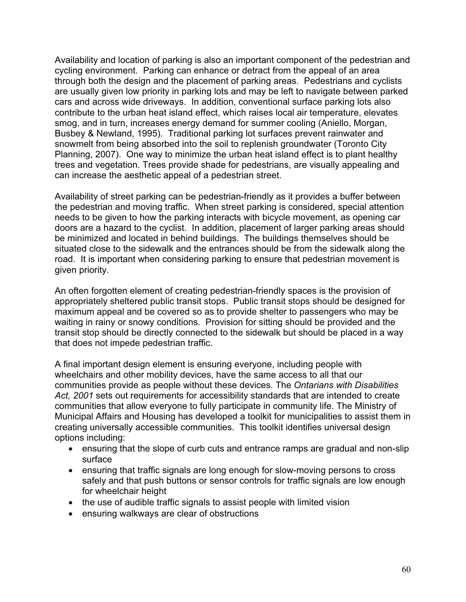Availability and location of parking is also an important component of the pedestrian and cycling environment. Parking can enhance or detract from the appeal of an area through both the design and the placement of parking areas. Pedestrians and cyclists are usually given low priority in parking lots and may be left to navigate between parked cars and across wide driveways. In addition, conventional surface parking lots also contribute to the urban heat island effect, which raises local air temperature, elevates smog, and in turn, increases energy demand for summer cooling (Aniello, Morgan, Busbey & Newland, 1995). Traditional parking lot surfaces prevent rainwater and snowmelt from being absorbed into the soil to replenish groundwater (Toronto City Planning, 2007). One way to minimize the urban heat island effect is to plant healthy trees and vegetation. Trees provide shade for pedestrians, are visually appealing and can increase the aesthetic appeal of a pedestrian street.

Availability of street parking can be pedestrian-friendly as it provides a buffer between the pedestrian and moving traffic. When street parking is considered, special attention needs to be given to how the parking interacts with bicycle movement, as opening car doors are a hazard to the cyclist. In addition, placement of larger parking areas should be minimized and located in behind buildings. The buildings themselves should be situated close to the sidewalk and the entrances should be from the sidewalk along the road. It is important when considering parking to ensure that pedestrian movement is given priority.

An often forgotten element of creating pedestrian-friendly spaces is the provision of appropriately sheltered public transit stops. Public transit stops should be designed for maximum appeal and be covered so as to provide shelter to passengers who may be waiting in rainy or snowy conditions. Provision for sitting should be provided and the transit stop should be directly connected to the sidewalk but should be placed in a way that does not impede pedestrian traffic.

A final important design element is ensuring everyone, including people with wheelchairs and other mobility devices, have the same access to all that our communities provide as people without these devices. The *Ontarians with Disabilities Act, 2001* sets out requirements for accessibility standards that are intended to create communities that allow everyone to fully participate in community life. The Ministry of Municipal Affairs and Housing has developed a toolkit for municipalities to assist them in creating universally accessible communities. This toolkit identifies universal design options including:

- ensuring that the slope of curb cuts and entrance ramps are gradual and non-slip surface
- ensuring that traffic signals are long enough for slow-moving persons to cross safely and that push buttons or sensor controls for traffic signals are low enough for wheelchair height
- $\bullet$  the use of audible traffic signals to assist people with limited vision
- ensuring walkways are clear of obstructions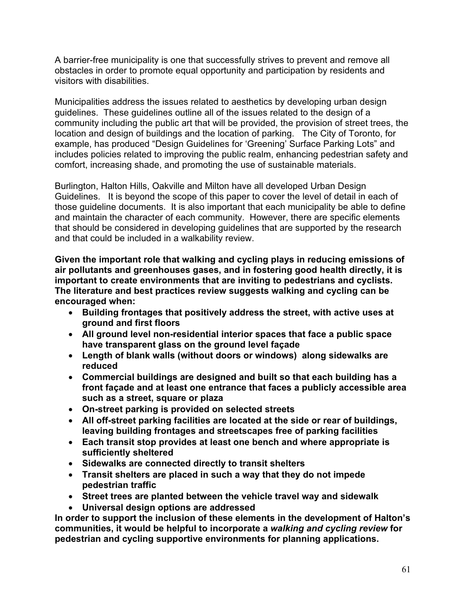A barrier-free municipality is one that successfully strives to prevent and remove all obstacles in order to promote equal opportunity and participation by residents and visitors with disabilities.

Municipalities address the issues related to aesthetics by developing urban design guidelines. These guidelines outline all of the issues related to the design of a community including the public art that will be provided, the provision of street trees, the location and design of buildings and the location of parking. The City of Toronto, for example, has produced "Design Guidelines for 'Greening' Surface Parking Lots" and includes policies related to improving the public realm, enhancing pedestrian safety and comfort, increasing shade, and promoting the use of sustainable materials.

Burlington, Halton Hills, Oakville and Milton have all developed Urban Design Guidelines. It is beyond the scope of this paper to cover the level of detail in each of those guideline documents. It is also important that each municipality be able to define and maintain the character of each community. However, there are specific elements that should be considered in developing guidelines that are supported by the research and that could be included in a walkability review.

**Given the important role that walking and cycling plays in reducing emissions of air pollutants and greenhouses gases, and in fostering good health directly, it is important to create environments that are inviting to pedestrians and cyclists. The literature and best practices review suggests walking and cycling can be encouraged when:** 

- x **Building frontages that positively address the street, with active uses at ground and first floors**
- All ground level non-residential interior spaces that face a public space **have transparent glass on the ground level façade**
- x **Length of blank walls (without doors or windows) along sidewalks are reduced**
- x **Commercial buildings are designed and built so that each building has a front façade and at least one entrance that faces a publicly accessible area such as a street, square or plaza**
- x **On-street parking is provided on selected streets**
- All off-street parking facilities are located at the side or rear of buildings, **leaving building frontages and streetscapes free of parking facilities**
- **Each transit stop provides at least one bench and where appropriate is sufficiently sheltered**
- x **Sidewalks are connected directly to transit shelters**
- x **Transit shelters are placed in such a way that they do not impede pedestrian traffic**
- **Street trees are planted between the vehicle travel way and sidewalk**
- x **Universal design options are addressed**

**In order to support the inclusion of these elements in the development of Halton's communities, it would be helpful to incorporate a** *walking and cycling review* **for pedestrian and cycling supportive environments for planning applications.**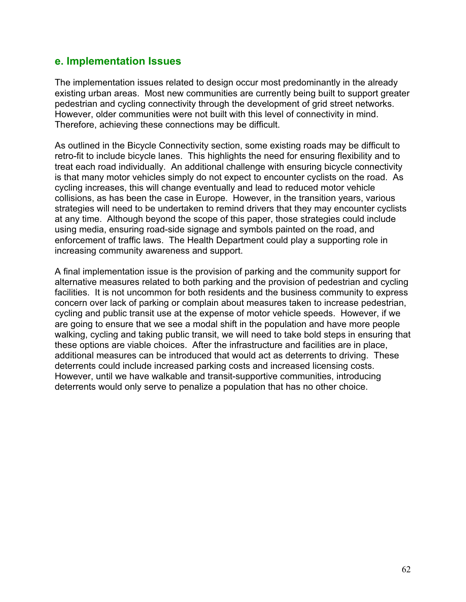## **e. Implementation Issues**

The implementation issues related to design occur most predominantly in the already existing urban areas. Most new communities are currently being built to support greater pedestrian and cycling connectivity through the development of grid street networks. However, older communities were not built with this level of connectivity in mind. Therefore, achieving these connections may be difficult.

As outlined in the Bicycle Connectivity section, some existing roads may be difficult to retro-fit to include bicycle lanes. This highlights the need for ensuring flexibility and to treat each road individually. An additional challenge with ensuring bicycle connectivity is that many motor vehicles simply do not expect to encounter cyclists on the road. As cycling increases, this will change eventually and lead to reduced motor vehicle collisions, as has been the case in Europe. However, in the transition years, various strategies will need to be undertaken to remind drivers that they may encounter cyclists at any time. Although beyond the scope of this paper, those strategies could include using media, ensuring road-side signage and symbols painted on the road, and enforcement of traffic laws. The Health Department could play a supporting role in increasing community awareness and support.

A final implementation issue is the provision of parking and the community support for alternative measures related to both parking and the provision of pedestrian and cycling facilities. It is not uncommon for both residents and the business community to express concern over lack of parking or complain about measures taken to increase pedestrian, cycling and public transit use at the expense of motor vehicle speeds. However, if we are going to ensure that we see a modal shift in the population and have more people walking, cycling and taking public transit, we will need to take bold steps in ensuring that these options are viable choices. After the infrastructure and facilities are in place, additional measures can be introduced that would act as deterrents to driving. These deterrents could include increased parking costs and increased licensing costs. However, until we have walkable and transit-supportive communities, introducing deterrents would only serve to penalize a population that has no other choice.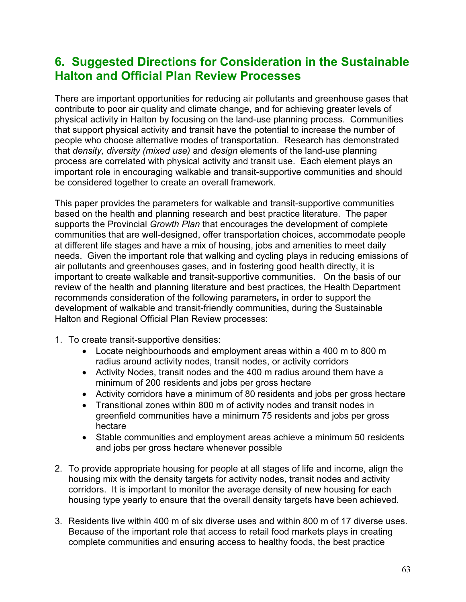# **6. Suggested Directions for Consideration in the Sustainable Halton and Official Plan Review Processes**

There are important opportunities for reducing air pollutants and greenhouse gases that contribute to poor air quality and climate change, and for achieving greater levels of physical activity in Halton by focusing on the land-use planning process. Communities that support physical activity and transit have the potential to increase the number of people who choose alternative modes of transportation. Research has demonstrated that *density, diversity (mixed use)* and *design* elements of the land-use planning process are correlated with physical activity and transit use. Each element plays an important role in encouraging walkable and transit-supportive communities and should be considered together to create an overall framework.

This paper provides the parameters for walkable and transit-supportive communities based on the health and planning research and best practice literature. The paper supports the Provincial *Growth Plan* that encourages the development of complete communities that are well-designed, offer transportation choices, accommodate people at different life stages and have a mix of housing, jobs and amenities to meet daily needs. Given the important role that walking and cycling plays in reducing emissions of air pollutants and greenhouses gases, and in fostering good health directly, it is important to create walkable and transit-supportive communities. On the basis of our review of the health and planning literature and best practices, the Health Department recommends consideration of the following parameters**,** in order to support the development of walkable and transit-friendly communities**,** during the Sustainable Halton and Regional Official Plan Review processes:

- 1. To create transit-supportive densities:
	- Locate neighbourhoods and employment areas within a 400 m to 800 m radius around activity nodes, transit nodes, or activity corridors
	- Activity Nodes, transit nodes and the 400 m radius around them have a minimum of 200 residents and jobs per gross hectare
	- Activity corridors have a minimum of 80 residents and jobs per gross hectare
	- Transitional zones within 800 m of activity nodes and transit nodes in greenfield communities have a minimum 75 residents and jobs per gross hectare
	- Stable communities and employment areas achieve a minimum 50 residents and jobs per gross hectare whenever possible
- 2. To provide appropriate housing for people at all stages of life and income, align the housing mix with the density targets for activity nodes, transit nodes and activity corridors. It is important to monitor the average density of new housing for each housing type yearly to ensure that the overall density targets have been achieved.
- 3. Residents live within 400 m of six diverse uses and within 800 m of 17 diverse uses. Because of the important role that access to retail food markets plays in creating complete communities and ensuring access to healthy foods, the best practice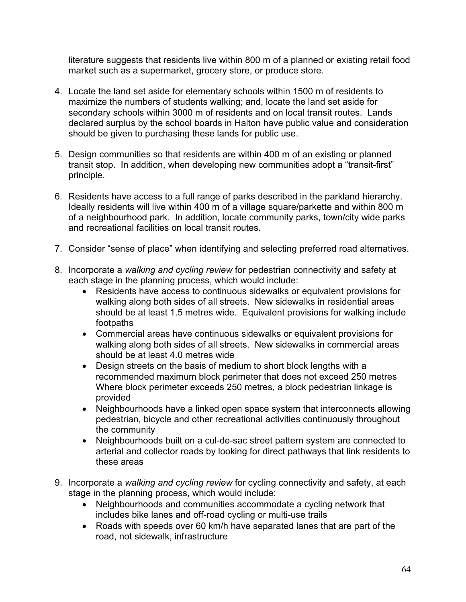literature suggests that residents live within 800 m of a planned or existing retail food market such as a supermarket, grocery store, or produce store.

- 4. Locate the land set aside for elementary schools within 1500 m of residents to maximize the numbers of students walking; and, locate the land set aside for secondary schools within 3000 m of residents and on local transit routes. Lands declared surplus by the school boards in Halton have public value and consideration should be given to purchasing these lands for public use.
- 5. Design communities so that residents are within 400 m of an existing or planned transit stop. In addition, when developing new communities adopt a "transit-first" principle.
- 6. Residents have access to a full range of parks described in the parkland hierarchy. Ideally residents will live within 400 m of a village square/parkette and within 800 m of a neighbourhood park. In addition, locate community parks, town/city wide parks and recreational facilities on local transit routes.
- 7. Consider "sense of place" when identifying and selecting preferred road alternatives.
- 8. Incorporate a *walking and cycling review* for pedestrian connectivity and safety at each stage in the planning process, which would include:
	- Residents have access to continuous sidewalks or equivalent provisions for walking along both sides of all streets. New sidewalks in residential areas should be at least 1.5 metres wide. Equivalent provisions for walking include footpaths
	- Commercial areas have continuous sidewalks or equivalent provisions for walking along both sides of all streets. New sidewalks in commercial areas should be at least 4.0 metres wide
	- Design streets on the basis of medium to short block lengths with a recommended maximum block perimeter that does not exceed 250 metres Where block perimeter exceeds 250 metres, a block pedestrian linkage is provided
	- Neighbourhoods have a linked open space system that interconnects allowing pedestrian, bicycle and other recreational activities continuously throughout the community
	- Neighbourhoods built on a cul-de-sac street pattern system are connected to arterial and collector roads by looking for direct pathways that link residents to these areas
- 9. Incorporate a *walking and cycling review* for cycling connectivity and safety, at each stage in the planning process, which would include:
	- Neighbourhoods and communities accommodate a cycling network that includes bike lanes and off-road cycling or multi-use trails
	- Roads with speeds over 60 km/h have separated lanes that are part of the road, not sidewalk, infrastructure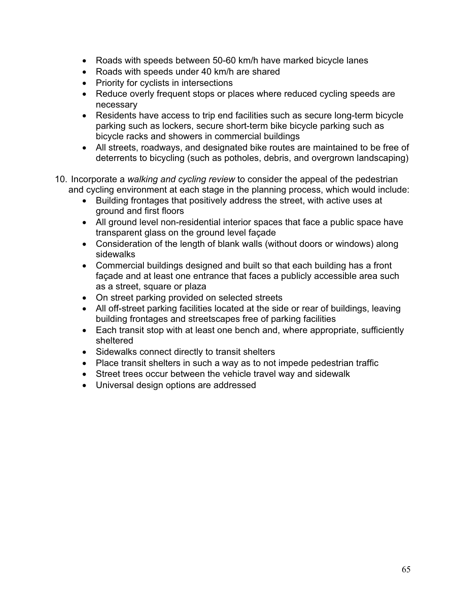- Roads with speeds between 50-60 km/h have marked bicycle lanes
- Roads with speeds under 40 km/h are shared
- Priority for cyclists in intersections
- Reduce overly frequent stops or places where reduced cycling speeds are necessary
- Residents have access to trip end facilities such as secure long-term bicycle parking such as lockers, secure short-term bike bicycle parking such as bicycle racks and showers in commercial buildings
- All streets, roadways, and designated bike routes are maintained to be free of deterrents to bicycling (such as potholes, debris, and overgrown landscaping)
- 10. Incorporate a *walking and cycling review* to consider the appeal of the pedestrian and cycling environment at each stage in the planning process, which would include:
	- Building frontages that positively address the street, with active uses at ground and first floors
	- All ground level non-residential interior spaces that face a public space have transparent glass on the ground level façade
	- Consideration of the length of blank walls (without doors or windows) along sidewalks
	- Commercial buildings designed and built so that each building has a front façade and at least one entrance that faces a publicly accessible area such as a street, square or plaza
	- On street parking provided on selected streets
	- All off-street parking facilities located at the side or rear of buildings, leaving building frontages and streetscapes free of parking facilities
	- Each transit stop with at least one bench and, where appropriate, sufficiently sheltered
	- Sidewalks connect directly to transit shelters
	- Place transit shelters in such a way as to not impede pedestrian traffic
	- Street trees occur between the vehicle travel way and sidewalk
	- Universal design options are addressed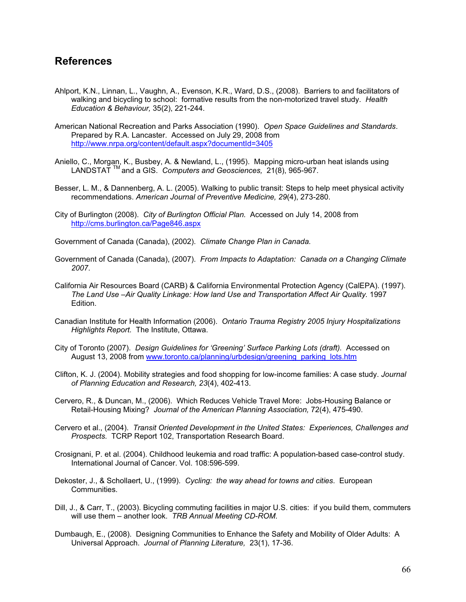## **References**

- Ahlport, K.N., Linnan, L., Vaughn, A., Evenson, K.R., Ward, D.S., (2008). Barriers to and facilitators of walking and bicycling to school: formative results from the non-motorized travel study. *Health Education & Behaviour,* 35(2), 221-244.
- American National Recreation and Parks Association (1990). *Open Space Guidelines and Standards*. Prepared by R.A. Lancaster. Accessed on July 29, 2008 from http://www.nrpa.org/content/default.aspx?documentId=3405
- Aniello, C., Morgan, K., Busbey, A. & Newland, L., (1995). Mapping micro-urban heat islands using LANDSTAT TM and a GIS. *Computers and Geosciences,* 21(8), 965-967.
- Besser, L. M., & Dannenberg, A. L. (2005). Walking to public transit: Steps to help meet physical activity recommendations. *American Journal of Preventive Medicine, 29*(4), 273-280.
- City of Burlington (2008). *City of Burlington Official Plan.* Accessed on July 14, 2008 from http://cms.burlington.ca/Page846.aspx
- Government of Canada (Canada), (2002). *Climate Change Plan in Canada.*
- Government of Canada (Canada), (2007). *From Impacts to Adaptation: Canada on a Changing Climate 2007*.
- California Air Resources Board (CARB) & California Environmental Protection Agency (CalEPA). (1997). *The Land Use –Air Quality Linkage: How land Use and Transportation Affect Air Quality.* 1997 Edition.
- Canadian Institute for Health Information (2006). *Ontario Trauma Registry 2005 Injury Hospitalizations Highlights Report.* The Institute, Ottawa.
- City of Toronto (2007). *Design Guidelines for 'Greening' Surface Parking Lots (draft).* Accessed on August 13, 2008 from www.toronto.ca/planning/urbdesign/greening\_parking\_lots.htm
- Clifton, K. J. (2004). Mobility strategies and food shopping for low-income families: A case study. *Journal of Planning Education and Research, 23*(4), 402-413.
- Cervero, R., & Duncan, M., (2006). Which Reduces Vehicle Travel More: Jobs-Housing Balance or Retail-Housing Mixing? *Journal of the American Planning Association,* 72(4), 475-490.
- Cervero et al., (2004). *Transit Oriented Development in the United States: Experiences, Challenges and Prospects.* TCRP Report 102, Transportation Research Board.
- Crosignani, P. et al. (2004). Childhood leukemia and road traffic: A population-based case-control study. International Journal of Cancer. Vol. 108:596-599.
- Dekoster, J., & Schollaert, U., (1999). *Cycling: the way ahead for towns and cities*. European Communities.
- Dill, J., & Carr, T., (2003). Bicycling commuting facilities in major U.S. cities: if you build them, commuters will use them – another look. *TRB Annual Meeting CD-ROM.*
- Dumbaugh, E., (2008). Designing Communities to Enhance the Safety and Mobility of Older Adults: A Universal Approach. *Journal of Planning Literature,* 23(1), 17-36.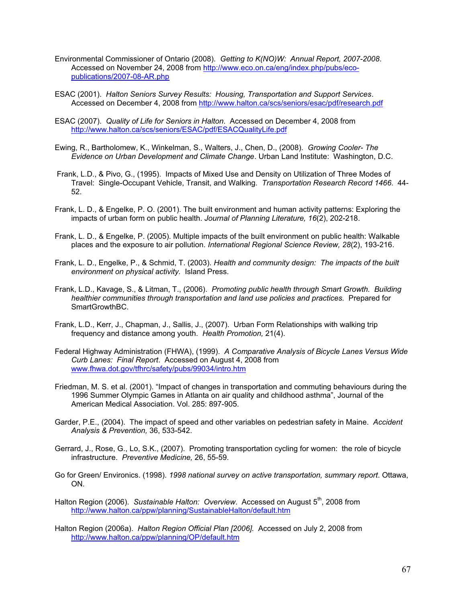- Environmental Commissioner of Ontario (2008). *Getting to K(NO)W: Annual Report, 2007-2008*. Accessed on November 24, 2008 from http://www.eco.on.ca/eng/index.php/pubs/ecopublications/2007-08-AR.php
- ESAC (2001). *Halton Seniors Survey Results: Housing, Transportation and Support Services*. Accessed on December 4, 2008 from http://www.halton.ca/scs/seniors/esac/pdf/research.pdf
- ESAC (2007). *Quality of Life for Seniors in Halton*. Accessed on December 4, 2008 from http://www.halton.ca/scs/seniors/ESAC/pdf/ESACQualityLife.pdf
- Ewing, R., Bartholomew, K., Winkelman, S., Walters, J., Chen, D., (2008). *Growing Cooler- The Evidence on Urban Development and Climate Change*. Urban Land Institute: Washington, D.C.
- Frank, L.D., & Pivo, G., (1995). Impacts of Mixed Use and Density on Utilization of Three Modes of Travel: Single-Occupant Vehicle, Transit, and Walking. *Transportation Research Record 1466*. 44- 52.
- Frank, L. D., & Engelke, P. O. (2001). The built environment and human activity patterns: Exploring the impacts of urban form on public health. *Journal of Planning Literature, 16*(2), 202-218.
- Frank, L. D., & Engelke, P. (2005). Multiple impacts of the built environment on public health: Walkable places and the exposure to air pollution. *International Regional Science Review, 28*(2), 193-216.
- Frank, L. D., Engelke, P., & Schmid, T. (2003). *Health and community design: The impacts of the built environment on physical activity.* Island Press.
- Frank, L.D., Kavage, S., & Litman, T., (2006). *Promoting public health through Smart Growth. Building healthier communities through transportation and land use policies and practices.* Prepared for SmartGrowthBC.
- Frank, L.D., Kerr, J., Chapman, J., Sallis, J., (2007). Urban Form Relationships with walking trip frequency and distance among youth. *Health Promotion,* 21(4).
- Federal Highway Administration (FHWA), (1999). *A Comparative Analysis of Bicycle Lanes Versus Wide Curb Lanes: Final Report*. Accessed on August 4, 2008 from www.fhwa.dot.gov/tfhrc/safety/pubs/99034/intro.htm
- Friedman, M. S. et al. (2001). "Impact of changes in transportation and commuting behaviours during the 1996 Summer Olympic Games in Atlanta on air quality and childhood asthma", Journal of the American Medical Association. Vol. 285: 897-905.
- Garder, P.E., (2004). The impact of speed and other variables on pedestrian safety in Maine. *Accident Analysis & Prevention,* 36, 533-542.
- Gerrard, J., Rose, G., Lo, S.K., (2007). Promoting transportation cycling for women: the role of bicycle infrastructure. *Preventive Medicine,* 26, 55-59.
- Go for Green/ Environics. (1998). *1998 national survey on active transportation, summary report*. Ottawa, ON.
- Halton Region (2006). *Sustainable Halton: Overview*. Accessed on August 5<sup>th</sup>, 2008 from http://www.halton.ca/ppw/planning/SustainableHalton/default.htm
- Halton Region (2006a). *Halton Region Official Plan [2006].* Accessed on July 2, 2008 from http://www.halton.ca/ppw/planning/OP/default.htm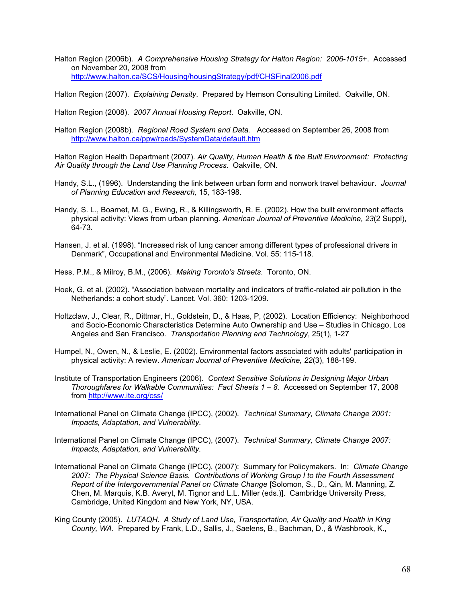Halton Region (2006b). *A Comprehensive Housing Strategy for Halton Region: 2006-1015+*. Accessed on November 20, 2008 from http://www.halton.ca/SCS/Housing/housingStrategy/pdf/CHSFinal2006.pdf

Halton Region (2007). *Explaining Density*. Prepared by Hemson Consulting Limited. Oakville, ON.

Halton Region (2008). *2007 Annual Housing Report*. Oakville, ON.

Halton Region (2008b). *Regional Road System and Data.* Accessed on September 26, 2008 from http://www.halton.ca/ppw/roads/SystemData/default.htm

Halton Region Health Department (2007). *Air Quality, Human Health & the Built Environment: Protecting Air Quality through the Land Use Planning Process*. Oakville, ON.

- Handy, S.L., (1996). Understanding the link between urban form and nonwork travel behaviour. *Journal of Planning Education and Research,* 15, 183-198.
- Handy, S. L., Boarnet, M. G., Ewing, R., & Killingsworth, R. E. (2002). How the built environment affects physical activity: Views from urban planning. *American Journal of Preventive Medicine, 23*(2 Suppl), 64-73.
- Hansen, J. et al. (1998). "Increased risk of lung cancer among different types of professional drivers in Denmark", Occupational and Environmental Medicine*.* Vol. 55: 115-118.

Hess, P.M., & Milroy, B.M., (2006). *Making Toronto's Streets*. Toronto, ON.

- Hoek, G. et al. (2002). "Association between mortality and indicators of traffic-related air pollution in the Netherlands: a cohort study". Lancet. Vol. 360: 1203-1209.
- Holtzclaw, J., Clear, R., Dittmar, H., Goldstein, D., & Haas, P, (2002). Location Efficiency: Neighborhood and Socio-Economic Characteristics Determine Auto Ownership and Use – Studies in Chicago, Los Angeles and San Francisco. *Transportation Planning and Technology*, 25(1), 1-27
- Humpel, N., Owen, N., & Leslie, E. (2002). Environmental factors associated with adults' participation in physical activity: A review. *American Journal of Preventive Medicine, 22*(3), 188-199.
- Institute of Transportation Engineers (2006). *Context Sensitive Solutions in Designing Major Urban Thoroughfares for Walkable Communities: Fact Sheets 1 – 8.* Accessed on September 17, 2008 from http://www.ite.org/css/
- International Panel on Climate Change (IPCC), (2002). *Technical Summary, Climate Change 2001: Impacts, Adaptation, and Vulnerability.*
- International Panel on Climate Change (IPCC), (2007). *Technical Summary, Climate Change 2007: Impacts, Adaptation, and Vulnerability.*
- International Panel on Climate Change (IPCC), (2007): Summary for Policymakers. In: *Climate Change 2007: The Physical Science Basis. Contributions of Working Group I to the Fourth Assessment Report of the Intergovernmental Panel on Climate Change* [Solomon, S., D., Qin, M. Manning, Z. Chen, M. Marquis, K.B. Averyt, M. Tignor and L.L. Miller (eds.)]. Cambridge University Press, Cambridge, United Kingdom and New York, NY, USA.
- King County (2005). *LUTAQH. A Study of Land Use, Transportation, Air Quality and Health in King County, WA.* Prepared by Frank, L.D., Sallis, J., Saelens, B., Bachman, D., & Washbrook, K.,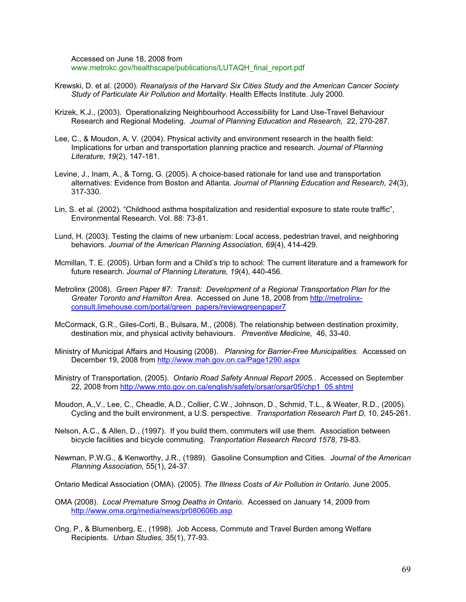Accessed on June 18, 2008 from www.metrokc.gov/healthscape/publications/LUTAQH\_final\_report.pdf

- Krewski, D. et al. (2000). *Reanalysis of the Harvard Six Cities Study and the American Cancer Society Study of Particulate Air Pollution and Mortality*. Health Effects Institute. July 2000.
- Krizek, K.J., (2003). Operationalizing Neighbourhood Accessibility for Land Use-Travel Behaviour Research and Regional Modeling. *Journal of Planning Education and Research,* 22, 270-287.
- Lee, C., & Moudon, A. V. (2004). Physical activity and environment research in the health field: Implications for urban and transportation planning practice and research. *Journal of Planning Literature, 19*(2), 147-181.
- Levine, J., Inam, A., & Torng, G. (2005). A choice-based rationale for land use and transportation alternatives: Evidence from Boston and Atlanta. *Journal of Planning Education and Research, 24*(3), 317-330.
- Lin, S. et al. (2002). "Childhood asthma hospitalization and residential exposure to state route traffic", Environmental Research. Vol. 88: 73-81.
- Lund, H. (2003). Testing the claims of new urbanism: Local access, pedestrian travel, and neighboring behaviors. *Journal of the American Planning Association, 69*(4), 414-429.
- Mcmillan, T. E. (2005). Urban form and a Child's trip to school: The current literature and a framework for future research. *Journal of Planning Literature, 19*(4), 440-456.
- Metrolinx (2008). *Green Paper #7: Transit: Development of a Regional Transportation Plan for the Greater Toronto and Hamilton Area.* Accessed on June 18, 2008 from http://metrolinxconsult.limehouse.com/portal/green\_papers/reviewgreenpaper7
- McCormack, G.R., Giles-Corti, B., Bulsara, M., (2008). The relationship between destination proximity, destination mix, and physical activity behaviours. *Preventive Medicine,* 46, 33-40.
- Ministry of Municipal Affairs and Housing (2008). *Planning for Barrier-Free Municipalities.* Accessed on December 19, 2008 from http://www.mah.gov.on.ca/Page1290.aspx
- Ministry of Transportation, (2005). *Ontario Road Safety Annual Report 2005.*. Accessed on September 22, 2008 from http://www.mto.gov.on.ca/english/safety/orsar/orsar05/chp1\_05.shtml
- Moudon, A.,V., Lee, C., Cheadle, A.D., Collier, C.W., Johnson, D., Schmid, T.L., & Weater, R.D., (2005). Cycling and the built environment, a U.S. perspective. *Transportation Research Part D,* 10, 245-261.
- Nelson, A.C., & Allen, D., (1997). If you build them, commuters will use them. Association between bicycle facilities and bicycle commuting. *Tranportation Research Record 1578*, 79-83.
- Newman, P.W.G., & Kenworthy, J.R., (1989). Gasoline Consumption and Cities. *Journal of the American Planning Association,* 55(1), 24-37.
- Ontario Medical Association (OMA). (2005). *The Illness Costs of Air Pollution in Ontario*. June 2005.
- OMA (2008). *Local Premature Smog Deaths in Ontario*. Accessed on January 14, 2009 from http://www.oma.org/media/news/pr080606b.asp
- Ong, P., & Blumenberg, E., (1998). Job Access, Commute and Travel Burden among Welfare Recipients. *Urban Studies,* 35(1), 77-93.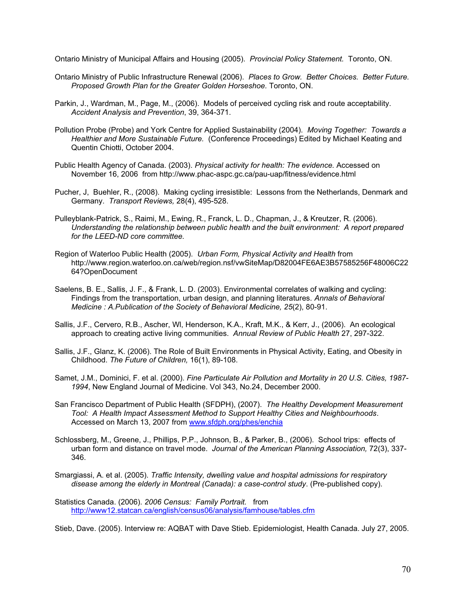Ontario Ministry of Municipal Affairs and Housing (2005). *Provincial Policy Statement.* Toronto, ON.

- Ontario Ministry of Public Infrastructure Renewal (2006). *Places to Grow. Better Choices. Better Future. Proposed Growth Plan for the Greater Golden Horseshoe.* Toronto, ON.
- Parkin, J., Wardman, M., Page, M., (2006). Models of perceived cycling risk and route acceptability. *Accident Analysis and Prevention*, 39, 364-371.
- Pollution Probe (Probe) and York Centre for Applied Sustainability (2004). *Moving Together: Towards a Healthier and More Sustainable Future.* (Conference Proceedings) Edited by Michael Keating and Quentin Chiotti, October 2004.
- Public Health Agency of Canada. (2003). *Physical activity for health: The evidence.* Accessed on November 16, 2006 from http://www.phac-aspc.gc.ca/pau-uap/fitness/evidence.html
- Pucher, J, Buehler, R., (2008). Making cycling irresistible: Lessons from the Netherlands, Denmark and Germany. *Transport Reviews,* 28(4), 495-528.
- Pulleyblank-Patrick, S., Raimi, M., Ewing, R., Franck, L. D., Chapman, J., & Kreutzer, R. (2006). *Understanding the relationship between public health and the built environment: A report prepared for the LEED-ND core committee.*
- Region of Waterloo Public Health (2005). *Urban Form, Physical Activity and Health* from http://www.region.waterloo.on.ca/web/region.nsf/vwSiteMap/D82004FE6AE3B57585256F48006C22 64?OpenDocument
- Saelens, B. E., Sallis, J. F., & Frank, L. D. (2003). Environmental correlates of walking and cycling: Findings from the transportation, urban design, and planning literatures. *Annals of Behavioral Medicine : A.Publication of the Society of Behavioral Medicine, 25*(2), 80-91.
- Sallis, J.F., Cervero, R.B., Ascher, Wl, Henderson, K.A., Kraft, M.K., & Kerr, J., (2006). An ecological approach to creating active living communities. *Annual Review of Public Health* 27, 297-322.
- Sallis, J.F., Glanz, K. (2006). The Role of Built Environments in Physical Activity, Eating, and Obesity in Childhood. *The Future of Children,* 16(1), 89-108.
- Samet, J.M., Dominici, F. et al. (2000). *Fine Particulate Air Pollution and Mortality in 20 U.S. Cities, 1987- 1994*, New England Journal of Medicine. Vol 343, No.24, December 2000.
- San Francisco Department of Public Health (SFDPH), (2007). *The Healthy Development Measurement Tool: A Health Impact Assessment Method to Support Healthy Cities and Neighbourhoods*. Accessed on March 13, 2007 from www.sfdph.org/phes/enchia
- Schlossberg, M., Greene, J., Phillips, P.P., Johnson, B., & Parker, B., (2006). School trips: effects of urban form and distance on travel mode. *Journal of the American Planning Association,* 72(3), 337- 346.
- Smargiassi, A. et al. (2005). *Traffic Intensity, dwelling value and hospital admissions for respiratory disease among the elderly in Montreal (Canada): a case-control study*. (Pre-published copy).
- Statistics Canada. (2006). *2006 Census: Family Portrait.* from http://www12.statcan.ca/english/census06/analysis/famhouse/tables.cfm

Stieb, Dave. (2005). Interview re: AQBAT with Dave Stieb. Epidemiologist, Health Canada. July 27, 2005.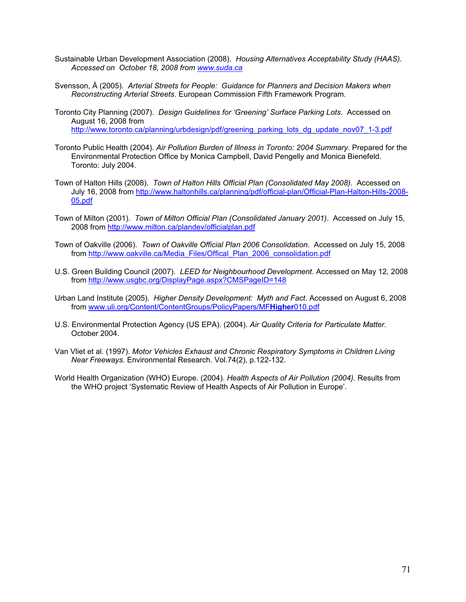- Sustainable Urban Development Association (2008). *Housing Alternatives Acceptability Study (HAAS). Accessed on October 18, 2008 from www.suda.ca*
- Svensson, Ä (2005). *Arterial Streets for People: Guidance for Planners and Decision Makers when Reconstructing Arterial Streets*. European Commission Fifth Framework Program.
- Toronto City Planning (2007). *Design Guidelines for 'Greening' Surface Parking Lots*. Accessed on August 16, 2008 from http://www.toronto.ca/planning/urbdesign/pdf/greening\_parking\_lots\_dg\_update\_nov07\_1-3.pdf
- Toronto Public Health (2004). *Air Pollution Burden of Illness in Toronto: 2004 Summary*. Prepared for the Environmental Protection Office by Monica Campbell, David Pengelly and Monica Bienefeld. Toronto: July 2004.
- Town of Halton Hills (2008). *Town of Halton Hills Official Plan (Consolidated May 2008).* Accessed on July 16, 2008 from http://www.haltonhills.ca/planning/pdf/official-plan/Official-Plan-Halton-Hills-2008- 05.pdf
- Town of Milton (2001). *Town of Milton Official Plan (Consolidated January 2001)*. Accessed on July 15, 2008 from http://www.milton.ca/plandev/officialplan.pdf
- Town of Oakville (2006). *Town of Oakville Official Plan 2006 Consolidation*. Accessed on July 15, 2008 from http://www.oakville.ca/Media\_Files/Offical\_Plan\_2006\_consolidation.pdf
- U.S. Green Building Council (2007). *LEED for Neighbourhood Development.* Accessed on May 12, 2008 from http://www.usgbc.org/DisplayPage.aspx?CMSPageID=148
- Urban Land Institute (2005). *Higher Density Development: Myth and Fact*. Accessed on August 6, 2008 from www.uli.org/Content/ContentGroups/PolicyPapers/MF**Higher**010.pdf
- U.S. Environmental Protection Agency (US EPA). (2004). *Air Quality Criteria for Particulate Matter.*  October 2004.
- Van Vliet et al. (1997). *Motor Vehicles Exhaust and Chronic Respiratory Symptoms in Children Living Near Freeways.* Environmental Research. Vol.74(2), p.122-132.
- World Health Organization (WHO) Europe. (2004). *Health Aspects of Air Pollution (2004).* Results from the WHO project 'Systematic Review of Health Aspects of Air Pollution in Europe'.